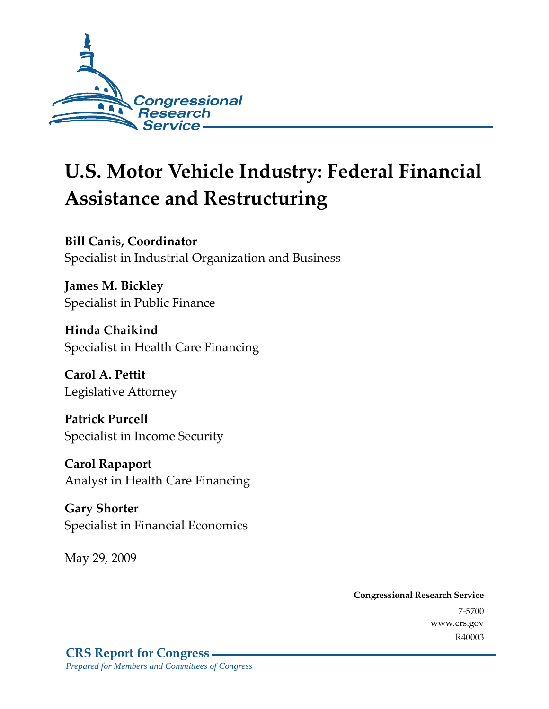

# **U.S. Motor Vehicle Industry: Federal Financial Assistance and Restructuring**

**Bill Canis, Coordinator**  Specialist in Industrial Organization and Business

**James M. Bickley**  Specialist in Public Finance

**Hinda Chaikind**  Specialist in Health Care Financing

**Carol A. Pettit**  Legislative Attorney

**Patrick Purcell**  Specialist in Income Security

**Carol Rapaport**  Analyst in Health Care Financing

**Gary Shorter**  Specialist in Financial Economics

May 29, 2009

**Congressional Research Service** 7-5700 www.crs.gov R40003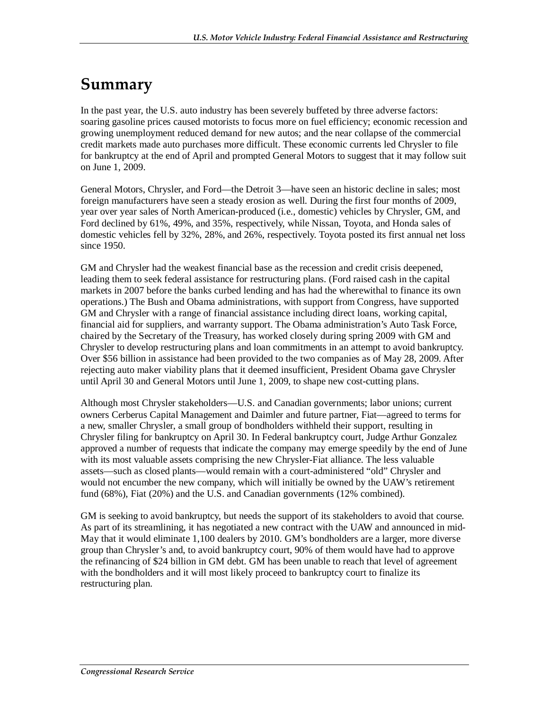## **Summary**

In the past year, the U.S. auto industry has been severely buffeted by three adverse factors: soaring gasoline prices caused motorists to focus more on fuel efficiency; economic recession and growing unemployment reduced demand for new autos; and the near collapse of the commercial credit markets made auto purchases more difficult. These economic currents led Chrysler to file for bankruptcy at the end of April and prompted General Motors to suggest that it may follow suit on June 1, 2009.

General Motors, Chrysler, and Ford—the Detroit 3—have seen an historic decline in sales; most foreign manufacturers have seen a steady erosion as well. During the first four months of 2009, year over year sales of North American-produced (i.e., domestic) vehicles by Chrysler, GM, and Ford declined by 61%, 49%, and 35%, respectively, while Nissan, Toyota, and Honda sales of domestic vehicles fell by 32%, 28%, and 26%, respectively. Toyota posted its first annual net loss since 1950.

GM and Chrysler had the weakest financial base as the recession and credit crisis deepened, leading them to seek federal assistance for restructuring plans. (Ford raised cash in the capital markets in 2007 before the banks curbed lending and has had the wherewithal to finance its own operations.) The Bush and Obama administrations, with support from Congress, have supported GM and Chrysler with a range of financial assistance including direct loans, working capital, financial aid for suppliers, and warranty support. The Obama administration's Auto Task Force, chaired by the Secretary of the Treasury, has worked closely during spring 2009 with GM and Chrysler to develop restructuring plans and loan commitments in an attempt to avoid bankruptcy. Over \$56 billion in assistance had been provided to the two companies as of May 28, 2009. After rejecting auto maker viability plans that it deemed insufficient, President Obama gave Chrysler until April 30 and General Motors until June 1, 2009, to shape new cost-cutting plans.

Although most Chrysler stakeholders—U.S. and Canadian governments; labor unions; current owners Cerberus Capital Management and Daimler and future partner, Fiat—agreed to terms for a new, smaller Chrysler, a small group of bondholders withheld their support, resulting in Chrysler filing for bankruptcy on April 30. In Federal bankruptcy court, Judge Arthur Gonzalez approved a number of requests that indicate the company may emerge speedily by the end of June with its most valuable assets comprising the new Chrysler-Fiat alliance. The less valuable assets—such as closed plants—would remain with a court-administered "old" Chrysler and would not encumber the new company, which will initially be owned by the UAW's retirement fund (68%), Fiat (20%) and the U.S. and Canadian governments (12% combined).

GM is seeking to avoid bankruptcy, but needs the support of its stakeholders to avoid that course. As part of its streamlining, it has negotiated a new contract with the UAW and announced in mid-May that it would eliminate 1,100 dealers by 2010. GM's bondholders are a larger, more diverse group than Chrysler's and, to avoid bankruptcy court, 90% of them would have had to approve the refinancing of \$24 billion in GM debt. GM has been unable to reach that level of agreement with the bondholders and it will most likely proceed to bankruptcy court to finalize its restructuring plan.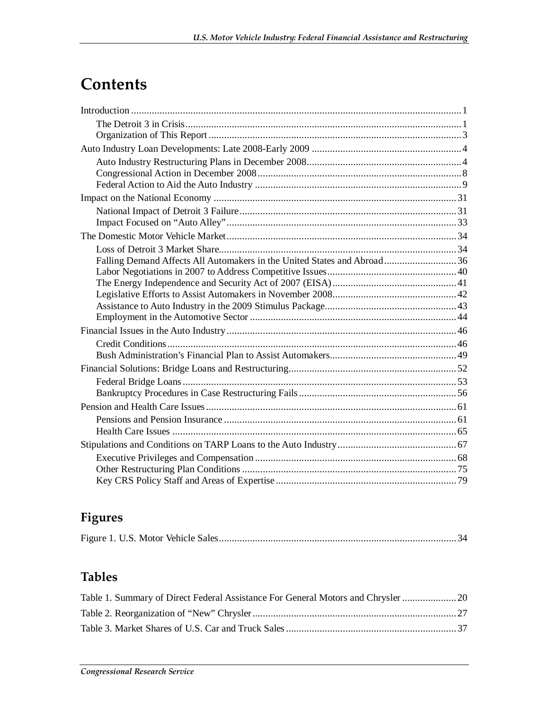## **Contents**

| Falling Demand Affects All Automakers in the United States and Abroad36 |
|-------------------------------------------------------------------------|
|                                                                         |
|                                                                         |
|                                                                         |
|                                                                         |
|                                                                         |
|                                                                         |
|                                                                         |
|                                                                         |
|                                                                         |
|                                                                         |
|                                                                         |
|                                                                         |
|                                                                         |
|                                                                         |
|                                                                         |
|                                                                         |
|                                                                         |
|                                                                         |

## **Figures**

|--|--|--|

## **Tables**

| Table 1. Summary of Direct Federal Assistance For General Motors and Chrysler  20 |  |
|-----------------------------------------------------------------------------------|--|
|                                                                                   |  |
|                                                                                   |  |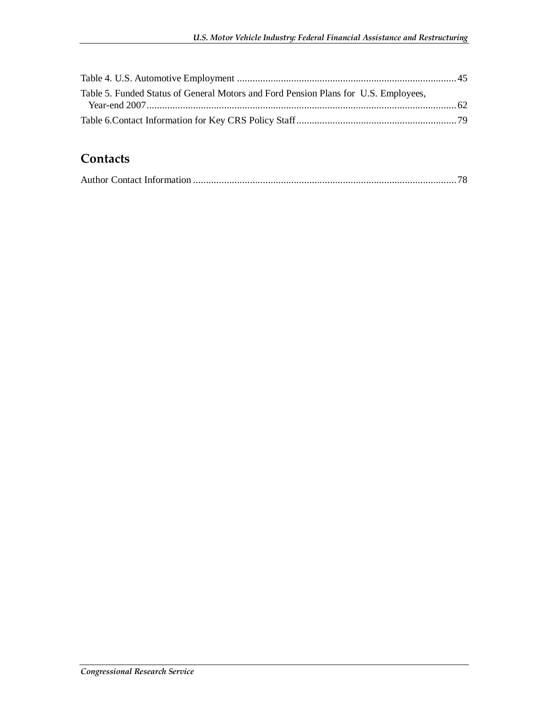| Table 5. Funded Status of General Motors and Ford Pension Plans for U.S. Employees, |  |
|-------------------------------------------------------------------------------------|--|
|                                                                                     |  |
|                                                                                     |  |

## **Contacts**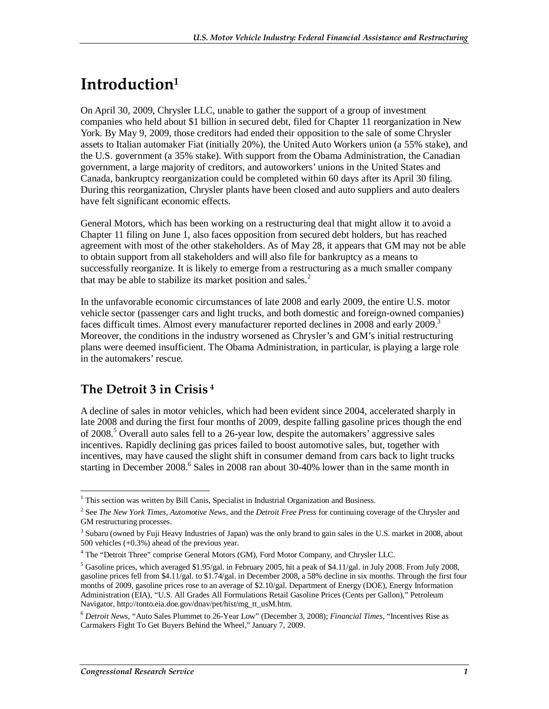## **Introduction1**

On April 30, 2009, Chrysler LLC, unable to gather the support of a group of investment companies who held about \$1 billion in secured debt, filed for Chapter 11 reorganization in New York. By May 9, 2009, those creditors had ended their opposition to the sale of some Chrysler assets to Italian automaker Fiat (initially 20%), the United Auto Workers union (a 55% stake), and the U.S. government (a 35% stake). With support from the Obama Administration, the Canadian government, a large majority of creditors, and autoworkers' unions in the United States and Canada, bankruptcy reorganization could be completed within 60 days after its April 30 filing. During this reorganization, Chrysler plants have been closed and auto suppliers and auto dealers have felt significant economic effects.

General Motors, which has been working on a restructuring deal that might allow it to avoid a Chapter 11 filing on June 1, also faces opposition from secured debt holders, but has reached agreement with most of the other stakeholders. As of May 28, it appears that GM may not be able to obtain support from all stakeholders and will also file for bankruptcy as a means to successfully reorganize. It is likely to emerge from a restructuring as a much smaller company that may be able to stabilize its market position and sales. $<sup>2</sup>$ </sup>

In the unfavorable economic circumstances of late 2008 and early 2009, the entire U.S. motor vehicle sector (passenger cars and light trucks, and both domestic and foreign-owned companies) faces difficult times. Almost every manufacturer reported declines in 2008 and early 2009.<sup>3</sup> Moreover, the conditions in the industry worsened as Chrysler's and GM's initial restructuring plans were deemed insufficient. The Obama Administration, in particular, is playing a large role in the automakers' rescue.

## **The Detroit 3 in Crisis 4**

A decline of sales in motor vehicles, which had been evident since 2004, accelerated sharply in late 2008 and during the first four months of 2009, despite falling gasoline prices though the end of 2008.<sup>5</sup> Overall auto sales fell to a 26-year low, despite the automakers' aggressive sales incentives. Rapidly declining gas prices failed to boost automotive sales, but, together with incentives, may have caused the slight shift in consumer demand from cars back to light trucks starting in December 2008.<sup>6</sup> Sales in 2008 ran about 30-40% lower than in the same month in

<sup>-</sup><sup>1</sup> This section was written by Bill Canis, Specialist in Industrial Organization and Business.

<sup>2</sup> See *The New York Times*, *Automotive News*, and the *Detroit Free Press* for continuing coverage of the Chrysler and GM restructuring processes.

 $3$  Subaru (owned by Fuji Heavy Industries of Japan) was the only brand to gain sales in the U.S. market in 2008, about 500 vehicles (+0.3%) ahead of the previous year.

<sup>&</sup>lt;sup>4</sup> The "Detroit Three" comprise General Motors (GM), Ford Motor Company, and Chrysler LLC.

 $<sup>5</sup>$  Gasoline prices, which averaged \$1.95/gal. in February 2005, hit a peak of \$4.11/gal. in July 2008. From July 2008,</sup> gasoline prices fell from \$4.11/gal. to \$1.74/gal. in December 2008, a 58% decline in six months. Through the first four months of 2009, gasoline prices rose to an average of \$2.10/gal. Department of Energy (DOE), Energy Information Administration (EIA), "U.S. All Grades All Formulations Retail Gasoline Prices (Cents per Gallon)," Petroleum Navigator, http://tonto.eia.doe.gov/dnav/pet/hist/mg\_tt\_usM.htm.

<sup>6</sup> *Detroit News*, "Auto Sales Plummet to 26-Year Low" (December 3, 2008); *Financial Times*, "Incentives Rise as Carmakers Fight To Get Buyers Behind the Wheel," January 7, 2009.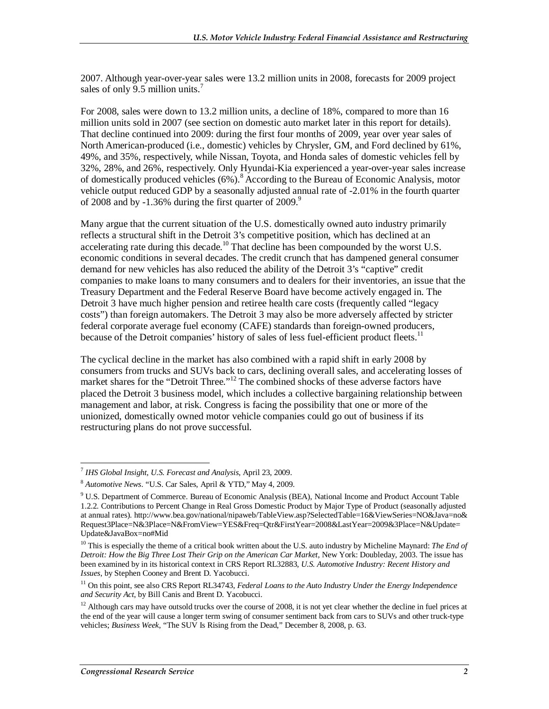2007. Although year-over-year sales were 13.2 million units in 2008, forecasts for 2009 project sales of only 9.5 million units.<sup>7</sup>

For 2008, sales were down to 13.2 million units, a decline of 18%, compared to more than 16 million units sold in 2007 (see section on domestic auto market later in this report for details). That decline continued into 2009: during the first four months of 2009, year over year sales of North American-produced (i.e., domestic) vehicles by Chrysler, GM, and Ford declined by 61%, 49%, and 35%, respectively, while Nissan, Toyota, and Honda sales of domestic vehicles fell by 32%, 28%, and 26%, respectively. Only Hyundai-Kia experienced a year-over-year sales increase of domestically produced vehicles (6%). <sup>8</sup> According to the Bureau of Economic Analysis, motor vehicle output reduced GDP by a seasonally adjusted annual rate of -2.01% in the fourth quarter of 2008 and by  $-1.36\%$  during the first quarter of 2009. $9$ 

Many argue that the current situation of the U.S. domestically owned auto industry primarily reflects a structural shift in the Detroit 3's competitive position, which has declined at an accelerating rate during this decade.<sup>10</sup> That decline has been compounded by the worst U.S. economic conditions in several decades. The credit crunch that has dampened general consumer demand for new vehicles has also reduced the ability of the Detroit 3's "captive" credit companies to make loans to many consumers and to dealers for their inventories, an issue that the Treasury Department and the Federal Reserve Board have become actively engaged in. The Detroit 3 have much higher pension and retiree health care costs (frequently called "legacy costs") than foreign automakers. The Detroit 3 may also be more adversely affected by stricter federal corporate average fuel economy (CAFE) standards than foreign-owned producers, because of the Detroit companies' history of sales of less fuel-efficient product fleets.<sup>11</sup>

The cyclical decline in the market has also combined with a rapid shift in early 2008 by consumers from trucks and SUVs back to cars, declining overall sales, and accelerating losses of market shares for the "Detroit Three."<sup>12</sup> The combined shocks of these adverse factors have placed the Detroit 3 business model, which includes a collective bargaining relationship between management and labor, at risk. Congress is facing the possibility that one or more of the unionized, domestically owned motor vehicle companies could go out of business if its restructuring plans do not prove successful.

<sup>-</sup><sup>7</sup> *IHS Global Insight, U.S. Forecast and Analysis*, April 23, 2009.

<sup>8</sup> *Automotive News*. "U.S. Car Sales, April & YTD," May 4, 2009.

<sup>&</sup>lt;sup>9</sup> U.S. Department of Commerce. Bureau of Economic Analysis (BEA), National Income and Product Account Table 1.2.2. Contributions to Percent Change in Real Gross Domestic Product by Major Type of Product (seasonally adjusted at annual rates). http://www.bea.gov/national/nipaweb/TableView.asp?SelectedTable=16&ViewSeries=NO&Java=no& Request3Place=N&3Place=N&FromView=YES&Freq=Qtr&FirstYear=2008&LastYear=2009&3Place=N&Update= Update&JavaBox=no#Mid

<sup>&</sup>lt;sup>10</sup> This is especially the theme of a critical book written about the U.S. auto industry by Micheline Maynard: *The End of Detroit: How the Big Three Lost Their Grip on the American Car Market*, New York: Doubleday, 2003. The issue has been examined by in its historical context in CRS Report RL32883, *U.S. Automotive Industry: Recent History and Issues*, by Stephen Cooney and Brent D. Yacobucci.

<sup>&</sup>lt;sup>11</sup> On this point, see also CRS Report RL34743, *Federal Loans to the Auto Industry Under the Energy Independence and Security Act*, by Bill Canis and Brent D. Yacobucci.

 $12$  Although cars may have outsold trucks over the course of 2008, it is not yet clear whether the decline in fuel prices at the end of the year will cause a longer term swing of consumer sentiment back from cars to SUVs and other truck-type vehicles; *Business Week*, "The SUV Is Rising from the Dead," December 8, 2008, p. 63.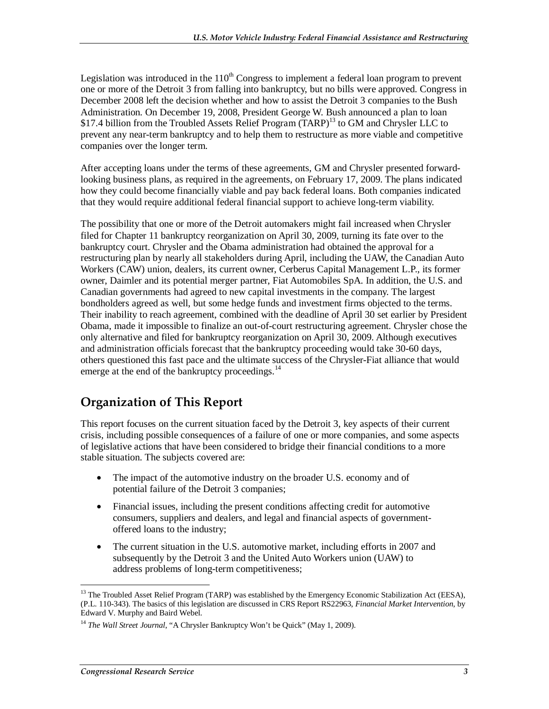Legislation was introduced in the  $110^{th}$  Congress to implement a federal loan program to prevent one or more of the Detroit 3 from falling into bankruptcy, but no bills were approved. Congress in December 2008 left the decision whether and how to assist the Detroit 3 companies to the Bush Administration. On December 19, 2008, President George W. Bush announced a plan to loan \$17.4 billion from the Troubled Assets Relief Program (TARP)<sup>13</sup> to GM and Chrysler LLC to prevent any near-term bankruptcy and to help them to restructure as more viable and competitive companies over the longer term.

After accepting loans under the terms of these agreements, GM and Chrysler presented forwardlooking business plans, as required in the agreements, on February 17, 2009. The plans indicated how they could become financially viable and pay back federal loans. Both companies indicated that they would require additional federal financial support to achieve long-term viability.

The possibility that one or more of the Detroit automakers might fail increased when Chrysler filed for Chapter 11 bankruptcy reorganization on April 30, 2009, turning its fate over to the bankruptcy court. Chrysler and the Obama administration had obtained the approval for a restructuring plan by nearly all stakeholders during April, including the UAW, the Canadian Auto Workers (CAW) union, dealers, its current owner, Cerberus Capital Management L.P., its former owner, Daimler and its potential merger partner, Fiat Automobiles SpA. In addition, the U.S. and Canadian governments had agreed to new capital investments in the company. The largest bondholders agreed as well, but some hedge funds and investment firms objected to the terms. Their inability to reach agreement, combined with the deadline of April 30 set earlier by President Obama, made it impossible to finalize an out-of-court restructuring agreement. Chrysler chose the only alternative and filed for bankruptcy reorganization on April 30, 2009. Although executives and administration officials forecast that the bankruptcy proceeding would take 30-60 days, others questioned this fast pace and the ultimate success of the Chrysler-Fiat alliance that would emerge at the end of the bankruptcy proceedings.<sup>14</sup>

### **Organization of This Report**

This report focuses on the current situation faced by the Detroit 3, key aspects of their current crisis, including possible consequences of a failure of one or more companies, and some aspects of legislative actions that have been considered to bridge their financial conditions to a more stable situation. The subjects covered are:

- The impact of the automotive industry on the broader U.S. economy and of potential failure of the Detroit 3 companies;
- Financial issues, including the present conditions affecting credit for automotive consumers, suppliers and dealers, and legal and financial aspects of governmentoffered loans to the industry;
- The current situation in the U.S. automotive market, including efforts in 2007 and subsequently by the Detroit 3 and the United Auto Workers union (UAW) to address problems of long-term competitiveness;

<sup>-</sup><sup>13</sup> The Troubled Asset Relief Program (TARP) was established by the Emergency Economic Stabilization Act (EESA), (P.L. 110-343). The basics of this legislation are discussed in CRS Report RS22963, *Financial Market Intervention*, by Edward V. Murphy and Baird Webel.

<sup>&</sup>lt;sup>14</sup> The Wall Street Journal, "A Chrysler Bankruptcy Won't be Quick" (May 1, 2009).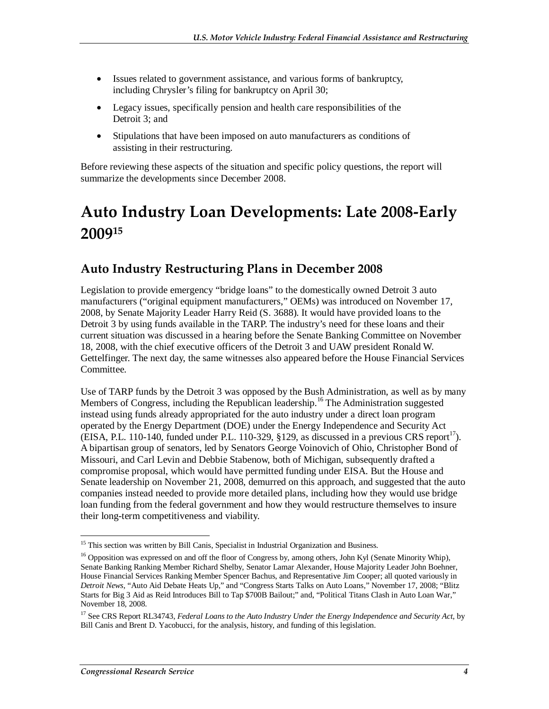- Issues related to government assistance, and various forms of bankruptcy, including Chrysler's filing for bankruptcy on April 30;
- Legacy issues, specifically pension and health care responsibilities of the Detroit 3; and
- Stipulations that have been imposed on auto manufacturers as conditions of assisting in their restructuring.

Before reviewing these aspects of the situation and specific policy questions, the report will summarize the developments since December 2008.

## **Auto Industry Loan Developments: Late 2008-Early 200915**

### **Auto Industry Restructuring Plans in December 2008**

Legislation to provide emergency "bridge loans" to the domestically owned Detroit 3 auto manufacturers ("original equipment manufacturers," OEMs) was introduced on November 17, 2008, by Senate Majority Leader Harry Reid (S. 3688). It would have provided loans to the Detroit 3 by using funds available in the TARP. The industry's need for these loans and their current situation was discussed in a hearing before the Senate Banking Committee on November 18, 2008, with the chief executive officers of the Detroit 3 and UAW president Ronald W. Gettelfinger. The next day, the same witnesses also appeared before the House Financial Services Committee.

Use of TARP funds by the Detroit 3 was opposed by the Bush Administration, as well as by many Members of Congress, including the Republican leadership.<sup>16</sup> The Administration suggested instead using funds already appropriated for the auto industry under a direct loan program operated by the Energy Department (DOE) under the Energy Independence and Security Act (EISA, P.L. 110-140, funded under P.L. 110-329, §129, as discussed in a previous CRS report<sup>17</sup>). A bipartisan group of senators, led by Senators George Voinovich of Ohio, Christopher Bond of Missouri, and Carl Levin and Debbie Stabenow, both of Michigan, subsequently drafted a compromise proposal, which would have permitted funding under EISA. But the House and Senate leadership on November 21, 2008, demurred on this approach, and suggested that the auto companies instead needed to provide more detailed plans, including how they would use bridge loan funding from the federal government and how they would restructure themselves to insure their long-term competitiveness and viability.

<sup>-</sup><sup>15</sup> This section was written by Bill Canis, Specialist in Industrial Organization and Business.

<sup>&</sup>lt;sup>16</sup> Opposition was expressed on and off the floor of Congress by, among others, John Kyl (Senate Minority Whip), Senate Banking Ranking Member Richard Shelby, Senator Lamar Alexander, House Majority Leader John Boehner, House Financial Services Ranking Member Spencer Bachus, and Representative Jim Cooper; all quoted variously in *Detroit News*, "Auto Aid Debate Heats Up," and "Congress Starts Talks on Auto Loans," November 17, 2008; "Blitz Starts for Big 3 Aid as Reid Introduces Bill to Tap \$700B Bailout;" and, "Political Titans Clash in Auto Loan War," November 18, 2008.

<sup>&</sup>lt;sup>17</sup> See CRS Report RL34743, *Federal Loans to the Auto Industry Under the Energy Independence and Security Act*, by Bill Canis and Brent D. Yacobucci, for the analysis, history, and funding of this legislation.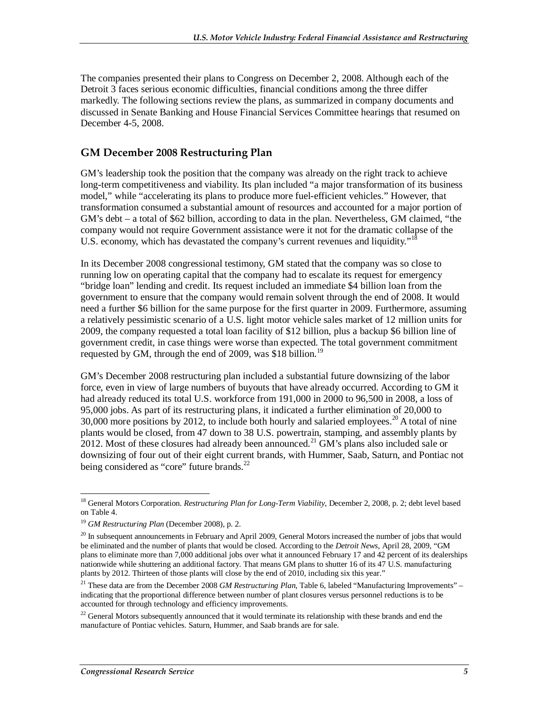The companies presented their plans to Congress on December 2, 2008. Although each of the Detroit 3 faces serious economic difficulties, financial conditions among the three differ markedly. The following sections review the plans, as summarized in company documents and discussed in Senate Banking and House Financial Services Committee hearings that resumed on December 4-5, 2008.

#### **GM December 2008 Restructuring Plan**

GM's leadership took the position that the company was already on the right track to achieve long-term competitiveness and viability. Its plan included "a major transformation of its business model," while "accelerating its plans to produce more fuel-efficient vehicles." However, that transformation consumed a substantial amount of resources and accounted for a major portion of GM's debt – a total of \$62 billion, according to data in the plan. Nevertheless, GM claimed, "the company would not require Government assistance were it not for the dramatic collapse of the U.S. economy, which has devastated the company's current revenues and liquidity."<sup>18</sup>

In its December 2008 congressional testimony, GM stated that the company was so close to running low on operating capital that the company had to escalate its request for emergency "bridge loan" lending and credit. Its request included an immediate \$4 billion loan from the government to ensure that the company would remain solvent through the end of 2008. It would need a further \$6 billion for the same purpose for the first quarter in 2009. Furthermore, assuming a relatively pessimistic scenario of a U.S. light motor vehicle sales market of 12 million units for 2009, the company requested a total loan facility of \$12 billion, plus a backup \$6 billion line of government credit, in case things were worse than expected. The total government commitment requested by GM, through the end of 2009, was \$18 billion.<sup>19</sup>

GM's December 2008 restructuring plan included a substantial future downsizing of the labor force, even in view of large numbers of buyouts that have already occurred. According to GM it had already reduced its total U.S. workforce from 191,000 in 2000 to 96,500 in 2008, a loss of 95,000 jobs. As part of its restructuring plans, it indicated a further elimination of 20,000 to 30,000 more positions by 2012, to include both hourly and salaried employees.<sup>20</sup> A total of nine plants would be closed, from 47 down to 38 U.S. powertrain, stamping, and assembly plants by 2012. Most of these closures had already been announced.<sup>21</sup> GM's plans also included sale or downsizing of four out of their eight current brands, with Hummer, Saab, Saturn, and Pontiac not being considered as "core" future brands.<sup>22</sup>

-

<sup>18</sup> General Motors Corporation. *Restructuring Plan for Long-Term Viability*, December 2, 2008, p. 2; debt level based on Table 4.

<sup>19</sup> *GM Restructuring Plan* (December 2008), p. 2.

 $^{20}$  In subsequent announcements in February and April 2009, General Motors increased the number of jobs that would be eliminated and the number of plants that would be closed. According to the *Detroit News*, April 28, 2009, "GM plans to eliminate more than 7,000 additional jobs over what it announced February 17 and 42 percent of its dealerships nationwide while shuttering an additional factory. That means GM plans to shutter 16 of its 47 U.S. manufacturing plants by 2012. Thirteen of those plants will close by the end of 2010, including six this year."

<sup>&</sup>lt;sup>21</sup> These data are from the December 2008 *GM Restructuring Plan*, Table 6, labeled "Manufacturing Improvements" – indicating that the proportional difference between number of plant closures versus personnel reductions is to be accounted for through technology and efficiency improvements.

<sup>&</sup>lt;sup>22</sup> General Motors subsequently announced that it would terminate its relationship with these brands and end the manufacture of Pontiac vehicles. Saturn, Hummer, and Saab brands are for sale.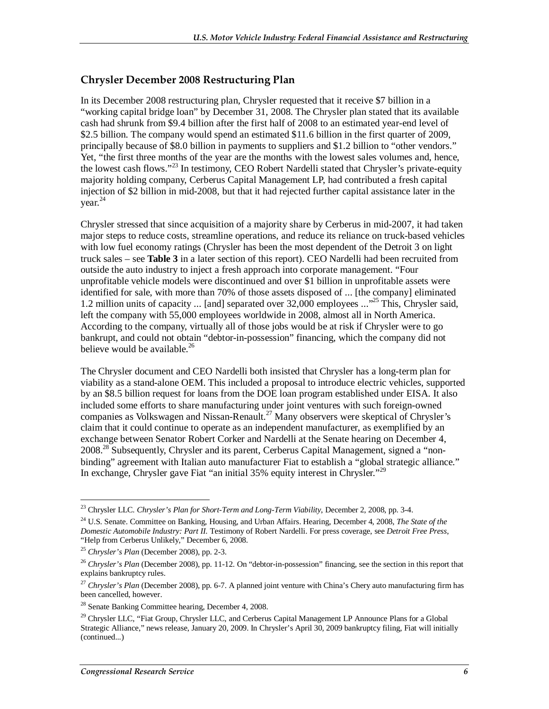#### **Chrysler December 2008 Restructuring Plan**

In its December 2008 restructuring plan, Chrysler requested that it receive \$7 billion in a "working capital bridge loan" by December 31, 2008. The Chrysler plan stated that its available cash had shrunk from \$9.4 billion after the first half of 2008 to an estimated year-end level of \$2.5 billion. The company would spend an estimated \$11.6 billion in the first quarter of 2009, principally because of \$8.0 billion in payments to suppliers and \$1.2 billion to "other vendors." Yet, "the first three months of the year are the months with the lowest sales volumes and, hence, the lowest cash flows."<sup>23</sup> In testimony, CEO Robert Nardelli stated that Chrysler's private-equity majority holding company, Cerberus Capital Management LP, had contributed a fresh capital injection of \$2 billion in mid-2008, but that it had rejected further capital assistance later in the year.<sup>24</sup>

Chrysler stressed that since acquisition of a majority share by Cerberus in mid-2007, it had taken major steps to reduce costs, streamline operations, and reduce its reliance on truck-based vehicles with low fuel economy ratings (Chrysler has been the most dependent of the Detroit 3 on light truck sales – see **Table 3** in a later section of this report). CEO Nardelli had been recruited from outside the auto industry to inject a fresh approach into corporate management. "Four unprofitable vehicle models were discontinued and over \$1 billion in unprofitable assets were identified for sale, with more than 70% of those assets disposed of ... [the company] eliminated 1.2 million units of capacity ... [and] separated over 32,000 employees ..."25 This, Chrysler said, left the company with 55,000 employees worldwide in 2008, almost all in North America. According to the company, virtually all of those jobs would be at risk if Chrysler were to go bankrupt, and could not obtain "debtor-in-possession" financing, which the company did not believe would be available.<sup>26</sup>

The Chrysler document and CEO Nardelli both insisted that Chrysler has a long-term plan for viability as a stand-alone OEM. This included a proposal to introduce electric vehicles, supported by an \$8.5 billion request for loans from the DOE loan program established under EISA. It also included some efforts to share manufacturing under joint ventures with such foreign-owned companies as Volkswagen and Nissan-Renault.<sup>27</sup> Many observers were skeptical of Chrysler's claim that it could continue to operate as an independent manufacturer, as exemplified by an exchange between Senator Robert Corker and Nardelli at the Senate hearing on December 4, 2008.<sup>28</sup> Subsequently, Chrysler and its parent, Cerberus Capital Management, signed a "nonbinding" agreement with Italian auto manufacturer Fiat to establish a "global strategic alliance." In exchange, Chrysler gave Fiat "an initial 35% equity interest in Chrysler."<sup>29</sup>

<sup>-</sup>23 Chrysler LLC. *Chrysler's Plan for Short-Term and Long-Term Viability*, December 2, 2008, pp. 3-4.

<sup>24</sup> U.S. Senate. Committee on Banking, Housing, and Urban Affairs. Hearing, December 4, 2008, *The State of the Domestic Automobile Industry: Part II*. Testimony of Robert Nardelli. For press coverage, see *Detroit Free Press*, "Help from Cerberus Unlikely," December 6, 2008.

<sup>25</sup> *Chrysler's Plan* (December 2008), pp. 2-3.

<sup>&</sup>lt;sup>26</sup> *Chrysler's Plan* (December 2008), pp. 11-12. On "debtor-in-possession" financing, see the section in this report that explains bankruptcy rules.

<sup>&</sup>lt;sup>27</sup> *Chrysler's Plan* (December 2008), pp. 6-7. A planned joint venture with China's Chery auto manufacturing firm has been cancelled, however.

<sup>28</sup> Senate Banking Committee hearing, December 4, 2008.

 $29$  Chrysler LLC, "Fiat Group, Chrysler LLC, and Cerberus Capital Management LP Announce Plans for a Global Strategic Alliance," news release, January 20, 2009. In Chrysler's April 30, 2009 bankruptcy filing, Fiat will initially (continued...)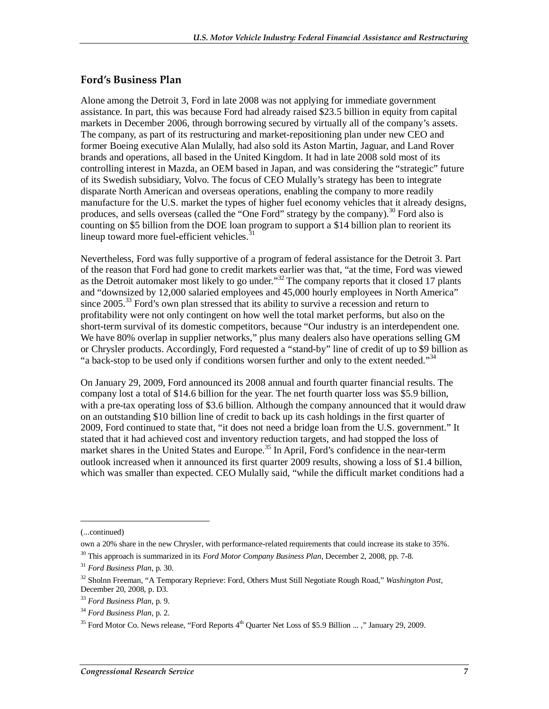#### **Ford's Business Plan**

Alone among the Detroit 3, Ford in late 2008 was not applying for immediate government assistance. In part, this was because Ford had already raised \$23.5 billion in equity from capital markets in December 2006, through borrowing secured by virtually all of the company's assets. The company, as part of its restructuring and market-repositioning plan under new CEO and former Boeing executive Alan Mulally, had also sold its Aston Martin, Jaguar, and Land Rover brands and operations, all based in the United Kingdom. It had in late 2008 sold most of its controlling interest in Mazda, an OEM based in Japan, and was considering the "strategic" future of its Swedish subsidiary, Volvo. The focus of CEO Mulally's strategy has been to integrate disparate North American and overseas operations, enabling the company to more readily manufacture for the U.S. market the types of higher fuel economy vehicles that it already designs, produces, and sells overseas (called the "One Ford" strategy by the company).<sup>30</sup> Ford also is counting on \$5 billion from the DOE loan program to support a \$14 billion plan to reorient its lineup toward more fuel-efficient vehicles. $\frac{3}{5}$ 

Nevertheless, Ford was fully supportive of a program of federal assistance for the Detroit 3. Part of the reason that Ford had gone to credit markets earlier was that, "at the time, Ford was viewed as the Detroit automaker most likely to go under."<sup>32</sup> The company reports that it closed 17 plants and "downsized by 12,000 salaried employees and 45,000 hourly employees in North America" since 2005.<sup>33</sup> Ford's own plan stressed that its ability to survive a recession and return to profitability were not only contingent on how well the total market performs, but also on the short-term survival of its domestic competitors, because "Our industry is an interdependent one. We have 80% overlap in supplier networks," plus many dealers also have operations selling GM or Chrysler products. Accordingly, Ford requested a "stand-by" line of credit of up to \$9 billion as "a back-stop to be used only if conditions worsen further and only to the extent needed."<sup>34</sup>

On January 29, 2009, Ford announced its 2008 annual and fourth quarter financial results. The company lost a total of \$14.6 billion for the year. The net fourth quarter loss was \$5.9 billion, with a pre-tax operating loss of \$3.6 billion. Although the company announced that it would draw on an outstanding \$10 billion line of credit to back up its cash holdings in the first quarter of 2009, Ford continued to state that, "it does not need a bridge loan from the U.S. government." It stated that it had achieved cost and inventory reduction targets, and had stopped the loss of market shares in the United States and Europe.<sup>35</sup> In April, Ford's confidence in the near-term outlook increased when it announced its first quarter 2009 results, showing a loss of \$1.4 billion, which was smaller than expected. CEO Mulally said, "while the difficult market conditions had a

1

<sup>(...</sup>continued)

own a 20% share in the new Chrysler, with performance-related requirements that could increase its stake to 35%.

<sup>30</sup> This approach is summarized in its *Ford Motor Company Business Plan*, December 2, 2008, pp. 7-8. 31 *Ford Business Plan*, p. 30.

<sup>32</sup> Sholnn Freeman, "A Temporary Reprieve: Ford, Others Must Still Negotiate Rough Road," *Washington Post*, December 20, 2008, p. D3.

<sup>33</sup> *Ford Business Plan*, p. 9.

<sup>34</sup> *Ford Business Plan*, p. 2.

<sup>&</sup>lt;sup>35</sup> Ford Motor Co. News release, "Ford Reports 4<sup>th</sup> Quarter Net Loss of \$5.9 Billion ... ," January 29, 2009.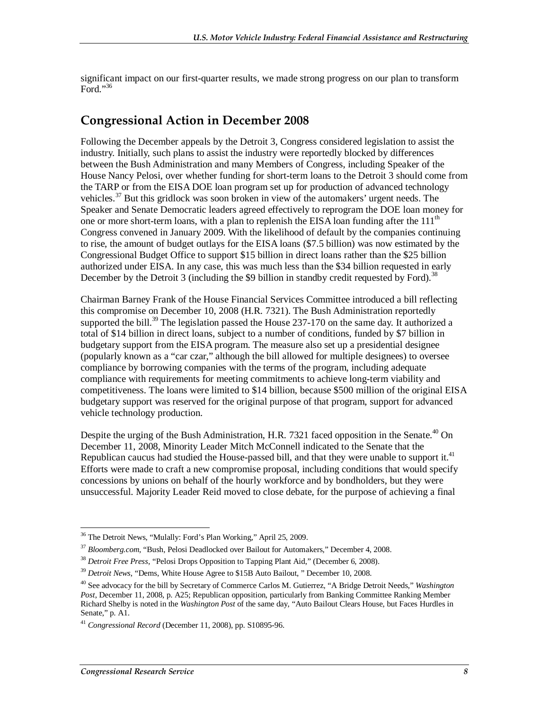significant impact on our first-quarter results, we made strong progress on our plan to transform  $\overline{\text{Ford}}$ ., 36

### **Congressional Action in December 2008**

Following the December appeals by the Detroit 3, Congress considered legislation to assist the industry. Initially, such plans to assist the industry were reportedly blocked by differences between the Bush Administration and many Members of Congress, including Speaker of the House Nancy Pelosi, over whether funding for short-term loans to the Detroit 3 should come from the TARP or from the EISA DOE loan program set up for production of advanced technology vehicles.<sup>37</sup> But this gridlock was soon broken in view of the automakers' urgent needs. The Speaker and Senate Democratic leaders agreed effectively to reprogram the DOE loan money for one or more short-term loans, with a plan to replenish the EISA loan funding after the  $111<sup>th</sup>$ Congress convened in January 2009. With the likelihood of default by the companies continuing to rise, the amount of budget outlays for the EISA loans (\$7.5 billion) was now estimated by the Congressional Budget Office to support \$15 billion in direct loans rather than the \$25 billion authorized under EISA. In any case, this was much less than the \$34 billion requested in early December by the Detroit 3 (including the \$9 billion in standby credit requested by Ford).<sup>38</sup>

Chairman Barney Frank of the House Financial Services Committee introduced a bill reflecting this compromise on December 10, 2008 (H.R. 7321). The Bush Administration reportedly supported the bill.<sup>39</sup> The legislation passed the House  $237-170$  on the same day. It authorized a total of \$14 billion in direct loans, subject to a number of conditions, funded by \$7 billion in budgetary support from the EISA program. The measure also set up a presidential designee (popularly known as a "car czar," although the bill allowed for multiple designees) to oversee compliance by borrowing companies with the terms of the program, including adequate compliance with requirements for meeting commitments to achieve long-term viability and competitiveness. The loans were limited to \$14 billion, because \$500 million of the original EISA budgetary support was reserved for the original purpose of that program, support for advanced vehicle technology production.

Despite the urging of the Bush Administration, H.R. 7321 faced opposition in the Senate.<sup>40</sup> On December 11, 2008, Minority Leader Mitch McConnell indicated to the Senate that the Republican caucus had studied the House-passed bill, and that they were unable to support it.<sup>41</sup> Efforts were made to craft a new compromise proposal, including conditions that would specify concessions by unions on behalf of the hourly workforce and by bondholders, but they were unsuccessful. Majority Leader Reid moved to close debate, for the purpose of achieving a final

<sup>-</sup><sup>36</sup> The Detroit News, "Mulally: Ford's Plan Working," April 25, 2009.

<sup>37</sup> *Bloomberg.com*, "Bush, Pelosi Deadlocked over Bailout for Automakers," December 4, 2008.

<sup>&</sup>lt;sup>38</sup> *Detroit Free Press*, "Pelosi Drops Opposition to Tapping Plant Aid," (December 6, 2008).<br><sup>39</sup> *Detroit News*, "Dems, White House Agree to \$15B Auto Bailout, " December 10, 2008.

<sup>40</sup> See advocacy for the bill by Secretary of Commerce Carlos M. Gutierrez, "A Bridge Detroit Needs," *Washington Post*, December 11, 2008, p. A25; Republican opposition, particularly from Banking Committee Ranking Member Richard Shelby is noted in the *Washington Post* of the same day, "Auto Bailout Clears House, but Faces Hurdles in Senate," p. A1.

<sup>41</sup> *Congressional Record* (December 11, 2008), pp. S10895-96.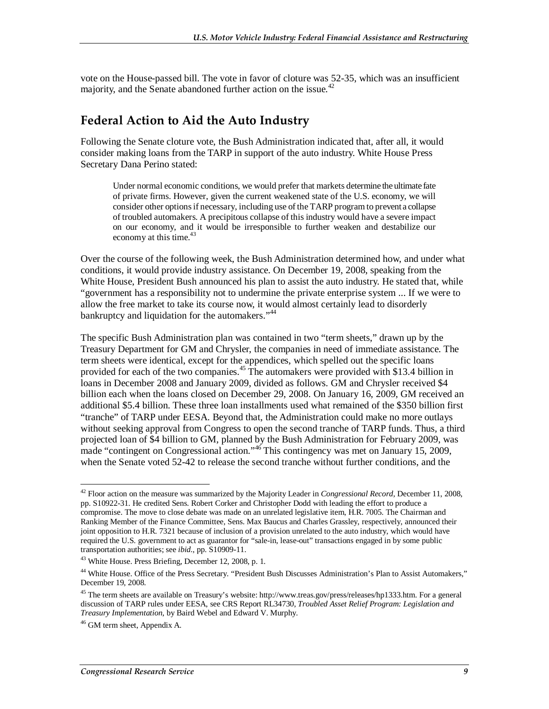vote on the House-passed bill. The vote in favor of cloture was 52-35, which was an insufficient majority, and the Senate abandoned further action on the issue.<sup>42</sup>

### **Federal Action to Aid the Auto Industry**

Following the Senate cloture vote, the Bush Administration indicated that, after all, it would consider making loans from the TARP in support of the auto industry. White House Press Secretary Dana Perino stated:

Under normal economic conditions, we would prefer that markets determine the ultimate fate of private firms. However, given the current weakened state of the U.S. economy, we will consider other options if necessary, including use of the TARP program to prevent a collapse of troubled automakers. A precipitous collapse of this industry would have a severe impact on our economy, and it would be irresponsible to further weaken and destabilize our economy at this time.<sup>43</sup>

Over the course of the following week, the Bush Administration determined how, and under what conditions, it would provide industry assistance. On December 19, 2008, speaking from the White House, President Bush announced his plan to assist the auto industry. He stated that, while "government has a responsibility not to undermine the private enterprise system ... If we were to allow the free market to take its course now, it would almost certainly lead to disorderly bankruptcy and liquidation for the automakers."<sup>44</sup>

The specific Bush Administration plan was contained in two "term sheets," drawn up by the Treasury Department for GM and Chrysler, the companies in need of immediate assistance. The term sheets were identical, except for the appendices, which spelled out the specific loans provided for each of the two companies.<sup>45</sup> The automakers were provided with \$13.4 billion in loans in December 2008 and January 2009, divided as follows. GM and Chrysler received \$4 billion each when the loans closed on December 29, 2008. On January 16, 2009, GM received an additional \$5.4 billion. These three loan installments used what remained of the \$350 billion first "tranche" of TARP under EESA. Beyond that, the Administration could make no more outlays without seeking approval from Congress to open the second tranche of TARP funds. Thus, a third projected loan of \$4 billion to GM, planned by the Bush Administration for February 2009, was made "contingent on Congressional action."<sup>46</sup> This contingency was met on January 15, 2009, when the Senate voted 52-42 to release the second tranche without further conditions, and the

<sup>&</sup>lt;u>.</u> 42 Floor action on the measure was summarized by the Majority Leader in *Congressional Record*, December 11, 2008, pp. S10922-31. He credited Sens. Robert Corker and Christopher Dodd with leading the effort to produce a compromise. The move to close debate was made on an unrelated legislative item, H.R. 7005. The Chairman and Ranking Member of the Finance Committee, Sens. Max Baucus and Charles Grassley, respectively, announced their joint opposition to H.R. 7321 because of inclusion of a provision unrelated to the auto industry, which would have required the U.S. government to act as guarantor for "sale-in, lease-out" transactions engaged in by some public transportation authorities; see *ibid.*, pp. S10909-11.

<sup>43</sup> White House. Press Briefing, December 12, 2008, p. 1.

<sup>44</sup> White House. Office of the Press Secretary. "President Bush Discusses Administration's Plan to Assist Automakers," December 19, 2008.

<sup>45</sup> The term sheets are available on Treasury's website: http://www.treas.gov/press/releases/hp1333.htm. For a general discussion of TARP rules under EESA, see CRS Report RL34730, *Troubled Asset Relief Program: Legislation and Treasury Implementation*, by Baird Webel and Edward V. Murphy.

<sup>46</sup> GM term sheet, Appendix A.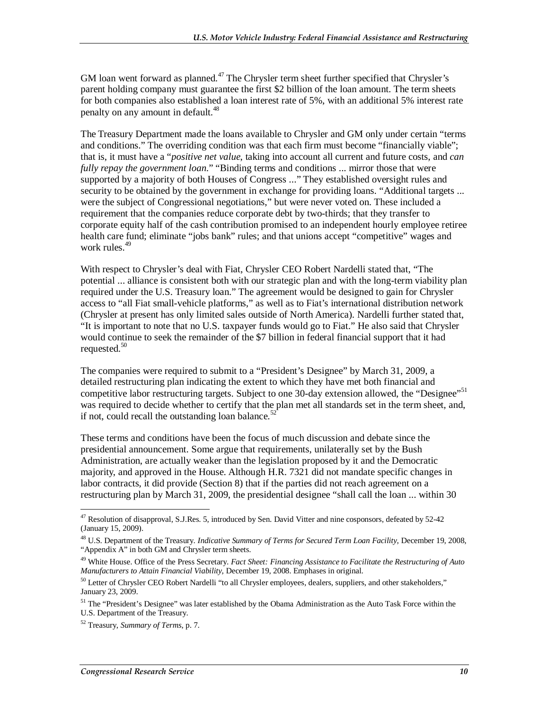GM loan went forward as planned.<sup> $47$ </sup> The Chrysler term sheet further specified that Chrysler's parent holding company must guarantee the first \$2 billion of the loan amount. The term sheets for both companies also established a loan interest rate of 5%, with an additional 5% interest rate penalty on any amount in default.<sup>48</sup>

The Treasury Department made the loans available to Chrysler and GM only under certain "terms and conditions." The overriding condition was that each firm must become "financially viable"; that is, it must have a "*positive net value*, taking into account all current and future costs, and *can fully repay the government loan*." "Binding terms and conditions ... mirror those that were supported by a majority of both Houses of Congress ..." They established oversight rules and security to be obtained by the government in exchange for providing loans. "Additional targets ... were the subject of Congressional negotiations," but were never voted on. These included a requirement that the companies reduce corporate debt by two-thirds; that they transfer to corporate equity half of the cash contribution promised to an independent hourly employee retiree health care fund; eliminate "jobs bank" rules; and that unions accept "competitive" wages and work rules.<sup>49</sup>

With respect to Chrysler's deal with Fiat, Chrysler CEO Robert Nardelli stated that, "The potential ... alliance is consistent both with our strategic plan and with the long-term viability plan required under the U.S. Treasury loan." The agreement would be designed to gain for Chrysler access to "all Fiat small-vehicle platforms," as well as to Fiat's international distribution network (Chrysler at present has only limited sales outside of North America). Nardelli further stated that, "It is important to note that no U.S. taxpayer funds would go to Fiat." He also said that Chrysler would continue to seek the remainder of the \$7 billion in federal financial support that it had requested. $50$ 

The companies were required to submit to a "President's Designee" by March 31, 2009, a detailed restructuring plan indicating the extent to which they have met both financial and competitive labor restructuring targets. Subject to one 30-day extension allowed, the "Designee"<sup>51</sup> was required to decide whether to certify that the plan met all standards set in the term sheet, and, if not, could recall the outstanding loan balance.<sup>5</sup>

These terms and conditions have been the focus of much discussion and debate since the presidential announcement. Some argue that requirements, unilaterally set by the Bush Administration, are actually weaker than the legislation proposed by it and the Democratic majority, and approved in the House. Although H.R. 7321 did not mandate specific changes in labor contracts, it did provide (Section 8) that if the parties did not reach agreement on a restructuring plan by March 31, 2009, the presidential designee "shall call the loan ... within 30

<sup>-</sup> $47$  Resolution of disapproval, S.J.Res. 5, introduced by Sen. David Vitter and nine cosponsors, defeated by 52-42 (January 15, 2009).

<sup>48</sup> U.S. Department of the Treasury. *Indicative Summary of Terms for Secured Term Loan Facility*, December 19, 2008, "Appendix A" in both GM and Chrysler term sheets.

<sup>49</sup> White House. Office of the Press Secretary. *Fact Sheet: Financing Assistance to Facilitate the Restructuring of Auto Manufacturers to Attain Financial Viability*, December 19, 2008. Emphases in original.

<sup>&</sup>lt;sup>50</sup> Letter of Chrysler CEO Robert Nardelli "to all Chrysler employees, dealers, suppliers, and other stakeholders," January 23, 2009.

<sup>&</sup>lt;sup>51</sup> The "President's Designee" was later established by the Obama Administration as the Auto Task Force within the U.S. Department of the Treasury.

<sup>52</sup> Treasury, *Summary of Terms*, p. 7.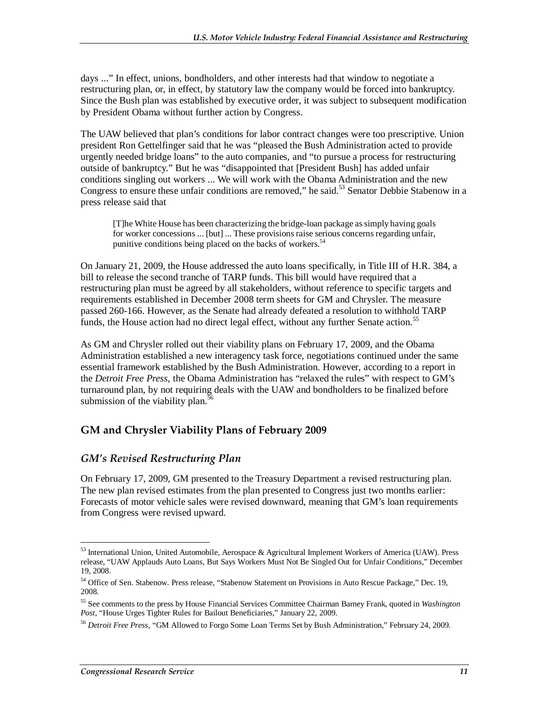days ..." In effect, unions, bondholders, and other interests had that window to negotiate a restructuring plan, or, in effect, by statutory law the company would be forced into bankruptcy. Since the Bush plan was established by executive order, it was subject to subsequent modification by President Obama without further action by Congress.

The UAW believed that plan's conditions for labor contract changes were too prescriptive. Union president Ron Gettelfinger said that he was "pleased the Bush Administration acted to provide urgently needed bridge loans" to the auto companies, and "to pursue a process for restructuring outside of bankruptcy." But he was "disappointed that [President Bush] has added unfair conditions singling out workers ... We will work with the Obama Administration and the new Congress to ensure these unfair conditions are removed," he said.<sup>53</sup> Senator Debbie Stabenow in a press release said that

[T]he White House has been characterizing the bridge-loan package as simply having goals for worker concessions ... [but] ... These provisions raise serious concerns regarding unfair, punitive conditions being placed on the backs of workers.<sup>54</sup>

On January 21, 2009, the House addressed the auto loans specifically, in Title III of H.R. 384, a bill to release the second tranche of TARP funds. This bill would have required that a restructuring plan must be agreed by all stakeholders, without reference to specific targets and requirements established in December 2008 term sheets for GM and Chrysler. The measure passed 260-166. However, as the Senate had already defeated a resolution to withhold TARP funds, the House action had no direct legal effect, without any further Senate action.<sup>55</sup>

As GM and Chrysler rolled out their viability plans on February 17, 2009, and the Obama Administration established a new interagency task force, negotiations continued under the same essential framework established by the Bush Administration. However, according to a report in the *Detroit Free Press*, the Obama Administration has "relaxed the rules" with respect to GM's turnaround plan, by not requiring deals with the UAW and bondholders to be finalized before submission of the viability plan.<sup>56</sup>

#### **GM and Chrysler Viability Plans of February 2009**

#### *GM's Revised Restructuring Plan*

On February 17, 2009, GM presented to the Treasury Department a revised restructuring plan. The new plan revised estimates from the plan presented to Congress just two months earlier: Forecasts of motor vehicle sales were revised downward, meaning that GM's loan requirements from Congress were revised upward.

-

 $53$  International Union, United Automobile, Aerospace & Agricultural Implement Workers of America (UAW). Press release, "UAW Applauds Auto Loans, But Says Workers Must Not Be Singled Out for Unfair Conditions," December 19, 2008.

<sup>&</sup>lt;sup>54</sup> Office of Sen. Stabenow. Press release, "Stabenow Statement on Provisions in Auto Rescue Package," Dec. 19, 2008.

<sup>55</sup> See comments to the press by House Financial Services Committee Chairman Barney Frank, quoted in *Washington Post*, "House Urges Tighter Rules for Bailout Beneficiaries," January 22, 2009.

<sup>56</sup> *Detroit Free Press*, "GM Allowed to Forgo Some Loan Terms Set by Bush Administration," February 24, 2009.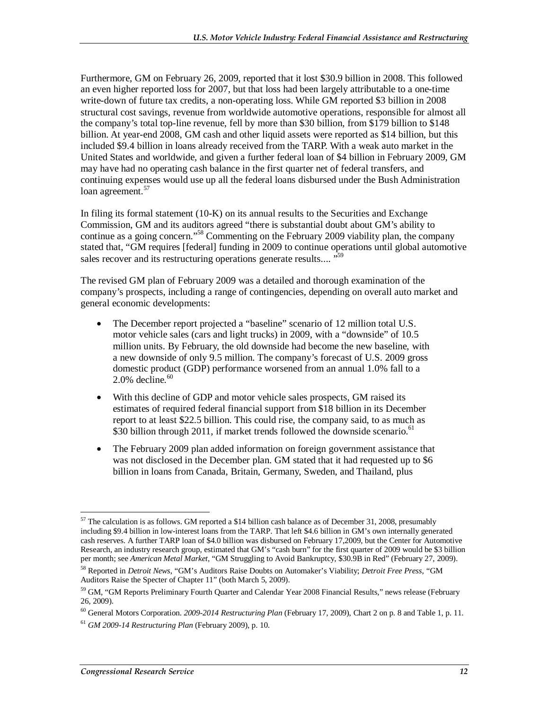Furthermore, GM on February 26, 2009, reported that it lost \$30.9 billion in 2008. This followed an even higher reported loss for 2007, but that loss had been largely attributable to a one-time write-down of future tax credits, a non-operating loss. While GM reported \$3 billion in 2008 structural cost savings, revenue from worldwide automotive operations, responsible for almost all the company's total top-line revenue, fell by more than \$30 billion, from \$179 billion to \$148 billion. At year-end 2008, GM cash and other liquid assets were reported as \$14 billion, but this included \$9.4 billion in loans already received from the TARP. With a weak auto market in the United States and worldwide, and given a further federal loan of \$4 billion in February 2009, GM may have had no operating cash balance in the first quarter net of federal transfers, and continuing expenses would use up all the federal loans disbursed under the Bush Administration loan agreement.<sup>57</sup>

In filing its formal statement (10-K) on its annual results to the Securities and Exchange Commission, GM and its auditors agreed "there is substantial doubt about GM's ability to continue as a going concern."58 Commenting on the February 2009 viability plan, the company stated that, "GM requires [federal] funding in 2009 to continue operations until global automotive sales recover and its restructuring operations generate results.... "<sup>59</sup>

The revised GM plan of February 2009 was a detailed and thorough examination of the company's prospects, including a range of contingencies, depending on overall auto market and general economic developments:

- The December report projected a "baseline" scenario of 12 million total U.S. motor vehicle sales (cars and light trucks) in 2009, with a "downside" of 10.5 million units. By February, the old downside had become the new baseline, with a new downside of only 9.5 million. The company's forecast of U.S. 2009 gross domestic product (GDP) performance worsened from an annual 1.0% fall to a  $2.0\%$  decline.<sup>60</sup>
- With this decline of GDP and motor vehicle sales prospects, GM raised its estimates of required federal financial support from \$18 billion in its December report to at least \$22.5 billion. This could rise, the company said, to as much as \$30 billion through 2011, if market trends followed the downside scenario.<sup>61</sup>
- The February 2009 plan added information on foreign government assistance that was not disclosed in the December plan. GM stated that it had requested up to \$6 billion in loans from Canada, Britain, Germany, Sweden, and Thailand, plus

<sup>-</sup> $57$  The calculation is as follows. GM reported a \$14 billion cash balance as of December 31, 2008, presumably including \$9.4 billion in low-interest loans from the TARP. That left \$4.6 billion in GM's own internally generated cash reserves. A further TARP loan of \$4.0 billion was disbursed on February 17,2009, but the Center for Automotive Research, an industry research group, estimated that GM's "cash burn" for the first quarter of 2009 would be \$3 billion per month; see *American Metal Market*, "GM Struggling to Avoid Bankruptcy, \$30.9B in Red" (February 27, 2009).

<sup>58</sup> Reported in *Detroit News*, "GM's Auditors Raise Doubts on Automaker's Viability; *Detroit Free Press*, "GM Auditors Raise the Specter of Chapter 11" (both March 5, 2009).

<sup>&</sup>lt;sup>59</sup> GM, "GM Reports Preliminary Fourth Quarter and Calendar Year 2008 Financial Results," news release (February 26, 2009).

<sup>60</sup> General Motors Corporation. *2009-2014 Restructuring Plan* (February 17, 2009), Chart 2 on p. 8 and Table 1, p. 11.

<sup>61</sup> *GM 2009-14 Restructuring Plan* (February 2009), p. 10.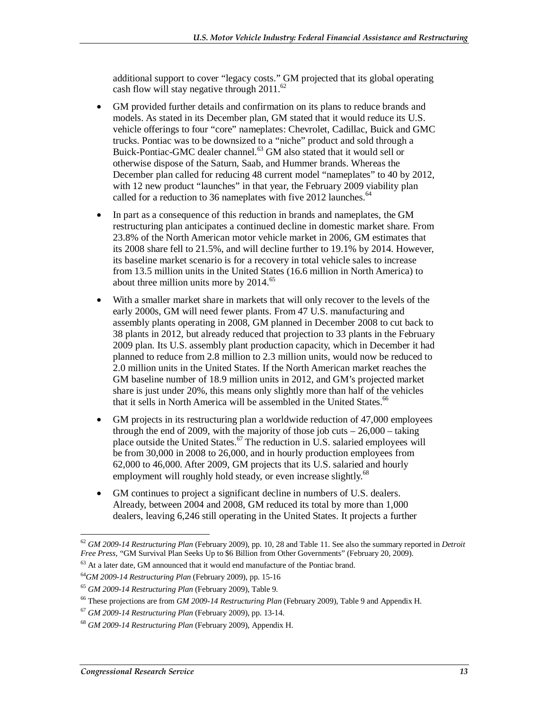additional support to cover "legacy costs." GM projected that its global operating cash flow will stay negative through  $2011$ .<sup>62</sup>

- GM provided further details and confirmation on its plans to reduce brands and models. As stated in its December plan, GM stated that it would reduce its U.S. vehicle offerings to four "core" nameplates: Chevrolet, Cadillac, Buick and GMC trucks. Pontiac was to be downsized to a "niche" product and sold through a Buick-Pontiac-GMC dealer channel.<sup>63</sup> GM also stated that it would sell or otherwise dispose of the Saturn, Saab, and Hummer brands. Whereas the December plan called for reducing 48 current model "nameplates" to 40 by 2012, with 12 new product "launches" in that year, the February 2009 viability plan called for a reduction to 36 nameplates with five 2012 launches.<sup>64</sup>
- In part as a consequence of this reduction in brands and nameplates, the GM restructuring plan anticipates a continued decline in domestic market share. From 23.8% of the North American motor vehicle market in 2006, GM estimates that its 2008 share fell to 21.5%, and will decline further to 19.1% by 2014. However, its baseline market scenario is for a recovery in total vehicle sales to increase from 13.5 million units in the United States (16.6 million in North America) to about three million units more by  $2014<sup>65</sup>$
- With a smaller market share in markets that will only recover to the levels of the early 2000s, GM will need fewer plants. From 47 U.S. manufacturing and assembly plants operating in 2008, GM planned in December 2008 to cut back to 38 plants in 2012, but already reduced that projection to 33 plants in the February 2009 plan. Its U.S. assembly plant production capacity, which in December it had planned to reduce from 2.8 million to 2.3 million units, would now be reduced to 2.0 million units in the United States. If the North American market reaches the GM baseline number of 18.9 million units in 2012, and GM's projected market share is just under 20%, this means only slightly more than half of the vehicles that it sells in North America will be assembled in the United States.<sup>66</sup>
- GM projects in its restructuring plan a worldwide reduction of 47,000 employees through the end of 2009, with the majority of those job cuts  $-26,000 - \text{taking}$ place outside the United States.<sup>67</sup> The reduction in U.S. salaried employees will be from 30,000 in 2008 to 26,000, and in hourly production employees from 62,000 to 46,000. After 2009, GM projects that its U.S. salaried and hourly employment will roughly hold steady, or even increase slightly.<sup>68</sup>
- GM continues to project a significant decline in numbers of U.S. dealers. Already, between 2004 and 2008, GM reduced its total by more than 1,000 dealers, leaving 6,246 still operating in the United States. It projects a further

<u>.</u>

<sup>62</sup> *GM 2009-14 Restructuring Plan* (February 2009), pp. 10, 28 and Table 11. See also the summary reported in *Detroit Free Press*, "GM Survival Plan Seeks Up to \$6 Billion from Other Governments" (February 20, 2009).

 $63$  At a later date. GM announced that it would end manufacture of the Pontiac brand.

<sup>64</sup>*GM 2009-14 Restructuring Plan* (February 2009), pp. 15-16

<sup>65</sup> *GM 2009-14 Restructuring Plan* (February 2009), Table 9.

<sup>66</sup> These projections are from *GM 2009-14 Restructuring Plan* (February 2009), Table 9 and Appendix H.

<sup>67</sup> *GM 2009-14 Restructuring Plan* (February 2009), pp. 13-14.

<sup>68</sup> *GM 2009-14 Restructuring Plan* (February 2009), Appendix H.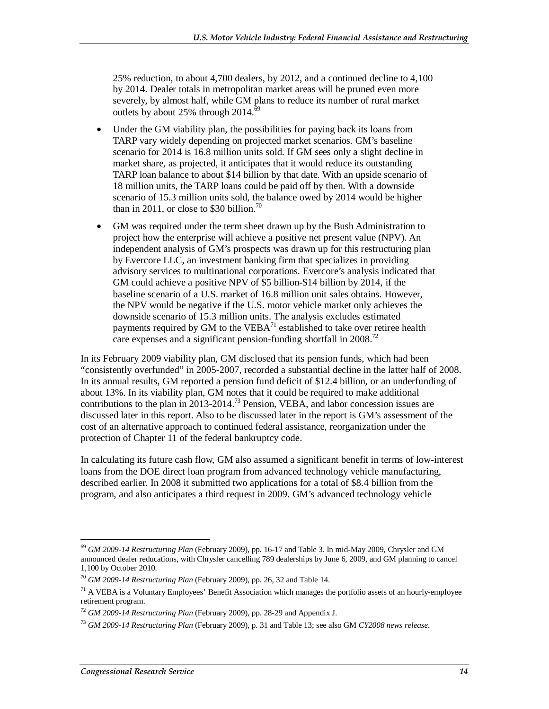25% reduction, to about 4,700 dealers, by 2012, and a continued decline to 4,100 by 2014. Dealer totals in metropolitan market areas will be pruned even more severely, by almost half, while GM plans to reduce its number of rural market outlets by about 25% through 2014. $69$ 

- Under the GM viability plan, the possibilities for paying back its loans from TARP vary widely depending on projected market scenarios. GM's baseline scenario for 2014 is 16.8 million units sold. If GM sees only a slight decline in market share, as projected, it anticipates that it would reduce its outstanding TARP loan balance to about \$14 billion by that date. With an upside scenario of 18 million units, the TARP loans could be paid off by then. With a downside scenario of 15.3 million units sold, the balance owed by 2014 would be higher than in 2011, or close to \$30 billion.<sup>70</sup>
- GM was required under the term sheet drawn up by the Bush Administration to project how the enterprise will achieve a positive net present value (NPV). An independent analysis of GM's prospects was drawn up for this restructuring plan by Evercore LLC, an investment banking firm that specializes in providing advisory services to multinational corporations. Evercore's analysis indicated that GM could achieve a positive NPV of \$5 billion-\$14 billion by 2014, if the baseline scenario of a U.S. market of 16.8 million unit sales obtains. However, the NPV would be negative if the U.S. motor vehicle market only achieves the downside scenario of 15.3 million units. The analysis excludes estimated payments required by GM to the  $VEBA<sup>71</sup>$  established to take over retiree health care expenses and a significant pension-funding shortfall in 2008.<sup>72</sup>

In its February 2009 viability plan, GM disclosed that its pension funds, which had been "consistently overfunded" in 2005-2007, recorded a substantial decline in the latter half of 2008. In its annual results, GM reported a pension fund deficit of \$12.4 billion, or an underfunding of about 13%. In its viability plan, GM notes that it could be required to make additional contributions to the plan in 2013-2014.73 Pension, VEBA, and labor concession issues are discussed later in this report. Also to be discussed later in the report is GM's assessment of the cost of an alternative approach to continued federal assistance, reorganization under the protection of Chapter 11 of the federal bankruptcy code.

In calculating its future cash flow, GM also assumed a significant benefit in terms of low-interest loans from the DOE direct loan program from advanced technology vehicle manufacturing, described earlier. In 2008 it submitted two applications for a total of \$8.4 billion from the program, and also anticipates a third request in 2009. GM's advanced technology vehicle

<u>.</u>

<sup>69</sup> *GM 2009-14 Restructuring Plan* (February 2009), pp. 16-17 and Table 3. In mid-May 2009, Chrysler and GM announced dealer reducations, with Chrysler cancelling 789 dealerships by June 6, 2009, and GM planning to cancel 1,100 by October 2010.

<sup>70</sup> *GM 2009-14 Restructuring Plan* (February 2009), pp. 26, 32 and Table 14.

 $71$  A VEBA is a Voluntary Employees' Benefit Association which manages the portfolio assets of an hourly-employee retirement program.

<sup>72</sup> *GM 2009-14 Restructuring Plan* (February 2009), pp. 28-29 and Appendix J.

<sup>73</sup> *GM 2009-14 Restructuring Plan* (February 2009), p. 31 and Table 13; see also GM *CY2008 news release*.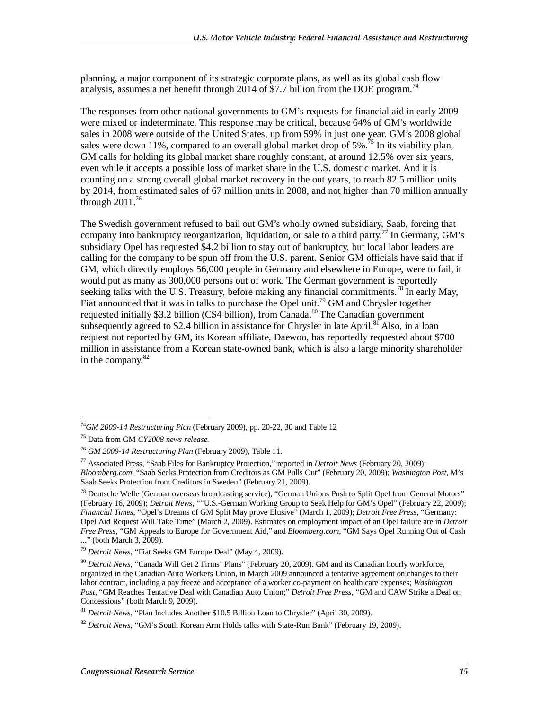planning, a major component of its strategic corporate plans, as well as its global cash flow analysis, assumes a net benefit through 2014 of \$7.7 billion from the DOE program.<sup>74</sup>

The responses from other national governments to GM's requests for financial aid in early 2009 were mixed or indeterminate. This response may be critical, because 64% of GM's worldwide sales in 2008 were outside of the United States, up from 59% in just one year. GM's 2008 global sales were down 11%, compared to an overall global market drop of  $5\%$ .<sup>75</sup> In its viability plan, GM calls for holding its global market share roughly constant, at around 12.5% over six years, even while it accepts a possible loss of market share in the U.S. domestic market. And it is counting on a strong overall global market recovery in the out years, to reach 82.5 million units by 2014, from estimated sales of 67 million units in 2008, and not higher than 70 million annually through  $2011.<sup>76</sup>$ 

The Swedish government refused to bail out GM's wholly owned subsidiary, Saab, forcing that company into bankruptcy reorganization, liquidation, or sale to a third party.<sup>77</sup> In Germany, GM's subsidiary Opel has requested \$4.2 billion to stay out of bankruptcy, but local labor leaders are calling for the company to be spun off from the U.S. parent. Senior GM officials have said that if GM, which directly employs 56,000 people in Germany and elsewhere in Europe, were to fail, it would put as many as 300,000 persons out of work. The German government is reportedly seeking talks with the U.S. Treasury, before making any financial commitments.<sup>78</sup> In early May, Fiat announced that it was in talks to purchase the Opel unit.<sup>79</sup> GM and Chrysler together requested initially \$3.2 billion (C\$4 billion), from Canada.<sup>80</sup> The Canadian government subsequently agreed to \$2.4 billion in assistance for Chrysler in late April.<sup>81</sup> Also, in a loan request not reported by GM, its Korean affiliate, Daewoo, has reportedly requested about \$700 million in assistance from a Korean state-owned bank, which is also a large minority shareholder in the company. $82$ 

 $\overline{a}$ <sup>74</sup>*GM 2009-14 Restructuring Plan* (February 2009), pp. 20-22, 30 and Table 12

<sup>75</sup> Data from GM *CY2008 news release.*

<sup>76</sup> *GM 2009-14 Restructuring Plan* (February 2009), Table 11.

<sup>77</sup> Associated Press, "Saab Files for Bankruptcy Protection," reported in *Detroit News* (February 20, 2009); *Bloomberg.com*, "Saab Seeks Protection from Creditors as GM Pulls Out" (February 20, 2009); *Washington Post*, M's Saab Seeks Protection from Creditors in Sweden" (February 21, 2009).

<sup>&</sup>lt;sup>78</sup> Deutsche Welle (German overseas broadcasting service), "German Unions Push to Split Opel from General Motors" (February 16, 2009); *Detroit News*, ""U.S.-German Working Group to Seek Help for GM's Opel" (February 22, 2009); *Financial Times*, "Opel's Dreams of GM Split May prove Elusive" (March 1, 2009); *Detroit Free Press*, "Germany: Opel Aid Request Will Take Time" (March 2, 2009). Estimates on employment impact of an Opel failure are in *Detroit Free Press*, "GM Appeals to Europe for Government Aid," and *Bloomberg.com*, "GM Says Opel Running Out of Cash ..." (both March 3, 2009).

<sup>79</sup> *Detroit News*, "Fiat Seeks GM Europe Deal" (May 4, 2009).

<sup>80</sup> *Detroit News*, "Canada Will Get 2 Firms' Plans" (February 20, 2009). GM and its Canadian hourly workforce, organized in the Canadian Auto Workers Union, in March 2009 announced a tentative agreement on changes to their labor contract, including a pay freeze and acceptance of a worker co-payment on health care expenses; *Washington Post*, "GM Reaches Tentative Deal with Canadian Auto Union;" *Detroit Free Press*, "GM and CAW Strike a Deal on Concessions" (both March 9, 2009).

<sup>81</sup> *Detroit News*, "Plan Includes Another \$10.5 Billion Loan to Chrysler" (April 30, 2009).

<sup>82</sup> *Detroit News*, "GM's South Korean Arm Holds talks with State-Run Bank" (February 19, 2009).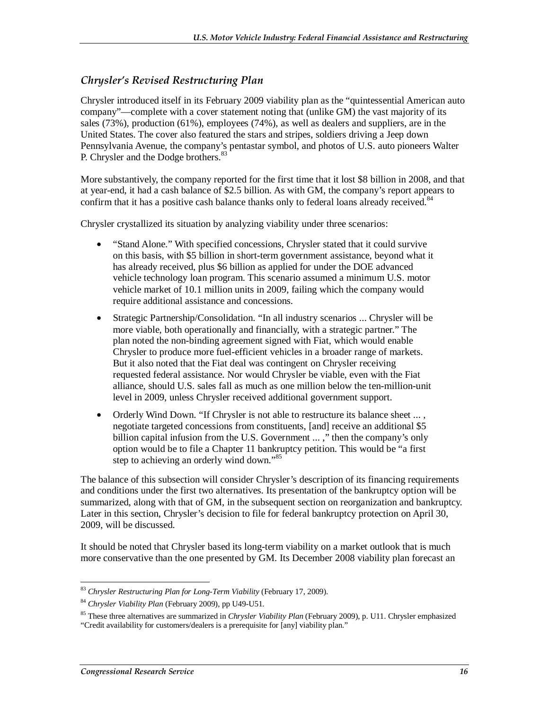#### *Chrysler's Revised Restructuring Plan*

Chrysler introduced itself in its February 2009 viability plan as the "quintessential American auto company"—complete with a cover statement noting that (unlike GM) the vast majority of its sales (73%), production (61%), employees (74%), as well as dealers and suppliers, are in the United States. The cover also featured the stars and stripes, soldiers driving a Jeep down Pennsylvania Avenue, the company's pentastar symbol, and photos of U.S. auto pioneers Walter P. Chrysler and the Dodge brothers.<sup>83</sup>

More substantively, the company reported for the first time that it lost \$8 billion in 2008, and that at year-end, it had a cash balance of \$2.5 billion. As with GM, the company's report appears to confirm that it has a positive cash balance thanks only to federal loans already received.<sup>84</sup>

Chrysler crystallized its situation by analyzing viability under three scenarios:

- "Stand Alone." With specified concessions, Chrysler stated that it could survive on this basis, with \$5 billion in short-term government assistance, beyond what it has already received, plus \$6 billion as applied for under the DOE advanced vehicle technology loan program. This scenario assumed a minimum U.S. motor vehicle market of 10.1 million units in 2009, failing which the company would require additional assistance and concessions.
- Strategic Partnership/Consolidation. "In all industry scenarios ... Chrysler will be more viable, both operationally and financially, with a strategic partner." The plan noted the non-binding agreement signed with Fiat, which would enable Chrysler to produce more fuel-efficient vehicles in a broader range of markets. But it also noted that the Fiat deal was contingent on Chrysler receiving requested federal assistance. Nor would Chrysler be viable, even with the Fiat alliance, should U.S. sales fall as much as one million below the ten-million-unit level in 2009, unless Chrysler received additional government support.
- Orderly Wind Down. "If Chrysler is not able to restructure its balance sheet ... , negotiate targeted concessions from constituents, [and] receive an additional \$5 billion capital infusion from the U.S. Government ... ," then the company's only option would be to file a Chapter 11 bankruptcy petition. This would be "a first step to achieving an orderly wind down."<sup>85</sup>

The balance of this subsection will consider Chrysler's description of its financing requirements and conditions under the first two alternatives. Its presentation of the bankruptcy option will be summarized, along with that of GM, in the subsequent section on reorganization and bankruptcy. Later in this section, Chrysler's decision to file for federal bankruptcy protection on April 30, 2009, will be discussed.

It should be noted that Chrysler based its long-term viability on a market outlook that is much more conservative than the one presented by GM. Its December 2008 viability plan forecast an

<sup>-</sup><sup>83</sup> *Chrysler Restructuring Plan for Long-Term Viability* (February 17, 2009).

<sup>84</sup> *Chrysler Viability Plan* (February 2009), pp U49-U51.

<sup>85</sup> These three alternatives are summarized in *Chrysler Viability Plan* (February 2009), p. U11. Chrysler emphasized "Credit availability for customers/dealers is a prerequisite for [any] viability plan."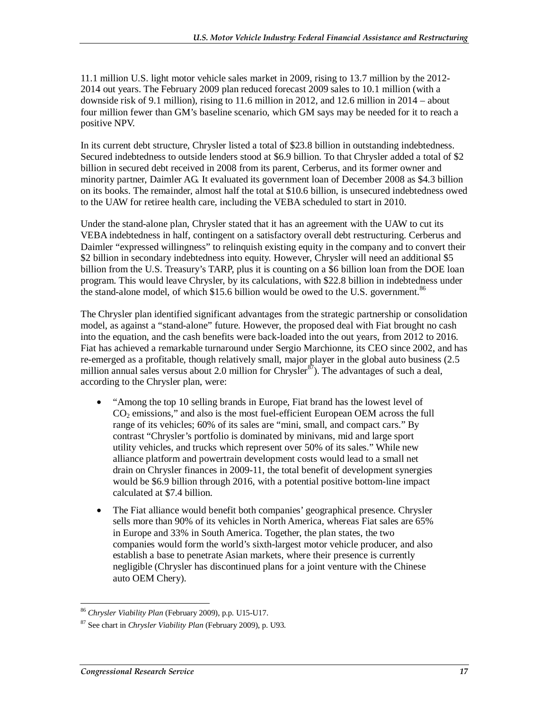11.1 million U.S. light motor vehicle sales market in 2009, rising to 13.7 million by the 2012- 2014 out years. The February 2009 plan reduced forecast 2009 sales to 10.1 million (with a downside risk of 9.1 million), rising to 11.6 million in 2012, and 12.6 million in 2014 – about four million fewer than GM's baseline scenario, which GM says may be needed for it to reach a positive NPV.

In its current debt structure, Chrysler listed a total of \$23.8 billion in outstanding indebtedness. Secured indebtedness to outside lenders stood at \$6.9 billion. To that Chrysler added a total of \$2 billion in secured debt received in 2008 from its parent, Cerberus, and its former owner and minority partner, Daimler AG. It evaluated its government loan of December 2008 as \$4.3 billion on its books. The remainder, almost half the total at \$10.6 billion, is unsecured indebtedness owed to the UAW for retiree health care, including the VEBA scheduled to start in 2010.

Under the stand-alone plan, Chrysler stated that it has an agreement with the UAW to cut its VEBA indebtedness in half, contingent on a satisfactory overall debt restructuring. Cerberus and Daimler "expressed willingness" to relinquish existing equity in the company and to convert their \$2 billion in secondary indebtedness into equity. However, Chrysler will need an additional \$5 billion from the U.S. Treasury's TARP, plus it is counting on a \$6 billion loan from the DOE loan program. This would leave Chrysler, by its calculations, with \$22.8 billion in indebtedness under the stand-alone model, of which  $$15.6$  billion would be owed to the U.S. government.<sup>86</sup>

The Chrysler plan identified significant advantages from the strategic partnership or consolidation model, as against a "stand-alone" future. However, the proposed deal with Fiat brought no cash into the equation, and the cash benefits were back-loaded into the out years, from 2012 to 2016. Fiat has achieved a remarkable turnaround under Sergio Marchionne, its CEO since 2002, and has re-emerged as a profitable, though relatively small, major player in the global auto business (2.5 million annual sales versus about 2.0 million for Chrysler<sup>87</sup>). The advantages of such a deal, according to the Chrysler plan, were:

- "Among the top 10 selling brands in Europe, Fiat brand has the lowest level of  $CO<sub>2</sub>$  emissions," and also is the most fuel-efficient European OEM across the full range of its vehicles; 60% of its sales are "mini, small, and compact cars." By contrast "Chrysler's portfolio is dominated by minivans, mid and large sport utility vehicles, and trucks which represent over 50% of its sales." While new alliance platform and powertrain development costs would lead to a small net drain on Chrysler finances in 2009-11, the total benefit of development synergies would be \$6.9 billion through 2016, with a potential positive bottom-line impact calculated at \$7.4 billion.
- The Fiat alliance would benefit both companies' geographical presence. Chrysler sells more than 90% of its vehicles in North America, whereas Fiat sales are 65% in Europe and 33% in South America. Together, the plan states, the two companies would form the world's sixth-largest motor vehicle producer, and also establish a base to penetrate Asian markets, where their presence is currently negligible (Chrysler has discontinued plans for a joint venture with the Chinese auto OEM Chery).

 $\overline{a}$ <sup>86</sup> *Chrysler Viability Plan* (February 2009), p.p. U15-U17.

<sup>87</sup> See chart in *Chrysler Viability Plan* (February 2009), p. U93.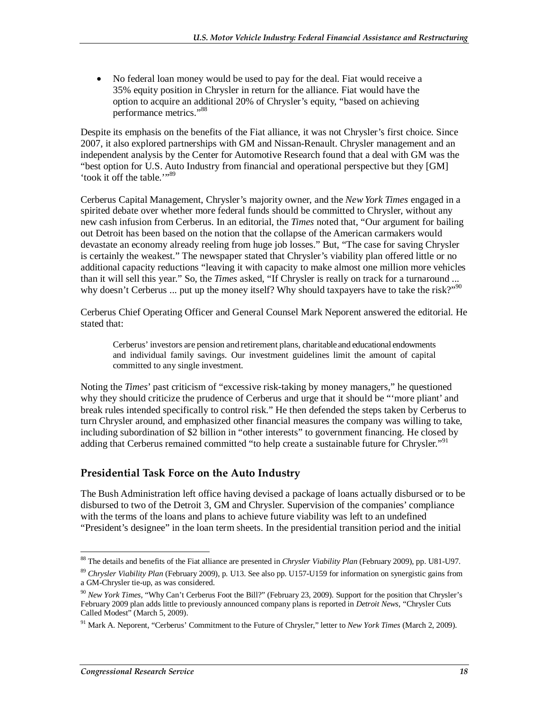• No federal loan money would be used to pay for the deal. Fiat would receive a 35% equity position in Chrysler in return for the alliance. Fiat would have the option to acquire an additional 20% of Chrysler's equity, "based on achieving performance metrics."<sup>88</sup>

Despite its emphasis on the benefits of the Fiat alliance, it was not Chrysler's first choice. Since 2007, it also explored partnerships with GM and Nissan-Renault. Chrysler management and an independent analysis by the Center for Automotive Research found that a deal with GM was the "best option for U.S. Auto Industry from financial and operational perspective but they [GM] 'took it off the table.'"<sup>89</sup>

Cerberus Capital Management, Chrysler's majority owner, and the *New York Times* engaged in a spirited debate over whether more federal funds should be committed to Chrysler, without any new cash infusion from Cerberus. In an editorial, the *Times* noted that, "Our argument for bailing out Detroit has been based on the notion that the collapse of the American carmakers would devastate an economy already reeling from huge job losses." But, "The case for saving Chrysler is certainly the weakest." The newspaper stated that Chrysler's viability plan offered little or no additional capacity reductions "leaving it with capacity to make almost one million more vehicles than it will sell this year." So, the *Times* asked, "If Chrysler is really on track for a turnaround ... why doesn't Cerberus ... put up the money itself? Why should taxpayers have to take the risk?"<sup>90</sup>

Cerberus Chief Operating Officer and General Counsel Mark Neporent answered the editorial. He stated that:

Cerberus' investors are pension and retirement plans, charitable and educational endowments and individual family savings. Our investment guidelines limit the amount of capital committed to any single investment.

Noting the *Times*' past criticism of "excessive risk-taking by money managers," he questioned why they should criticize the prudence of Cerberus and urge that it should be "'more pliant' and break rules intended specifically to control risk." He then defended the steps taken by Cerberus to turn Chrysler around, and emphasized other financial measures the company was willing to take, including subordination of \$2 billion in "other interests" to government financing. He closed by adding that Cerberus remained committed "to help create a sustainable future for Chrysler."<sup>91</sup>

#### **Presidential Task Force on the Auto Industry**

The Bush Administration left office having devised a package of loans actually disbursed or to be disbursed to two of the Detroit 3, GM and Chrysler. Supervision of the companies' compliance with the terms of the loans and plans to achieve future viability was left to an undefined "President's designee" in the loan term sheets. In the presidential transition period and the initial

<sup>&</sup>lt;u>.</u> 88 The details and benefits of the Fiat alliance are presented in *Chrysler Viability Plan* (February 2009), pp. U81-U97.

<sup>89</sup> *Chrysler Viability Plan* (February 2009), p. U13. See also pp. U157-U159 for information on synergistic gains from a GM-Chrysler tie-up, as was considered.

<sup>90</sup> *New York Times*, "Why Can't Cerberus Foot the Bill?" (February 23, 2009). Support for the position that Chrysler's February 2009 plan adds little to previously announced company plans is reported in *Detroit News*, "Chrysler Cuts Called Modest" (March 5, 2009).

<sup>91</sup> Mark A. Neporent, "Cerberus' Commitment to the Future of Chrysler," letter to *New York Times* (March 2, 2009).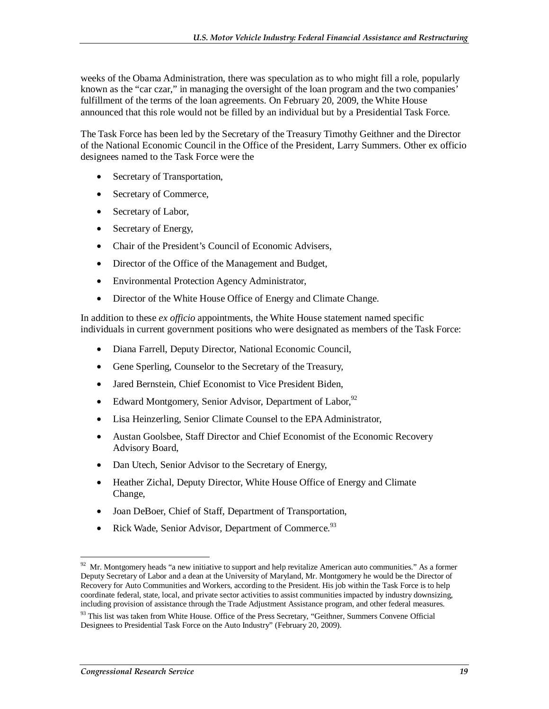weeks of the Obama Administration, there was speculation as to who might fill a role, popularly known as the "car czar," in managing the oversight of the loan program and the two companies' fulfillment of the terms of the loan agreements. On February 20, 2009, the White House announced that this role would not be filled by an individual but by a Presidential Task Force.

The Task Force has been led by the Secretary of the Treasury Timothy Geithner and the Director of the National Economic Council in the Office of the President, Larry Summers. Other ex officio designees named to the Task Force were the

- Secretary of Transportation,
- Secretary of Commerce,
- Secretary of Labor,
- Secretary of Energy,
- Chair of the President's Council of Economic Advisers,
- Director of the Office of the Management and Budget,
- Environmental Protection Agency Administrator,
- Director of the White House Office of Energy and Climate Change.

In addition to these *ex officio* appointments, the White House statement named specific individuals in current government positions who were designated as members of the Task Force:

- Diana Farrell, Deputy Director, National Economic Council,
- Gene Sperling, Counselor to the Secretary of the Treasury,
- Jared Bernstein, Chief Economist to Vice President Biden,
- Edward Montgomery, Senior Advisor, Department of Labor.<sup>92</sup>
- Lisa Heinzerling, Senior Climate Counsel to the EPA Administrator,
- Austan Goolsbee, Staff Director and Chief Economist of the Economic Recovery Advisory Board,
- Dan Utech, Senior Advisor to the Secretary of Energy,
- Heather Zichal, Deputy Director, White House Office of Energy and Climate Change,
- Joan DeBoer, Chief of Staff, Department of Transportation,
- Rick Wade, Senior Advisor, Department of Commerce. $93$

<u>.</u>

 $92$  Mr. Montgomery heads "a new initiative to support and help revitalize American auto communities." As a former Deputy Secretary of Labor and a dean at the University of Maryland, Mr. Montgomery he would be the Director of Recovery for Auto Communities and Workers, according to the President. His job within the Task Force is to help coordinate federal, state, local, and private sector activities to assist communities impacted by industry downsizing, including provision of assistance through the Trade Adjustment Assistance program, and other federal measures.

<sup>93</sup> This list was taken from White House. Office of the Press Secretary, "Geithner, Summers Convene Official Designees to Presidential Task Force on the Auto Industry" (February 20, 2009).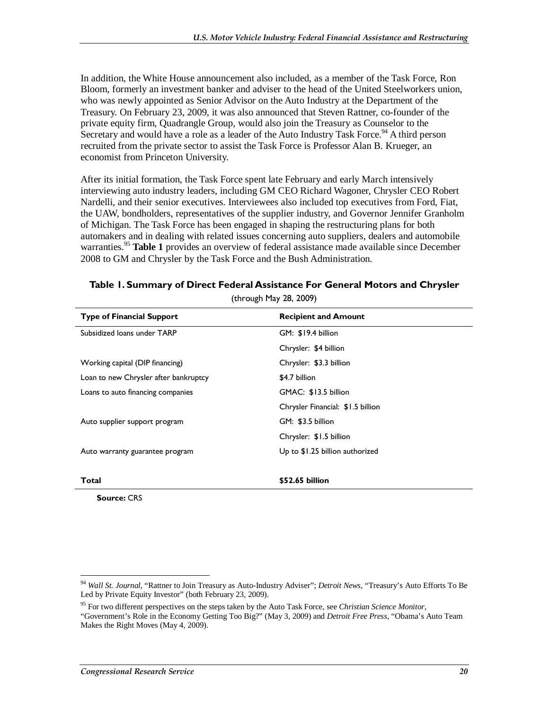In addition, the White House announcement also included, as a member of the Task Force, Ron Bloom, formerly an investment banker and adviser to the head of the United Steelworkers union, who was newly appointed as Senior Advisor on the Auto Industry at the Department of the Treasury. On February 23, 2009, it was also announced that Steven Rattner, co-founder of the private equity firm, Quadrangle Group, would also join the Treasury as Counselor to the Secretary and would have a role as a leader of the Auto Industry Task Force.  $94$  A third person recruited from the private sector to assist the Task Force is Professor Alan B. Krueger, an economist from Princeton University.

After its initial formation, the Task Force spent late February and early March intensively interviewing auto industry leaders, including GM CEO Richard Wagoner, Chrysler CEO Robert Nardelli, and their senior executives. Interviewees also included top executives from Ford, Fiat, the UAW, bondholders, representatives of the supplier industry, and Governor Jennifer Granholm of Michigan. The Task Force has been engaged in shaping the restructuring plans for both automakers and in dealing with related issues concerning auto suppliers, dealers and automobile warranties.<sup>95</sup> Table 1 provides an overview of federal assistance made available since December 2008 to GM and Chrysler by the Task Force and the Bush Administration.

| $\frac{1}{2}$ $\frac{1}{2}$ $\frac{1}{2}$ $\frac{1}{2}$ |                                   |  |  |
|---------------------------------------------------------|-----------------------------------|--|--|
| <b>Type of Financial Support</b>                        | <b>Recipient and Amount</b>       |  |  |
| Subsidized loans under TARP                             | GM: \$19.4 billion                |  |  |
|                                                         | Chrysler: \$4 billion             |  |  |
| Working capital (DIP financing)                         | Chrysler: \$3.3 billion           |  |  |
| Loan to new Chrysler after bankruptcy                   | \$4.7 billion                     |  |  |
| Loans to auto financing companies                       | GMAC: \$13.5 billion              |  |  |
|                                                         | Chrysler Financial: \$1.5 billion |  |  |
| Auto supplier support program                           | GM: \$3.5 billion                 |  |  |
|                                                         | Chrysler: \$1.5 billion           |  |  |
| Auto warranty guarantee program                         | Up to \$1.25 billion authorized   |  |  |
| Total                                                   | \$52.65 billion                   |  |  |
| <b>Source: CRS</b>                                      |                                   |  |  |

**Table 1. Summary of Direct Federal Assistance For General Motors and Chrysler** 

(through May 28, 2009)

**Source:** CRS

<sup>&</sup>lt;u>.</u> <sup>94</sup> *Wall St. Journal*, "Rattner to Join Treasury as Auto-Industry Adviser"; *Detroit News*, "Treasury's Auto Efforts To Be Led by Private Equity Investor" (both February 23, 2009).

<sup>95</sup> For two different perspectives on the steps taken by the Auto Task Force, see *Christian Science Monitor*,

<sup>&</sup>quot;Government's Role in the Economy Getting Too Big?" (May 3, 2009) and *Detroit Free Press*, "Obama's Auto Team Makes the Right Moves (May 4, 2009).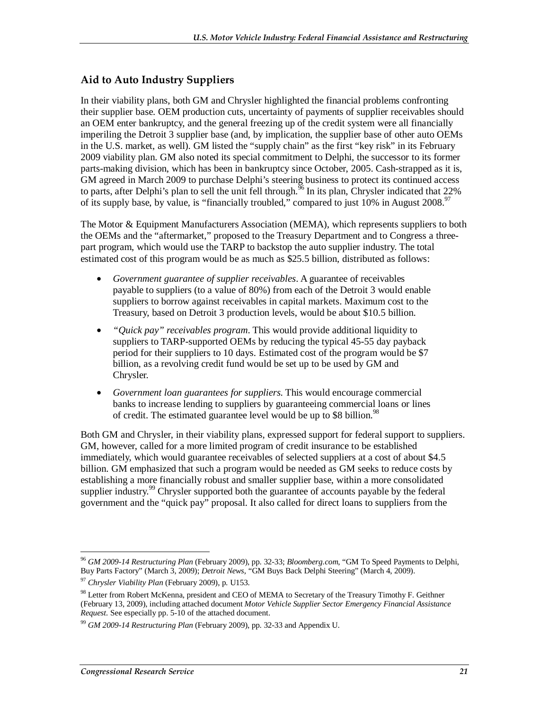#### **Aid to Auto Industry Suppliers**

In their viability plans, both GM and Chrysler highlighted the financial problems confronting their supplier base. OEM production cuts, uncertainty of payments of supplier receivables should an OEM enter bankruptcy, and the general freezing up of the credit system were all financially imperiling the Detroit 3 supplier base (and, by implication, the supplier base of other auto OEMs in the U.S. market, as well). GM listed the "supply chain" as the first "key risk" in its February 2009 viability plan. GM also noted its special commitment to Delphi, the successor to its former parts-making division, which has been in bankruptcy since October, 2005. Cash-strapped as it is, GM agreed in March 2009 to purchase Delphi's steering business to protect its continued access to parts, after Delphi's plan to sell the unit fell through.<sup>96</sup> In its plan, Chrysler indicated that  $22\%$ of its supply base, by value, is "financially troubled," compared to just 10% in August 2008.<sup>97</sup>

The Motor & Equipment Manufacturers Association (MEMA), which represents suppliers to both the OEMs and the "aftermarket," proposed to the Treasury Department and to Congress a threepart program, which would use the TARP to backstop the auto supplier industry. The total estimated cost of this program would be as much as \$25.5 billion, distributed as follows:

- *Government guarantee of supplier receivables*. A guarantee of receivables payable to suppliers (to a value of 80%) from each of the Detroit 3 would enable suppliers to borrow against receivables in capital markets. Maximum cost to the Treasury, based on Detroit 3 production levels, would be about \$10.5 billion.
- *"Quick pay" receivables program*. This would provide additional liquidity to suppliers to TARP-supported OEMs by reducing the typical 45-55 day payback period for their suppliers to 10 days. Estimated cost of the program would be \$7 billion, as a revolving credit fund would be set up to be used by GM and Chrysler.
- *Government loan guarantees for suppliers*. This would encourage commercial banks to increase lending to suppliers by guaranteeing commercial loans or lines of credit. The estimated guarantee level would be up to \$8 billion.<sup>98</sup>

Both GM and Chrysler, in their viability plans, expressed support for federal support to suppliers. GM, however, called for a more limited program of credit insurance to be established immediately, which would guarantee receivables of selected suppliers at a cost of about \$4.5 billion. GM emphasized that such a program would be needed as GM seeks to reduce costs by establishing a more financially robust and smaller supplier base, within a more consolidated supplier industry.<sup>99</sup> Chrysler supported both the guarantee of accounts payable by the federal government and the "quick pay" proposal. It also called for direct loans to suppliers from the

<sup>&</sup>lt;u>.</u> <sup>96</sup> *GM 2009-14 Restructuring Plan* (February 2009), pp. 32-33; *Bloomberg.com*, "GM To Speed Payments to Delphi, Buy Parts Factory" (March 3, 2009); *Detroit News*, "GM Buys Back Delphi Steering" (March 4, 2009).<br><sup>97</sup> *Chrysler Viability Plan* (February 2009), p. U153.

<sup>&</sup>lt;sup>98</sup> Letter from Robert McKenna, president and CEO of MEMA to Secretary of the Treasury Timothy F. Geithner (February 13, 2009), including attached document *Motor Vehicle Supplier Sector Emergency Financial Assistance Request.* See especially pp. 5-10 of the attached document.

<sup>99</sup> *GM 2009-14 Restructuring Plan* (February 2009), pp. 32-33 and Appendix U.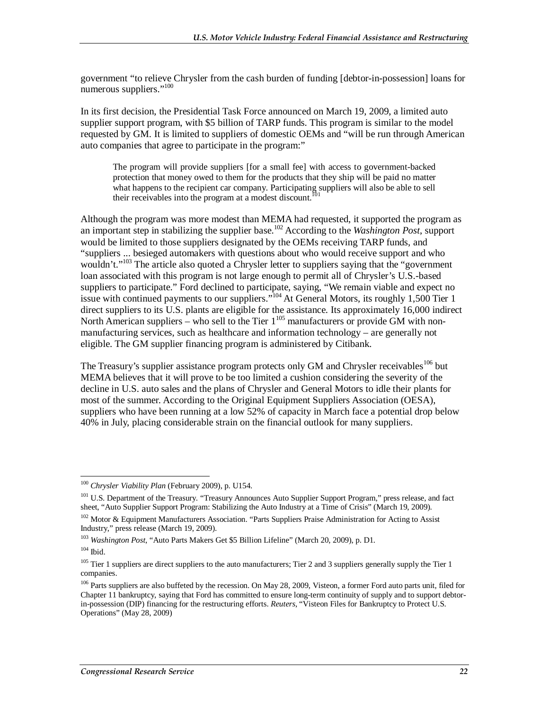government "to relieve Chrysler from the cash burden of funding [debtor-in-possession] loans for numerous suppliers."<sup>100</sup>

In its first decision, the Presidential Task Force announced on March 19, 2009, a limited auto supplier support program, with \$5 billion of TARP funds. This program is similar to the model requested by GM. It is limited to suppliers of domestic OEMs and "will be run through American auto companies that agree to participate in the program:"

The program will provide suppliers [for a small fee] with access to government-backed protection that money owed to them for the products that they ship will be paid no matter what happens to the recipient car company. Participating suppliers will also be able to sell their receivables into the program at a modest discount.<sup>101</sup>

Although the program was more modest than MEMA had requested, it supported the program as an important step in stabilizing the supplier base.102 According to the *Washington Post*, support would be limited to those suppliers designated by the OEMs receiving TARP funds, and "suppliers ... besieged automakers with questions about who would receive support and who wouldn't."<sup>103</sup> The article also quoted a Chrysler letter to suppliers saying that the "government" loan associated with this program is not large enough to permit all of Chrysler's U.S.-based suppliers to participate." Ford declined to participate, saying, "We remain viable and expect no issue with continued payments to our suppliers."<sup>104</sup> At General Motors, its roughly 1,500 Tier 1 direct suppliers to its U.S. plants are eligible for the assistance. Its approximately 16,000 indirect North American suppliers – who sell to the Tier  $1^{105}$  manufacturers or provide GM with nonmanufacturing services, such as healthcare and information technology – are generally not eligible. The GM supplier financing program is administered by Citibank.

The Treasury's supplier assistance program protects only GM and Chrysler receivables<sup>106</sup> but MEMA believes that it will prove to be too limited a cushion considering the severity of the decline in U.S. auto sales and the plans of Chrysler and General Motors to idle their plants for most of the summer. According to the Original Equipment Suppliers Association (OESA), suppliers who have been running at a low 52% of capacity in March face a potential drop below 40% in July, placing considerable strain on the financial outlook for many suppliers.

<sup>-</sup><sup>100</sup> *Chrysler Viability Plan* (February 2009), p. U154.

<sup>&</sup>lt;sup>101</sup> U.S. Department of the Treasury. "Treasury Announces Auto Supplier Support Program," press release, and fact sheet, "Auto Supplier Support Program: Stabilizing the Auto Industry at a Time of Crisis" (March 19, 2009).

<sup>&</sup>lt;sup>102</sup> Motor & Equipment Manufacturers Association. "Parts Suppliers Praise Administration for Acting to Assist Industry," press release (March 19, 2009).

<sup>103</sup> *Washington Post*, "Auto Parts Makers Get \$5 Billion Lifeline" (March 20, 2009), p. D1.

 $104$  Ibid.

 $105$  Tier 1 suppliers are direct suppliers to the auto manufacturers; Tier 2 and 3 suppliers generally supply the Tier 1 companies.

 $106$  Parts suppliers are also buffeted by the recession. On May 28, 2009, Visteon, a former Ford auto parts unit, filed for Chapter 11 bankruptcy, saying that Ford has committed to ensure long-term continuity of supply and to support debtorin-possession (DIP) financing for the restructuring efforts. *Reuters*, "Visteon Files for Bankruptcy to Protect U.S. Operations" (May 28, 2009)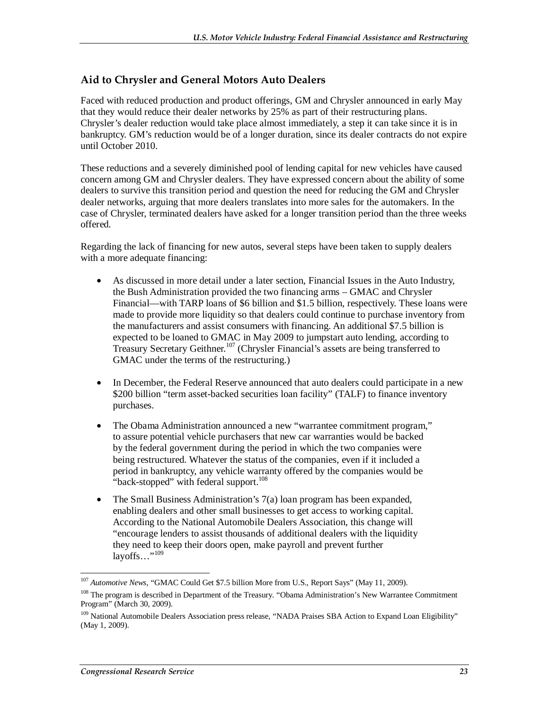#### **Aid to Chrysler and General Motors Auto Dealers**

Faced with reduced production and product offerings, GM and Chrysler announced in early May that they would reduce their dealer networks by 25% as part of their restructuring plans. Chrysler's dealer reduction would take place almost immediately, a step it can take since it is in bankruptcy. GM's reduction would be of a longer duration, since its dealer contracts do not expire until October 2010.

These reductions and a severely diminished pool of lending capital for new vehicles have caused concern among GM and Chrysler dealers. They have expressed concern about the ability of some dealers to survive this transition period and question the need for reducing the GM and Chrysler dealer networks, arguing that more dealers translates into more sales for the automakers. In the case of Chrysler, terminated dealers have asked for a longer transition period than the three weeks offered.

Regarding the lack of financing for new autos, several steps have been taken to supply dealers with a more adequate financing:

- As discussed in more detail under a later section, Financial Issues in the Auto Industry, the Bush Administration provided the two financing arms – GMAC and Chrysler Financial—with TARP loans of \$6 billion and \$1.5 billion, respectively. These loans were made to provide more liquidity so that dealers could continue to purchase inventory from the manufacturers and assist consumers with financing. An additional \$7.5 billion is expected to be loaned to GMAC in May 2009 to jumpstart auto lending, according to Treasury Secretary Geithner.107 (Chrysler Financial's assets are being transferred to GMAC under the terms of the restructuring.)
- In December, the Federal Reserve announced that auto dealers could participate in a new \$200 billion "term asset-backed securities loan facility" (TALF) to finance inventory purchases.
- The Obama Administration announced a new "warrantee commitment program," to assure potential vehicle purchasers that new car warranties would be backed by the federal government during the period in which the two companies were being restructured. Whatever the status of the companies, even if it included a period in bankruptcy, any vehicle warranty offered by the companies would be "back-stopped" with federal support. $108$
- The Small Business Administration's 7(a) loan program has been expanded, enabling dealers and other small businesses to get access to working capital. According to the National Automobile Dealers Association, this change will "encourage lenders to assist thousands of additional dealers with the liquidity they need to keep their doors open, make payroll and prevent further layoffs..." $^{109}$

 $\frac{1}{1}$ <sup>107</sup> *Automotive News*, "GMAC Could Get \$7.5 billion More from U.S., Report Says" (May 11, 2009).

<sup>&</sup>lt;sup>108</sup> The program is described in Department of the Treasury. "Obama Administration's New Warrantee Commitment Program" (March 30, 2009).

<sup>&</sup>lt;sup>109</sup> National Automobile Dealers Association press release, "NADA Praises SBA Action to Expand Loan Eligibility" (May 1, 2009).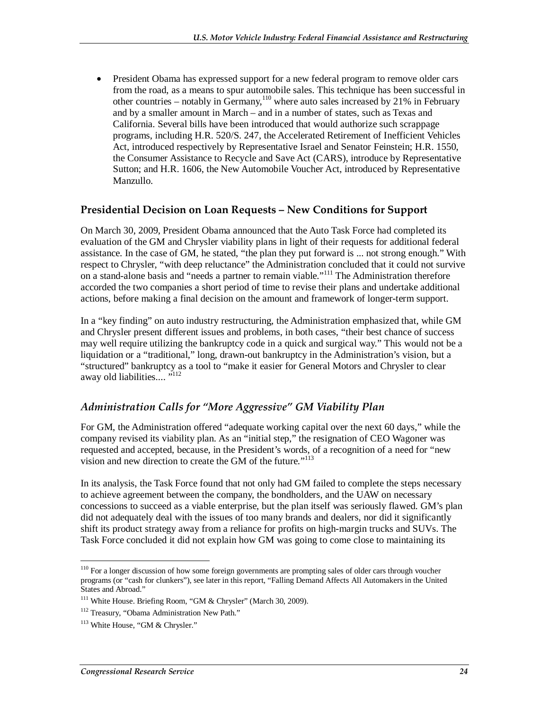• President Obama has expressed support for a new federal program to remove older cars from the road, as a means to spur automobile sales. This technique has been successful in other countries – notably in Germany,<sup>110</sup> where auto sales increased by 21% in February and by a smaller amount in March – and in a number of states, such as Texas and California. Several bills have been introduced that would authorize such scrappage programs, including H.R. 520/S. 247, the Accelerated Retirement of Inefficient Vehicles Act, introduced respectively by Representative Israel and Senator Feinstein; H.R. 1550, the Consumer Assistance to Recycle and Save Act (CARS), introduce by Representative Sutton; and H.R. 1606, the New Automobile Voucher Act, introduced by Representative Manzullo.

#### **Presidential Decision on Loan Requests – New Conditions for Support**

On March 30, 2009, President Obama announced that the Auto Task Force had completed its evaluation of the GM and Chrysler viability plans in light of their requests for additional federal assistance. In the case of GM, he stated, "the plan they put forward is ... not strong enough." With respect to Chrysler, "with deep reluctance" the Administration concluded that it could not survive on a stand-alone basis and "needs a partner to remain viable."111 The Administration therefore accorded the two companies a short period of time to revise their plans and undertake additional actions, before making a final decision on the amount and framework of longer-term support.

In a "key finding" on auto industry restructuring, the Administration emphasized that, while GM and Chrysler present different issues and problems, in both cases, "their best chance of success may well require utilizing the bankruptcy code in a quick and surgical way." This would not be a liquidation or a "traditional," long, drawn-out bankruptcy in the Administration's vision, but a "structured" bankruptcy as a tool to "make it easier for General Motors and Chrysler to clear away old liabilities.... "<sup>112</sup>

#### *Administration Calls for "More Aggressive" GM Viability Plan*

For GM, the Administration offered "adequate working capital over the next 60 days," while the company revised its viability plan. As an "initial step," the resignation of CEO Wagoner was requested and accepted, because, in the President's words, of a recognition of a need for "new vision and new direction to create the GM of the future."<sup>113</sup>

In its analysis, the Task Force found that not only had GM failed to complete the steps necessary to achieve agreement between the company, the bondholders, and the UAW on necessary concessions to succeed as a viable enterprise, but the plan itself was seriously flawed. GM's plan did not adequately deal with the issues of too many brands and dealers, nor did it significantly shift its product strategy away from a reliance for profits on high-margin trucks and SUVs. The Task Force concluded it did not explain how GM was going to come close to maintaining its

<sup>-</sup><sup>110</sup> For a longer discussion of how some foreign governments are prompting sales of older cars through voucher programs (or "cash for clunkers"), see later in this report, "Falling Demand Affects All Automakers in the United States and Abroad."

<sup>&</sup>lt;sup>111</sup> White House. Briefing Room, "GM & Chrysler" (March 30, 2009).

<sup>&</sup>lt;sup>112</sup> Treasury, "Obama Administration New Path."

<sup>&</sup>lt;sup>113</sup> White House, "GM & Chrysler."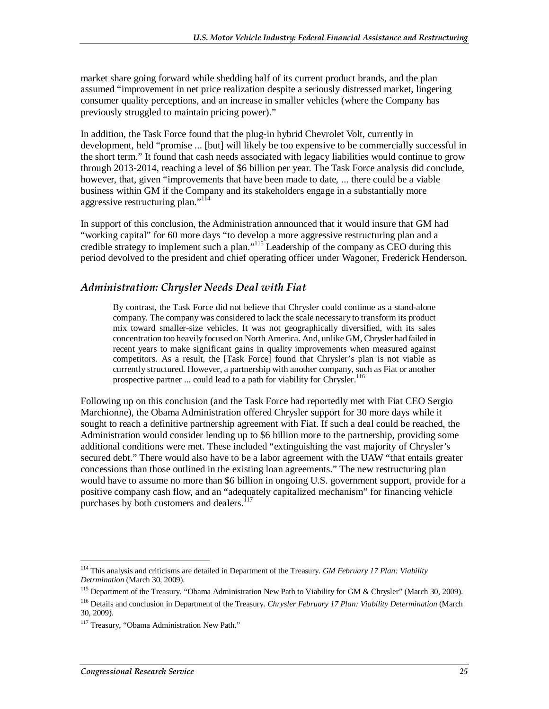market share going forward while shedding half of its current product brands, and the plan assumed "improvement in net price realization despite a seriously distressed market, lingering consumer quality perceptions, and an increase in smaller vehicles (where the Company has previously struggled to maintain pricing power)."

In addition, the Task Force found that the plug-in hybrid Chevrolet Volt, currently in development, held "promise ... [but] will likely be too expensive to be commercially successful in the short term." It found that cash needs associated with legacy liabilities would continue to grow through 2013-2014, reaching a level of \$6 billion per year. The Task Force analysis did conclude, however, that, given "improvements that have been made to date, ... there could be a viable business within GM if the Company and its stakeholders engage in a substantially more aggressive restructuring plan."<sup>114</sup>

In support of this conclusion, the Administration announced that it would insure that GM had "working capital" for 60 more days "to develop a more aggressive restructuring plan and a credible strategy to implement such a plan."<sup>115</sup> Leadership of the company as CEO during this period devolved to the president and chief operating officer under Wagoner, Frederick Henderson.

#### *Administration: Chrysler Needs Deal with Fiat*

By contrast, the Task Force did not believe that Chrysler could continue as a stand-alone company. The company was considered to lack the scale necessary to transform its product mix toward smaller-size vehicles. It was not geographically diversified, with its sales concentration too heavily focused on North America. And, unlike GM, Chrysler had failed in recent years to make significant gains in quality improvements when measured against competitors. As a result, the [Task Force] found that Chrysler's plan is not viable as currently structured. However, a partnership with another company, such as Fiat or another prospective partner ... could lead to a path for viability for Chrysler.<sup>116</sup>

Following up on this conclusion (and the Task Force had reportedly met with Fiat CEO Sergio Marchionne), the Obama Administration offered Chrysler support for 30 more days while it sought to reach a definitive partnership agreement with Fiat. If such a deal could be reached, the Administration would consider lending up to \$6 billion more to the partnership, providing some additional conditions were met. These included "extinguishing the vast majority of Chrysler's secured debt." There would also have to be a labor agreement with the UAW "that entails greater concessions than those outlined in the existing loan agreements." The new restructuring plan would have to assume no more than \$6 billion in ongoing U.S. government support, provide for a positive company cash flow, and an "adequately capitalized mechanism" for financing vehicle purchases by both customers and dealers. $^{117}$ 

<sup>-</sup>114 This analysis and criticisms are detailed in Department of the Treasury. *GM February 17 Plan: Viability Detrmination* (March 30, 2009).<br><sup>115</sup> Department of the Treasury. "Obama Administration New Path to Viability for GM & Chrysler" (March 30, 2009).

<sup>116</sup> Details and conclusion in Department of the Treasury. *Chrysler February 17 Plan: Viability Determination* (March 30, 2009).

<sup>&</sup>lt;sup>117</sup> Treasury, "Obama Administration New Path."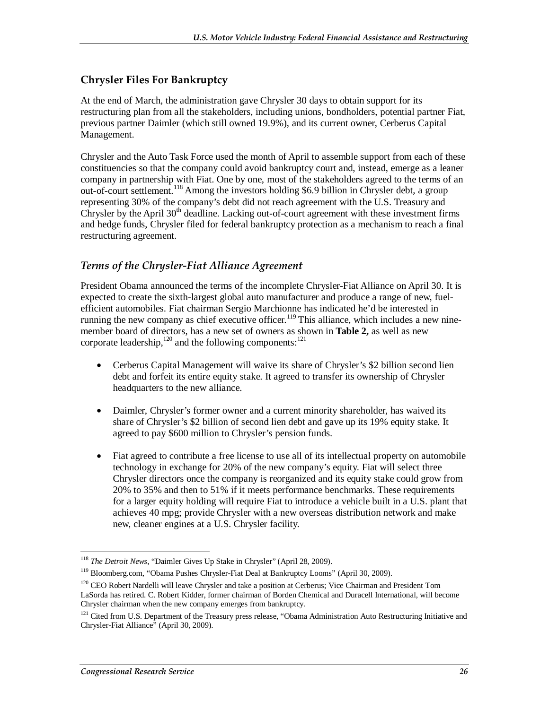#### **Chrysler Files For Bankruptcy**

At the end of March, the administration gave Chrysler 30 days to obtain support for its restructuring plan from all the stakeholders, including unions, bondholders, potential partner Fiat, previous partner Daimler (which still owned 19.9%), and its current owner, Cerberus Capital Management.

Chrysler and the Auto Task Force used the month of April to assemble support from each of these constituencies so that the company could avoid bankruptcy court and, instead, emerge as a leaner company in partnership with Fiat. One by one, most of the stakeholders agreed to the terms of an out-of-court settlement.<sup>118</sup> Among the investors holding \$6.9 billion in Chrysler debt, a group representing 30% of the company's debt did not reach agreement with the U.S. Treasury and Chrysler by the April  $30<sup>th</sup>$  deadline. Lacking out-of-court agreement with these investment firms and hedge funds, Chrysler filed for federal bankruptcy protection as a mechanism to reach a final restructuring agreement.

#### *Terms of the Chrysler-Fiat Alliance Agreement*

President Obama announced the terms of the incomplete Chrysler-Fiat Alliance on April 30. It is expected to create the sixth-largest global auto manufacturer and produce a range of new, fuelefficient automobiles. Fiat chairman Sergio Marchionne has indicated he'd be interested in running the new company as chief executive officer.<sup>119</sup> This alliance, which includes a new ninemember board of directors, has a new set of owners as shown in **Table 2,** as well as new corporate leadership,<sup>120</sup> and the following components:<sup>121</sup>

- Cerberus Capital Management will waive its share of Chrysler's \$2 billion second lien debt and forfeit its entire equity stake. It agreed to transfer its ownership of Chrysler headquarters to the new alliance.
- Daimler, Chrysler's former owner and a current minority shareholder, has waived its share of Chrysler's \$2 billion of second lien debt and gave up its 19% equity stake. It agreed to pay \$600 million to Chrysler's pension funds.
- Fiat agreed to contribute a free license to use all of its intellectual property on automobile technology in exchange for 20% of the new company's equity. Fiat will select three Chrysler directors once the company is reorganized and its equity stake could grow from 20% to 35% and then to 51% if it meets performance benchmarks. These requirements for a larger equity holding will require Fiat to introduce a vehicle built in a U.S. plant that achieves 40 mpg; provide Chrysler with a new overseas distribution network and make new, cleaner engines at a U.S. Chrysler facility.

<sup>&</sup>lt;sup>118</sup> The Detroit News, "Daimler Gives Up Stake in Chrysler" (April 28, 2009).

<sup>&</sup>lt;sup>119</sup> Bloomberg.com, "Obama Pushes Chrysler-Fiat Deal at Bankruptcy Looms" (April 30, 2009).

<sup>&</sup>lt;sup>120</sup> CEO Robert Nardelli will leave Chrysler and take a position at Cerberus; Vice Chairman and President Tom LaSorda has retired. C. Robert Kidder, former chairman of Borden Chemical and Duracell International, will become Chrysler chairman when the new company emerges from bankruptcy.

<sup>&</sup>lt;sup>121</sup> Cited from U.S. Department of the Treasury press release, "Obama Administration Auto Restructuring Initiative and Chrysler-Fiat Alliance" (April 30, 2009).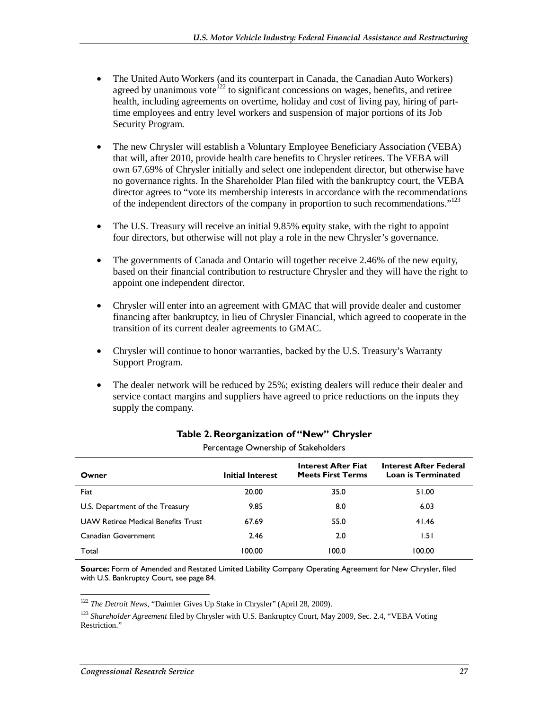- The United Auto Workers (and its counterpart in Canada, the Canadian Auto Workers) agreed by unanimous vote<sup>122</sup> to significant concessions on wages, benefits, and retiree health, including agreements on overtime, holiday and cost of living pay, hiring of parttime employees and entry level workers and suspension of major portions of its Job Security Program.
- The new Chrysler will establish a Voluntary Employee Beneficiary Association (VEBA) that will, after 2010, provide health care benefits to Chrysler retirees. The VEBA will own 67.69% of Chrysler initially and select one independent director, but otherwise have no governance rights. In the Shareholder Plan filed with the bankruptcy court, the VEBA director agrees to "vote its membership interests in accordance with the recommendations of the independent directors of the company in proportion to such recommendations."<sup>123</sup>
- The U.S. Treasury will receive an initial 9.85% equity stake, with the right to appoint four directors, but otherwise will not play a role in the new Chrysler's governance.
- The governments of Canada and Ontario will together receive 2.46% of the new equity, based on their financial contribution to restructure Chrysler and they will have the right to appoint one independent director.
- Chrysler will enter into an agreement with GMAC that will provide dealer and customer financing after bankruptcy, in lieu of Chrysler Financial, which agreed to cooperate in the transition of its current dealer agreements to GMAC.
- Chrysler will continue to honor warranties, backed by the U.S. Treasury's Warranty Support Program.
- The dealer network will be reduced by 25%; existing dealers will reduce their dealer and service contact margins and suppliers have agreed to price reductions on the inputs they supply the company.

| i di contage O milei silipi oi standi si si |                         |                                                        |                                                            |  |  |
|---------------------------------------------|-------------------------|--------------------------------------------------------|------------------------------------------------------------|--|--|
| Owner                                       | <b>Initial Interest</b> | <b>Interest After Fiat</b><br><b>Meets First Terms</b> | <b>Interest After Federal</b><br><b>Loan is Terminated</b> |  |  |
| Fiat                                        | 20.00                   | 35.0                                                   | 51.00                                                      |  |  |
| U.S. Department of the Treasury             | 9.85                    | 8.0                                                    | 6.03                                                       |  |  |
| <b>UAW Retiree Medical Benefits Trust</b>   | 67.69                   | 55.0                                                   | 41.46                                                      |  |  |
| Canadian Government                         | 2.46                    | 2.0                                                    | 1.51                                                       |  |  |
| Total                                       | 100.00                  | 100.0                                                  | 100.00                                                     |  |  |

#### **Table 2. Reorganization of "New" Chrysler**  Percentage Ownership of Stakeholders

**Source:** Form of Amended and Restated Limited Liability Company Operating Agreement for New Chrysler, filed with U.S. Bankruptcy Court, see page 84.

-<sup>122</sup> *The Detroit News,* "Daimler Gives Up Stake in Chrysler" (April 28, 2009).

<sup>&</sup>lt;sup>123</sup> Shareholder Agreement filed by Chrysler with U.S. Bankruptcy Court, May 2009, Sec. 2.4, "VEBA Voting Restriction.'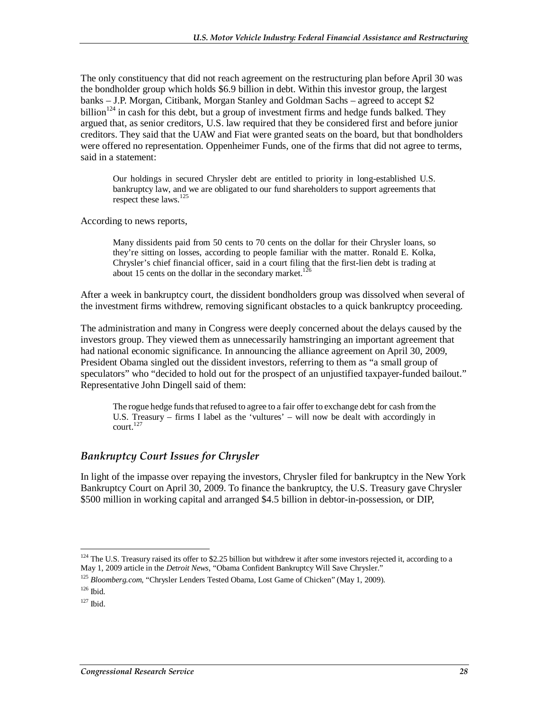The only constituency that did not reach agreement on the restructuring plan before April 30 was the bondholder group which holds \$6.9 billion in debt. Within this investor group, the largest banks – J.P. Morgan, Citibank, Morgan Stanley and Goldman Sachs – agreed to accept \$2 billion<sup>124</sup> in cash for this debt, but a group of investment firms and hedge funds balked. They argued that, as senior creditors, U.S. law required that they be considered first and before junior creditors. They said that the UAW and Fiat were granted seats on the board, but that bondholders were offered no representation. Oppenheimer Funds, one of the firms that did not agree to terms, said in a statement:

Our holdings in secured Chrysler debt are entitled to priority in long-established U.S. bankruptcy law, and we are obligated to our fund shareholders to support agreements that respect these laws.<sup>125</sup>

According to news reports,

Many dissidents paid from 50 cents to 70 cents on the dollar for their Chrysler loans, so they're sitting on losses, according to people familiar with the matter. Ronald E. Kolka, Chrysler's chief financial officer, said in a court filing that the first-lien debt is trading at about 15 cents on the dollar in the secondary market.<sup>126</sup>

After a week in bankruptcy court, the dissident bondholders group was dissolved when several of the investment firms withdrew, removing significant obstacles to a quick bankruptcy proceeding.

The administration and many in Congress were deeply concerned about the delays caused by the investors group. They viewed them as unnecessarily hamstringing an important agreement that had national economic significance. In announcing the alliance agreement on April 30, 2009, President Obama singled out the dissident investors, referring to them as "a small group of speculators" who "decided to hold out for the prospect of an unjustified taxpayer-funded bailout." Representative John Dingell said of them:

The rogue hedge funds that refused to agree to a fair offer to exchange debt for cash from the U.S. Treasury – firms I label as the 'vultures' – will now be dealt with accordingly in court.<sup>127</sup>

#### *Bankruptcy Court Issues for Chrysler*

In light of the impasse over repaying the investors, Chrysler filed for bankruptcy in the New York Bankruptcy Court on April 30, 2009. To finance the bankruptcy, the U.S. Treasury gave Chrysler \$500 million in working capital and arranged \$4.5 billion in debtor-in-possession, or DIP,

<sup>-</sup> $124$  The U.S. Treasury raised its offer to \$2.25 billion but withdrew it after some investors rejected it, according to a May 1, 2009 article in the *Detroit News*, "Obama Confident Bankruptcy Will Save Chrysler."

<sup>125</sup> *Bloomberg.com*, "Chrysler Lenders Tested Obama, Lost Game of Chicken" (May 1, 2009).

<sup>126</sup> Ibid*.*

 $127$  Ibid.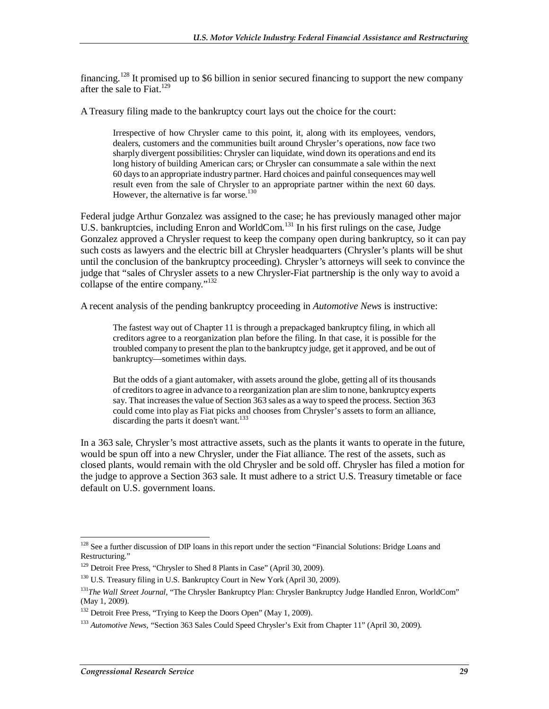financing.<sup>128</sup> It promised up to \$6 billion in senior secured financing to support the new company after the sale to Fiat.<sup>129</sup>

A Treasury filing made to the bankruptcy court lays out the choice for the court:

Irrespective of how Chrysler came to this point, it, along with its employees, vendors, dealers, customers and the communities built around Chrysler's operations, now face two sharply divergent possibilities: Chrysler can liquidate, wind down its operations and end its long history of building American cars; or Chrysler can consummate a sale within the next 60 days to an appropriate industry partner. Hard choices and painful consequences may well result even from the sale of Chrysler to an appropriate partner within the next 60 days. However, the alternative is far worse. $130$ 

Federal judge Arthur Gonzalez was assigned to the case; he has previously managed other major U.S. bankruptcies, including Enron and WorldCom.<sup>131</sup> In his first rulings on the case, Judge Gonzalez approved a Chrysler request to keep the company open during bankruptcy, so it can pay such costs as lawyers and the electric bill at Chrysler headquarters (Chrysler's plants will be shut until the conclusion of the bankruptcy proceeding). Chrysler's attorneys will seek to convince the judge that "sales of Chrysler assets to a new Chrysler-Fiat partnership is the only way to avoid a collapse of the entire company."<sup>132</sup>

A recent analysis of the pending bankruptcy proceeding in *Automotive News* is instructive:

The fastest way out of Chapter 11 is through a prepackaged bankruptcy filing, in which all creditors agree to a reorganization plan before the filing. In that case, it is possible for the troubled company to present the plan to the bankruptcy judge, get it approved, and be out of bankruptcy—sometimes within days.

But the odds of a giant automaker, with assets around the globe, getting all of its thousands of creditors to agree in advance to a reorganization plan are slim to none, bankruptcy experts say. That increases the value of Section 363 sales as a way to speed the process. Section 363 could come into play as Fiat picks and chooses from Chrysler's assets to form an alliance, discarding the parts it doesn't want.<sup>133</sup>

In a 363 sale, Chrysler's most attractive assets, such as the plants it wants to operate in the future, would be spun off into a new Chrysler, under the Fiat alliance. The rest of the assets, such as closed plants, would remain with the old Chrysler and be sold off. Chrysler has filed a motion for the judge to approve a Section 363 sale. It must adhere to a strict U.S. Treasury timetable or face default on U.S. government loans.

<sup>-</sup><sup>128</sup> See a further discussion of DIP loans in this report under the section "Financial Solutions: Bridge Loans and Restructuring."

<sup>&</sup>lt;sup>129</sup> Detroit Free Press, "Chrysler to Shed 8 Plants in Case" (April 30, 2009).

<sup>&</sup>lt;sup>130</sup> U.S. Treasury filing in U.S. Bankruptcy Court in New York (April 30, 2009).

<sup>&</sup>lt;sup>131</sup>The Wall Street Journal, "The Chrysler Bankruptcy Plan: Chrysler Bankruptcy Judge Handled Enron, WorldCom" (May 1, 2009).

 $132$  Detroit Free Press, "Trying to Keep the Doors Open" (May 1, 2009).

<sup>133</sup> *Automotive News*, "Section 363 Sales Could Speed Chrysler's Exit from Chapter 11" (April 30, 2009).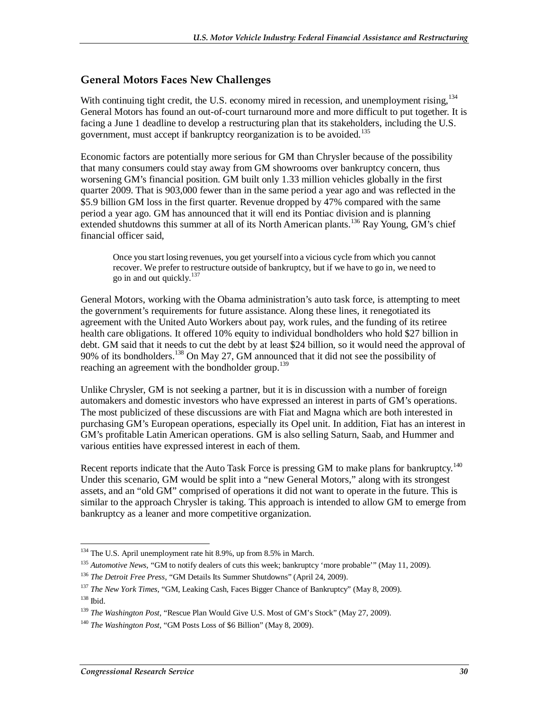#### **General Motors Faces New Challenges**

With continuing tight credit, the U.S. economy mired in recession, and unemployment rising, 134 General Motors has found an out-of-court turnaround more and more difficult to put together. It is facing a June 1 deadline to develop a restructuring plan that its stakeholders, including the U.S. government, must accept if bankruptcy reorganization is to be avoided.<sup>135</sup>

Economic factors are potentially more serious for GM than Chrysler because of the possibility that many consumers could stay away from GM showrooms over bankruptcy concern, thus worsening GM's financial position. GM built only 1.33 million vehicles globally in the first quarter 2009. That is 903,000 fewer than in the same period a year ago and was reflected in the \$5.9 billion GM loss in the first quarter. Revenue dropped by 47% compared with the same period a year ago. GM has announced that it will end its Pontiac division and is planning extended shutdowns this summer at all of its North American plants.<sup>136</sup> Ray Young, GM's chief financial officer said,

Once you start losing revenues, you get yourself into a vicious cycle from which you cannot recover. We prefer to restructure outside of bankruptcy, but if we have to go in, we need to go in and out quickly.<sup>137</sup>

General Motors, working with the Obama administration's auto task force, is attempting to meet the government's requirements for future assistance. Along these lines, it renegotiated its agreement with the United Auto Workers about pay, work rules, and the funding of its retiree health care obligations. It offered 10% equity to individual bondholders who hold \$27 billion in debt. GM said that it needs to cut the debt by at least \$24 billion, so it would need the approval of 90% of its bondholders.<sup>138</sup> On May 27, GM announced that it did not see the possibility of reaching an agreement with the bondholder group.<sup>139</sup>

Unlike Chrysler, GM is not seeking a partner, but it is in discussion with a number of foreign automakers and domestic investors who have expressed an interest in parts of GM's operations. The most publicized of these discussions are with Fiat and Magna which are both interested in purchasing GM's European operations, especially its Opel unit. In addition, Fiat has an interest in GM's profitable Latin American operations. GM is also selling Saturn, Saab, and Hummer and various entities have expressed interest in each of them.

Recent reports indicate that the Auto Task Force is pressing GM to make plans for bankruptcy.<sup>140</sup> Under this scenario, GM would be split into a "new General Motors," along with its strongest assets, and an "old GM" comprised of operations it did not want to operate in the future. This is similar to the approach Chrysler is taking. This approach is intended to allow GM to emerge from bankruptcy as a leaner and more competitive organization.

 $\frac{1}{1}$ <sup>134</sup> The U.S. April unemployment rate hit 8.9%, up from 8.5% in March.

<sup>&</sup>lt;sup>135</sup> *Automotive News*, "GM to notify dealers of cuts this week; bankruptcy 'more probable'" (May 11, 2009).<br><sup>136</sup> *The Detroit Free Press*, "GM Details Its Summer Shutdowns" (April 24, 2009).

<sup>137</sup> *The New York Times*, "GM, Leaking Cash, Faces Bigger Chance of Bankruptcy" (May 8, 2009).

 $138$  Ibid.

<sup>139</sup> *The Washington Post*, "Rescue Plan Would Give U.S. Most of GM's Stock" (May 27, 2009).

<sup>140</sup> *The Washington Post*, "GM Posts Loss of \$6 Billion" (May 8, 2009).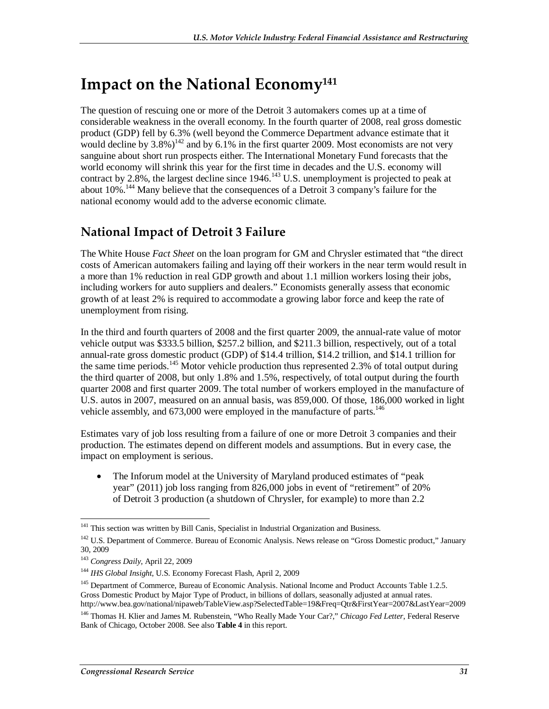## **Impact on the National Economy141**

The question of rescuing one or more of the Detroit 3 automakers comes up at a time of considerable weakness in the overall economy. In the fourth quarter of 2008, real gross domestic product (GDP) fell by 6.3% (well beyond the Commerce Department advance estimate that it would decline by  $3.8\%$ )<sup>142</sup> and by 6.1% in the first quarter 2009. Most economists are not very sanguine about short run prospects either. The International Monetary Fund forecasts that the world economy will shrink this year for the first time in decades and the U.S. economy will contract by 2.8%, the largest decline since  $1946$ <sup>143</sup> U.S. unemployment is projected to peak at about 10%.<sup>144</sup> Many believe that the consequences of a Detroit 3 company's failure for the national economy would add to the adverse economic climate.

## **National Impact of Detroit 3 Failure**

The White House *Fact Sheet* on the loan program for GM and Chrysler estimated that "the direct costs of American automakers failing and laying off their workers in the near term would result in a more than 1% reduction in real GDP growth and about 1.1 million workers losing their jobs, including workers for auto suppliers and dealers." Economists generally assess that economic growth of at least 2% is required to accommodate a growing labor force and keep the rate of unemployment from rising.

In the third and fourth quarters of 2008 and the first quarter 2009, the annual-rate value of motor vehicle output was \$333.5 billion, \$257.2 billion, and \$211.3 billion, respectively, out of a total annual-rate gross domestic product (GDP) of \$14.4 trillion, \$14.2 trillion, and \$14.1 trillion for the same time periods.<sup>145</sup> Motor vehicle production thus represented 2.3% of total output during the third quarter of 2008, but only 1.8% and 1.5%, respectively, of total output during the fourth quarter 2008 and first quarter 2009. The total number of workers employed in the manufacture of U.S. autos in 2007, measured on an annual basis, was 859,000. Of those, 186,000 worked in light vehicle assembly, and 673,000 were employed in the manufacture of parts.<sup>146</sup>

Estimates vary of job loss resulting from a failure of one or more Detroit 3 companies and their production. The estimates depend on different models and assumptions. But in every case, the impact on employment is serious.

• The Inforum model at the University of Maryland produced estimates of "peak year" (2011) job loss ranging from 826,000 jobs in event of "retirement" of 20% of Detroit 3 production (a shutdown of Chrysler, for example) to more than 2.2

<sup>-</sup><sup>141</sup> This section was written by Bill Canis, Specialist in Industrial Organization and Business.

<sup>&</sup>lt;sup>142</sup> U.S. Department of Commerce. Bureau of Economic Analysis. News release on "Gross Domestic product," January 30, 2009

<sup>&</sup>lt;sup>143</sup> *Congress Daily*, April 22, 2009<br><sup>144</sup> *IHS Global Insight*, U.S. Economy Forecast Flash, April 2, 2009

<sup>&</sup>lt;sup>145</sup> Department of Commerce, Bureau of Economic Analysis. National Income and Product Accounts Table 1.2.5. Gross Domestic Product by Major Type of Product, in billions of dollars, seasonally adjusted at annual rates. http://www.bea.gov/national/nipaweb/TableView.asp?SelectedTable=19&Freq=Qtr&FirstYear=2007&LastYear=2009

<sup>146</sup> Thomas H. Klier and James M. Rubenstein, "Who Really Made Your Car?," *Chicago Fed Letter*, Federal Reserve Bank of Chicago, October 2008. See also **Table 4** in this report.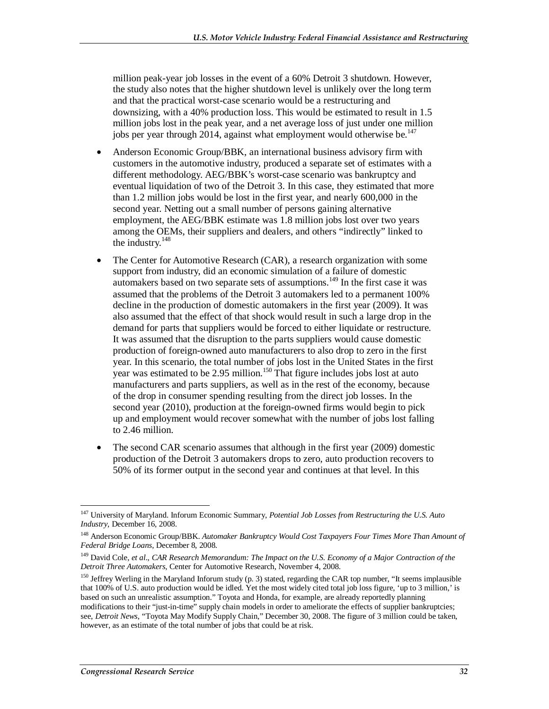million peak-year job losses in the event of a 60% Detroit 3 shutdown. However, the study also notes that the higher shutdown level is unlikely over the long term and that the practical worst-case scenario would be a restructuring and downsizing, with a 40% production loss. This would be estimated to result in 1.5 million jobs lost in the peak year, and a net average loss of just under one million jobs per year through 2014, against what employment would otherwise be. $147$ 

- Anderson Economic Group/BBK, an international business advisory firm with customers in the automotive industry, produced a separate set of estimates with a different methodology. AEG/BBK's worst-case scenario was bankruptcy and eventual liquidation of two of the Detroit 3. In this case, they estimated that more than 1.2 million jobs would be lost in the first year, and nearly 600,000 in the second year. Netting out a small number of persons gaining alternative employment, the AEG/BBK estimate was 1.8 million jobs lost over two years among the OEMs, their suppliers and dealers, and others "indirectly" linked to the industry. $148$
- The Center for Automotive Research (CAR), a research organization with some support from industry, did an economic simulation of a failure of domestic automakers based on two separate sets of assumptions.<sup>149</sup> In the first case it was assumed that the problems of the Detroit 3 automakers led to a permanent 100% decline in the production of domestic automakers in the first year (2009). It was also assumed that the effect of that shock would result in such a large drop in the demand for parts that suppliers would be forced to either liquidate or restructure. It was assumed that the disruption to the parts suppliers would cause domestic production of foreign-owned auto manufacturers to also drop to zero in the first year. In this scenario, the total number of jobs lost in the United States in the first year was estimated to be 2.95 million.<sup>150</sup> That figure includes jobs lost at auto manufacturers and parts suppliers, as well as in the rest of the economy, because of the drop in consumer spending resulting from the direct job losses. In the second year (2010), production at the foreign-owned firms would begin to pick up and employment would recover somewhat with the number of jobs lost falling to 2.46 million.
- The second CAR scenario assumes that although in the first year (2009) domestic production of the Detroit 3 automakers drops to zero, auto production recovers to 50% of its former output in the second year and continues at that level. In this

<sup>-</sup>147 University of Maryland. Inforum Economic Summary, *Potential Job Losses from Restructuring the U.S. Auto Industry*, December 16, 2008.

<sup>148</sup> Anderson Economic Group/BBK. *Automaker Bankruptcy Would Cost Taxpayers Four Times More Than Amount of Federal Bridge Loans*, December 8, 2008.

<sup>149</sup> David Cole, *et al*., *CAR Research Memorandum: The Impact on the U.S. Economy of a Major Contraction of the Detroit Three Automakers*, Center for Automotive Research, November 4, 2008.

<sup>&</sup>lt;sup>150</sup> Jeffrey Werling in the Maryland Inforum study (p. 3) stated, regarding the CAR top number, "It seems implausible that 100% of U.S. auto production would be idled. Yet the most widely cited total job loss figure, 'up to 3 million,' is based on such an unrealistic assumption." Toyota and Honda, for example, are already reportedly planning modifications to their "just-in-time" supply chain models in order to ameliorate the effects of supplier bankruptcies; see, *Detroit News*, "Toyota May Modify Supply Chain," December 30, 2008. The figure of 3 million could be taken, however, as an estimate of the total number of jobs that could be at risk.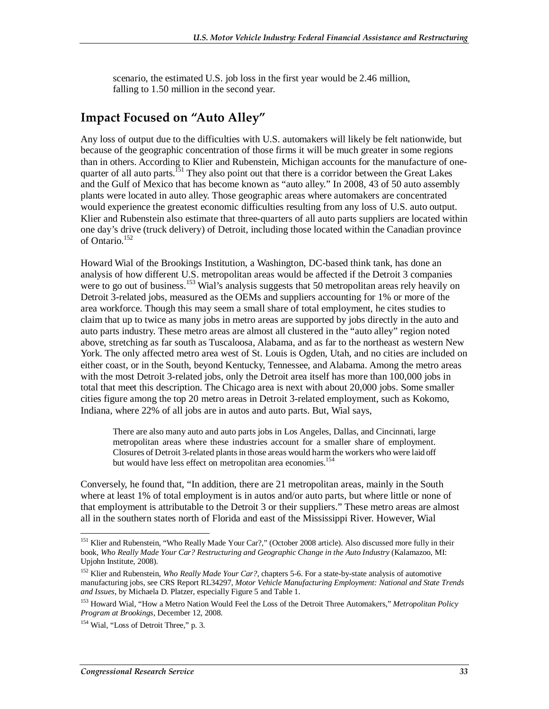scenario, the estimated U.S. job loss in the first year would be 2.46 million, falling to 1.50 million in the second year.

# **Impact Focused on "Auto Alley"**

Any loss of output due to the difficulties with U.S. automakers will likely be felt nationwide, but because of the geographic concentration of those firms it will be much greater in some regions than in others. According to Klier and Rubenstein, Michigan accounts for the manufacture of onequarter of all auto parts.<sup>151</sup> They also point out that there is a corridor between the Great Lakes and the Gulf of Mexico that has become known as "auto alley." In 2008, 43 of 50 auto assembly plants were located in auto alley. Those geographic areas where automakers are concentrated would experience the greatest economic difficulties resulting from any loss of U.S. auto output. Klier and Rubenstein also estimate that three-quarters of all auto parts suppliers are located within one day's drive (truck delivery) of Detroit, including those located within the Canadian province of Ontario.<sup>152</sup>

Howard Wial of the Brookings Institution, a Washington, DC-based think tank, has done an analysis of how different U.S. metropolitan areas would be affected if the Detroit 3 companies were to go out of business.<sup>153</sup> Wial's analysis suggests that 50 metropolitan areas rely heavily on Detroit 3-related jobs, measured as the OEMs and suppliers accounting for 1% or more of the area workforce. Though this may seem a small share of total employment, he cites studies to claim that up to twice as many jobs in metro areas are supported by jobs directly in the auto and auto parts industry. These metro areas are almost all clustered in the "auto alley" region noted above, stretching as far south as Tuscaloosa, Alabama, and as far to the northeast as western New York. The only affected metro area west of St. Louis is Ogden, Utah, and no cities are included on either coast, or in the South, beyond Kentucky, Tennessee, and Alabama. Among the metro areas with the most Detroit 3-related jobs, only the Detroit area itself has more than 100,000 jobs in total that meet this description. The Chicago area is next with about 20,000 jobs. Some smaller cities figure among the top 20 metro areas in Detroit 3-related employment, such as Kokomo, Indiana, where 22% of all jobs are in autos and auto parts. But, Wial says,

There are also many auto and auto parts jobs in Los Angeles, Dallas, and Cincinnati, large metropolitan areas where these industries account for a smaller share of employment. Closures of Detroit 3-related plants in those areas would harm the workers who were laid off but would have less effect on metropolitan area economies.<sup>154</sup>

Conversely, he found that, "In addition, there are 21 metropolitan areas, mainly in the South where at least 1% of total employment is in autos and/or auto parts, but where little or none of that employment is attributable to the Detroit 3 or their suppliers." These metro areas are almost all in the southern states north of Florida and east of the Mississippi River. However, Wial

<sup>-</sup><sup>151</sup> Klier and Rubenstein, "Who Really Made Your Car?," (October 2008 article). Also discussed more fully in their book, *Who Really Made Your Car? Restructuring and Geographic Change in the Auto Industry (Kalamazoo, MI:* Upjohn Institute, 2008).

<sup>&</sup>lt;sup>152</sup> Klier and Rubenstein, *Who Really Made Your Car?*, chapters 5-6. For a state-by-state analysis of automotive manufacturing jobs, see CRS Report RL34297, *Motor Vehicle Manufacturing Employment: National and State Trends and Issues*, by Michaela D. Platzer, especially Figure 5 and Table 1.

<sup>153</sup> Howard Wial, "How a Metro Nation Would Feel the Loss of the Detroit Three Automakers," *Metropolitan Policy Program at Brookings*, December 12, 2008.

<sup>&</sup>lt;sup>154</sup> Wial, "Loss of Detroit Three," p. 3.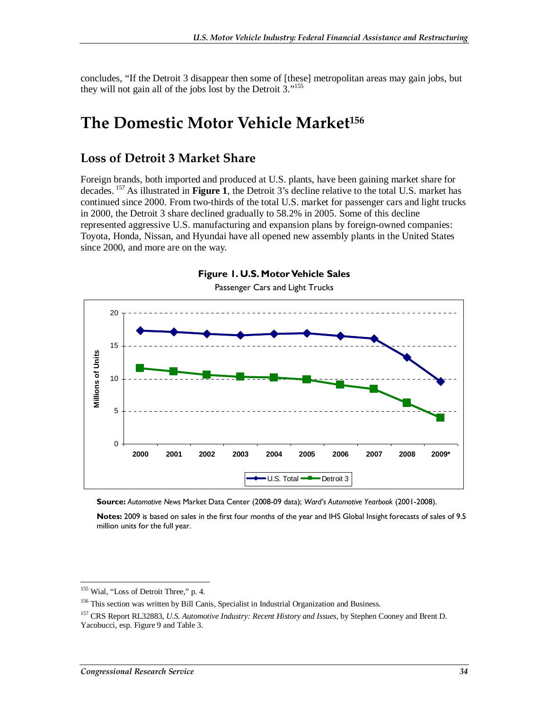concludes, "If the Detroit 3 disappear then some of [these] metropolitan areas may gain jobs, but they will not gain all of the jobs lost by the Detroit 3."<sup>155</sup>

# **The Domestic Motor Vehicle Market156**

## **Loss of Detroit 3 Market Share**

Foreign brands, both imported and produced at U.S. plants, have been gaining market share for decades. 157 As illustrated in **Figure 1**, the Detroit 3's decline relative to the total U.S. market has continued since 2000. From two-thirds of the total U.S. market for passenger cars and light trucks in 2000, the Detroit 3 share declined gradually to 58.2% in 2005. Some of this decline represented aggressive U.S. manufacturing and expansion plans by foreign-owned companies: Toyota, Honda, Nissan, and Hyundai have all opened new assembly plants in the United States since 2000, and more are on the way.



**Figure 1. U.S. Motor Vehicle Sales** 

**Source:** *Automotive News* Market Data Center (2008-09 data); *Ward's Automotive Yearbook* (2001-2008).

**Notes:** 2009 is based on sales in the first four months of the year and IHS Global Insight forecasts of sales of 9.5 million units for the full year.

<sup>-</sup><sup>155</sup> Wial, "Loss of Detroit Three," p. 4.

<sup>&</sup>lt;sup>156</sup> This section was written by Bill Canis, Specialist in Industrial Organization and Business.

<sup>157</sup> CRS Report RL32883, *U.S. Automotive Industry: Recent History and Issues*, by Stephen Cooney and Brent D. Yacobucci, esp. Figure 9 and Table 3.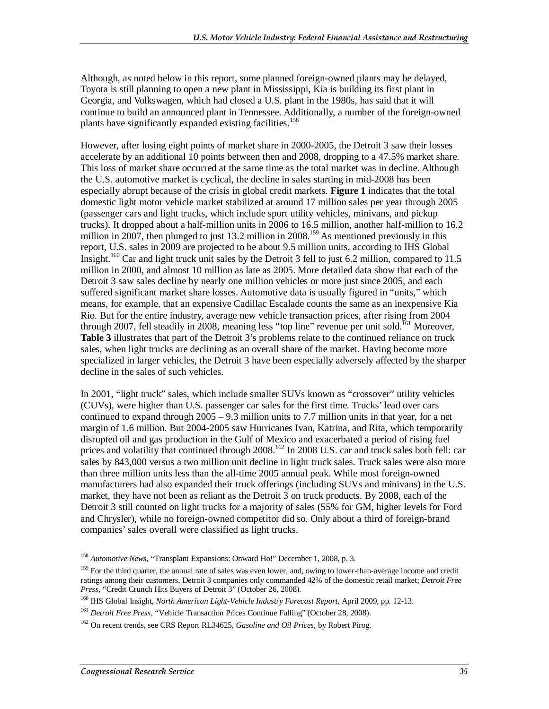Although, as noted below in this report, some planned foreign-owned plants may be delayed, Toyota is still planning to open a new plant in Mississippi, Kia is building its first plant in Georgia, and Volkswagen, which had closed a U.S. plant in the 1980s, has said that it will continue to build an announced plant in Tennessee. Additionally, a number of the foreign-owned plants have significantly expanded existing facilities.<sup>158</sup>

However, after losing eight points of market share in 2000-2005, the Detroit 3 saw their losses accelerate by an additional 10 points between then and 2008, dropping to a 47.5% market share. This loss of market share occurred at the same time as the total market was in decline. Although the U.S. automotive market is cyclical, the decline in sales starting in mid-2008 has been especially abrupt because of the crisis in global credit markets. **Figure 1** indicates that the total domestic light motor vehicle market stabilized at around 17 million sales per year through 2005 (passenger cars and light trucks, which include sport utility vehicles, minivans, and pickup trucks). It dropped about a half-million units in 2006 to 16.5 million, another half-million to 16.2 million in 2007, then plunged to just 13.2 million in 2008.<sup>159</sup> As mentioned previously in this report, U.S. sales in 2009 are projected to be about 9.5 million units, according to IHS Global Insight.<sup>160</sup> Car and light truck unit sales by the Detroit 3 fell to just 6.2 million, compared to 11.5 million in 2000, and almost 10 million as late as 2005. More detailed data show that each of the Detroit 3 saw sales decline by nearly one million vehicles or more just since 2005, and each suffered significant market share losses. Automotive data is usually figured in "units," which means, for example, that an expensive Cadillac Escalade counts the same as an inexpensive Kia Rio. But for the entire industry, average new vehicle transaction prices, after rising from 2004 through 2007, fell steadily in 2008, meaning less "top line" revenue per unit sold.<sup>161</sup> Moreover, **Table 3** illustrates that part of the Detroit 3's problems relate to the continued reliance on truck sales, when light trucks are declining as an overall share of the market. Having become more specialized in larger vehicles, the Detroit 3 have been especially adversely affected by the sharper decline in the sales of such vehicles.

In 2001, "light truck" sales, which include smaller SUVs known as "crossover" utility vehicles (CUVs), were higher than U.S. passenger car sales for the first time. Trucks' lead over cars continued to expand through  $2005 - 9.3$  million units to 7.7 million units in that year, for a net margin of 1.6 million. But 2004-2005 saw Hurricanes Ivan, Katrina, and Rita, which temporarily disrupted oil and gas production in the Gulf of Mexico and exacerbated a period of rising fuel prices and volatility that continued through 2008.<sup>162</sup> In 2008 U.S. car and truck sales both fell: car sales by 843,000 versus a two million unit decline in light truck sales. Truck sales were also more than three million units less than the all-time 2005 annual peak. While most foreign-owned manufacturers had also expanded their truck offerings (including SUVs and minivans) in the U.S. market, they have not been as reliant as the Detroit 3 on truck products. By 2008, each of the Detroit 3 still counted on light trucks for a majority of sales (55% for GM, higher levels for Ford and Chrysler), while no foreign-owned competitor did so. Only about a third of foreign-brand companies' sales overall were classified as light trucks.

 $\frac{1}{1}$ <sup>158</sup> *Automotive News*, "Transplant Expansions: Onward Ho!" December 1, 2008, p. 3.

<sup>&</sup>lt;sup>159</sup> For the third quarter, the annual rate of sales was even lower, and, owing to lower-than-average income and credit ratings among their customers, Detroit 3 companies only commanded 42% of the domestic retail market; *Detroit Free Press*, "Credit Crunch Hits Buyers of Detroit 3" (October 26, 2008).

<sup>160</sup> IHS Global Insight, *North American Light-Vehicle Industry Forecast Report*, April 2009, pp. 12-13.

<sup>161</sup> *Detroit Free Press*, "Vehicle Transaction Prices Continue Falling" (October 28, 2008).

<sup>162</sup> On recent trends, see CRS Report RL34625, *Gasoline and Oil Prices*, by Robert Pirog.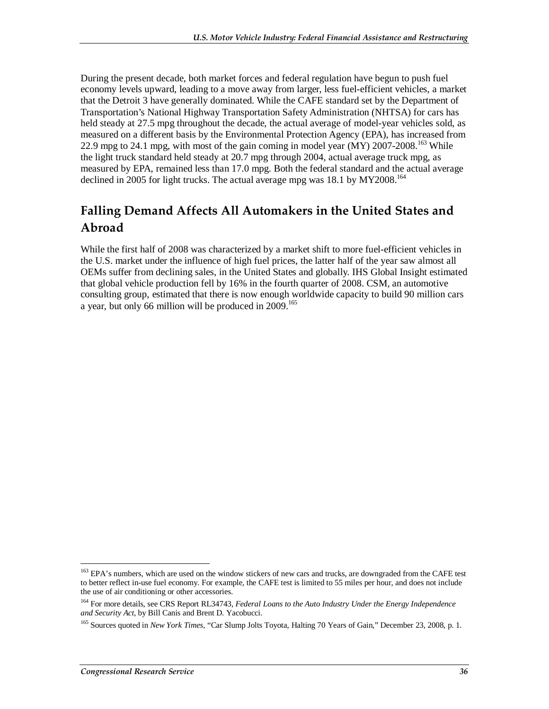During the present decade, both market forces and federal regulation have begun to push fuel economy levels upward, leading to a move away from larger, less fuel-efficient vehicles, a market that the Detroit 3 have generally dominated. While the CAFE standard set by the Department of Transportation's National Highway Transportation Safety Administration (NHTSA) for cars has held steady at 27.5 mpg throughout the decade, the actual average of model-year vehicles sold, as measured on a different basis by the Environmental Protection Agency (EPA), has increased from 22.9 mpg to 24.1 mpg, with most of the gain coming in model year  $(MY)$  2007-2008.<sup>163</sup> While the light truck standard held steady at 20.7 mpg through 2004, actual average truck mpg, as measured by EPA, remained less than 17.0 mpg. Both the federal standard and the actual average declined in 2005 for light trucks. The actual average mpg was 18.1 by MY2008.<sup>164</sup>

# **Falling Demand Affects All Automakers in the United States and Abroad**

While the first half of 2008 was characterized by a market shift to more fuel-efficient vehicles in the U.S. market under the influence of high fuel prices, the latter half of the year saw almost all OEMs suffer from declining sales, in the United States and globally. IHS Global Insight estimated that global vehicle production fell by 16% in the fourth quarter of 2008. CSM, an automotive consulting group, estimated that there is now enough worldwide capacity to build 90 million cars a year, but only 66 million will be produced in  $2009$ <sup>165</sup>

<sup>-</sup><sup>163</sup> EPA's numbers, which are used on the window stickers of new cars and trucks, are downgraded from the CAFE test to better reflect in-use fuel economy. For example, the CAFE test is limited to 55 miles per hour, and does not include the use of air conditioning or other accessories.

<sup>164</sup> For more details, see CRS Report RL34743, *Federal Loans to the Auto Industry Under the Energy Independence and Security Act*, by Bill Canis and Brent D. Yacobucci.

<sup>&</sup>lt;sup>165</sup> Sources quoted in *New York Times*, "Car Slump Jolts Toyota, Halting 70 Years of Gain," December 23, 2008, p. 1.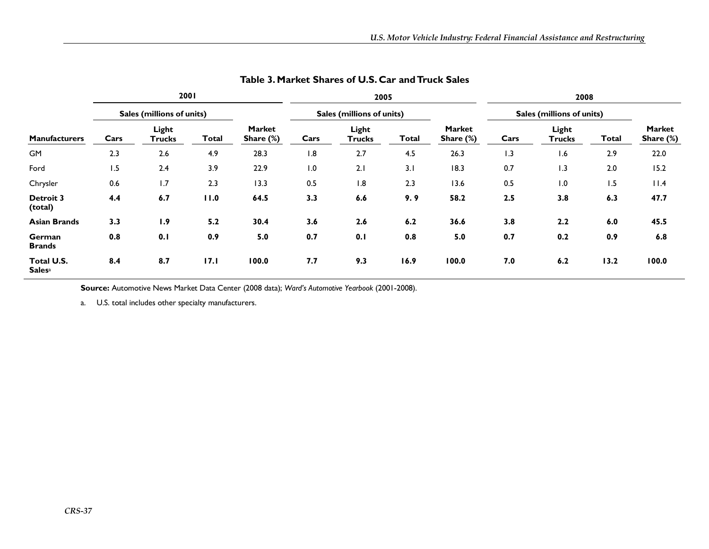|                                         | 2001                      |                        |              |                            | 2005                      |                        |              |                            | 2008                      |                        |       |                            |
|-----------------------------------------|---------------------------|------------------------|--------------|----------------------------|---------------------------|------------------------|--------------|----------------------------|---------------------------|------------------------|-------|----------------------------|
| <b>Manufacturers</b>                    | Sales (millions of units) |                        |              |                            | Sales (millions of units) |                        |              |                            | Sales (millions of units) |                        |       |                            |
|                                         | Cars                      | Light<br><b>Trucks</b> | <b>Total</b> | <b>Market</b><br>Share (%) | Cars                      | Light<br><b>Trucks</b> | <b>Total</b> | <b>Market</b><br>Share (%) | Cars                      | Light<br><b>Trucks</b> | Total | <b>Market</b><br>Share (%) |
| <b>GM</b>                               | 2.3                       | 2.6                    | 4.9          | 28.3                       | 1.8                       | 2.7                    | 4.5          | 26.3                       | .3                        | 1.6                    | 2.9   | 22.0                       |
| Ford                                    | 1.5                       | 2.4                    | 3.9          | 22.9                       | 1.0                       | 2.1                    | 3.1          | 18.3                       | 0.7                       | 1.3                    | 2.0   | 15.2                       |
| Chrysler                                | 0.6                       | 1.7                    | 2.3          | 13.3                       | 0.5                       | 1.8                    | 2.3          | 13.6                       | 0.5                       | 1.0                    | 1.5   | 11.4                       |
| <b>Detroit 3</b><br>(total)             | 4.4                       | 6.7                    | 11.0         | 64.5                       | 3.3                       | 6.6                    | 9.9          | 58.2                       | 2.5                       | 3.8                    | 6.3   | 47.7                       |
| <b>Asian Brands</b>                     | 3.3                       | 1.9                    | 5.2          | 30.4                       | 3.6                       | 2.6                    | 6.2          | 36.6                       | 3.8                       | 2.2                    | 6.0   | 45.5                       |
| German<br><b>Brands</b>                 | 0.8                       | 0.1                    | 0.9          | 5.0                        | 0.7                       | 0.1                    | 0.8          | 5.0                        | 0.7                       | 0.2                    | 0.9   | 6.8                        |
| Total U.S.<br><b>Sales</b> <sup>a</sup> | 8.4                       | 8.7                    | 17.1         | 100.0                      | 7.7                       | 9.3                    | 16.9         | 100.0                      | 7.0                       | 6.2                    | 13.2  | 100.0                      |

#### **Table 3. Market Shares of U.S. Car and Truck Sales**

**Source:** Automotive News Market Data Center (2008 data); *Ward's Automotive Yearbook* (2001-2008).

a. U.S. total includes other specialty manufacturers.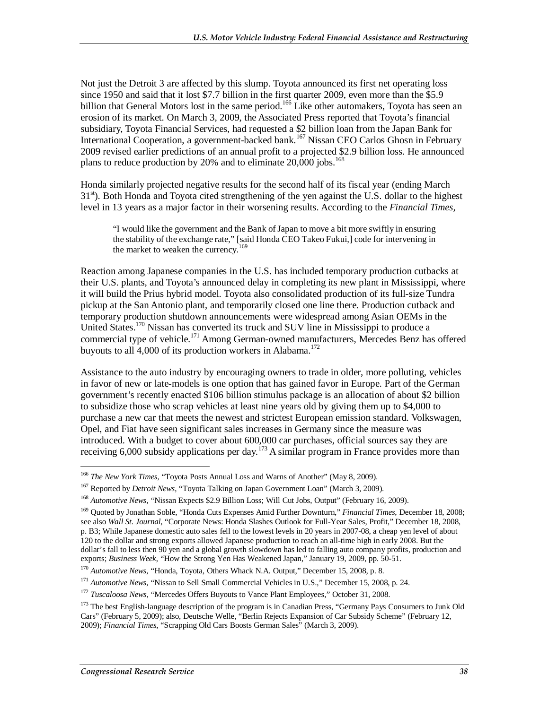Not just the Detroit 3 are affected by this slump. Toyota announced its first net operating loss since 1950 and said that it lost \$7.7 billion in the first quarter 2009, even more than the \$5.9 billion that General Motors lost in the same period.<sup>166</sup> Like other automakers, Toyota has seen an erosion of its market. On March 3, 2009, the Associated Press reported that Toyota's financial subsidiary, Toyota Financial Services, had requested a \$2 billion loan from the Japan Bank for International Cooperation, a government-backed bank.<sup>167</sup> Nissan CEO Carlos Ghosn in February 2009 revised earlier predictions of an annual profit to a projected \$2.9 billion loss. He announced plans to reduce production by 20% and to eliminate  $20,000$  jobs.<sup>168</sup>

Honda similarly projected negative results for the second half of its fiscal year (ending March  $31<sup>st</sup>$ ). Both Honda and Toyota cited strengthening of the yen against the U.S. dollar to the highest level in 13 years as a major factor in their worsening results. According to the *Financial Times,*

"I would like the government and the Bank of Japan to move a bit more swiftly in ensuring the stability of the exchange rate," [said Honda CEO Takeo Fukui,] code for intervening in the market to weaken the currency.<sup>169</sup>

Reaction among Japanese companies in the U.S. has included temporary production cutbacks at their U.S. plants, and Toyota's announced delay in completing its new plant in Mississippi, where it will build the Prius hybrid model. Toyota also consolidated production of its full-size Tundra pickup at the San Antonio plant, and temporarily closed one line there. Production cutback and temporary production shutdown announcements were widespread among Asian OEMs in the United States.<sup>170</sup> Nissan has converted its truck and SUV line in Mississippi to produce a commercial type of vehicle.171 Among German-owned manufacturers, Mercedes Benz has offered buyouts to all 4,000 of its production workers in Alabama.<sup>172</sup>

Assistance to the auto industry by encouraging owners to trade in older, more polluting, vehicles in favor of new or late-models is one option that has gained favor in Europe. Part of the German government's recently enacted \$106 billion stimulus package is an allocation of about \$2 billion to subsidize those who scrap vehicles at least nine years old by giving them up to \$4,000 to purchase a new car that meets the newest and strictest European emission standard. Volkswagen, Opel, and Fiat have seen significant sales increases in Germany since the measure was introduced. With a budget to cover about 600,000 car purchases, official sources say they are receiving 6,000 subsidy applications per day.<sup>173</sup> A similar program in France provides more than

<sup>&</sup>lt;u>.</u> <sup>166</sup> *The New York Times*, "Toyota Posts Annual Loss and Warns of Another" (May 8, 2009).

<sup>&</sup>lt;sup>167</sup> Reported by *Detroit News*, "Toyota Talking on Japan Government Loan" (March 3, 2009).

<sup>168</sup> *Automotive News*, "Nissan Expects \$2.9 Billion Loss; Will Cut Jobs, Output" (February 16, 2009).

<sup>169</sup> Quoted by Jonathan Soble, "Honda Cuts Expenses Amid Further Downturn," *Financial Times*, December 18, 2008; see also *Wall St. Journal*, "Corporate News: Honda Slashes Outlook for Full-Year Sales, Profit," December 18, 2008, p. B3; While Japanese domestic auto sales fell to the lowest levels in 20 years in 2007-08, a cheap yen level of about 120 to the dollar and strong exports allowed Japanese production to reach an all-time high in early 2008. But the dollar's fall to less then 90 yen and a global growth slowdown has led to falling auto company profits, production and exports; *Business Week*, "How the Strong Yen Has Weakened Japan," January 19, 2009, pp. 50-51.

<sup>&</sup>lt;sup>170</sup> *Automotive News*, "Honda, Toyota, Others Whack N.A. Output," December 15, 2008, p. 8.<br><sup>171</sup> *Automotive News*, "Nissan to Sell Small Commercial Vehicles in U.S.," December 15, 2008, p. 24.

<sup>&</sup>lt;sup>172</sup> *Tuscaloosa News*, "Mercedes Offers Buyouts to Vance Plant Employees," October 31, 2008.

<sup>&</sup>lt;sup>173</sup> The best English-language description of the program is in Canadian Press, "Germany Pays Consumers to Junk Old Cars" (February 5, 2009); also, Deutsche Welle, "Berlin Rejects Expansion of Car Subsidy Scheme" (February 12, 2009); *Financial Times*, "Scrapping Old Cars Boosts German Sales" (March 3, 2009).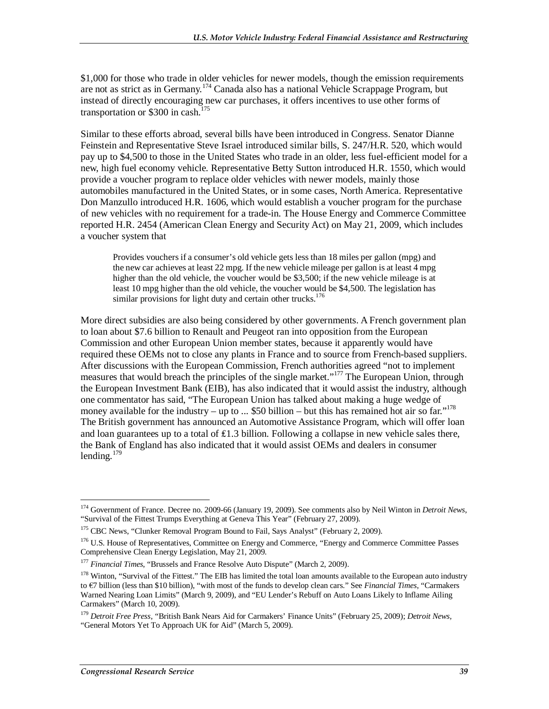\$1,000 for those who trade in older vehicles for newer models, though the emission requirements are not as strict as in Germany.<sup>174</sup> Canada also has a national Vehicle Scrappage Program, but instead of directly encouraging new car purchases, it offers incentives to use other forms of transportation or \$300 in cash.<sup>175</sup>

Similar to these efforts abroad, several bills have been introduced in Congress. Senator Dianne Feinstein and Representative Steve Israel introduced similar bills, S. 247/H.R. 520, which would pay up to \$4,500 to those in the United States who trade in an older, less fuel-efficient model for a new, high fuel economy vehicle. Representative Betty Sutton introduced H.R. 1550, which would provide a voucher program to replace older vehicles with newer models, mainly those automobiles manufactured in the United States, or in some cases, North America. Representative Don Manzullo introduced H.R. 1606, which would establish a voucher program for the purchase of new vehicles with no requirement for a trade-in. The House Energy and Commerce Committee reported H.R. 2454 (American Clean Energy and Security Act) on May 21, 2009, which includes a voucher system that

Provides vouchers if a consumer's old vehicle gets less than 18 miles per gallon (mpg) and the new car achieves at least 22 mpg. If the new vehicle mileage per gallon is at least 4 mpg higher than the old vehicle, the voucher would be \$3,500; if the new vehicle mileage is at least 10 mpg higher than the old vehicle, the voucher would be \$4,500. The legislation has similar provisions for light duty and certain other trucks. $176$ 

More direct subsidies are also being considered by other governments. A French government plan to loan about \$7.6 billion to Renault and Peugeot ran into opposition from the European Commission and other European Union member states, because it apparently would have required these OEMs not to close any plants in France and to source from French-based suppliers. After discussions with the European Commission, French authorities agreed "not to implement measures that would breach the principles of the single market."<sup>177</sup> The European Union, through the European Investment Bank (EIB), has also indicated that it would assist the industry, although one commentator has said, "The European Union has talked about making a huge wedge of money available for the industry – up to ... \$50 billion – but this has remained hot air so far."<sup>178</sup> The British government has announced an Automotive Assistance Program, which will offer loan and loan guarantees up to a total of ₤1.3 billion. Following a collapse in new vehicle sales there, the Bank of England has also indicated that it would assist OEMs and dealers in consumer lending. $179$ 

<sup>-</sup>174 Government of France. Decree no. 2009-66 (January 19, 2009). See comments also by Neil Winton in *Detroit News*, "Survival of the Fittest Trumps Everything at Geneva This Year" (February 27, 2009).

<sup>&</sup>lt;sup>175</sup> CBC News, "Clunker Removal Program Bound to Fail, Says Analyst" (February 2, 2009).

<sup>&</sup>lt;sup>176</sup> U.S. House of Representatives, Committee on Energy and Commerce, "Energy and Commerce Committee Passes Comprehensive Clean Energy Legislation, May 21, 2009.

<sup>&</sup>lt;sup>177</sup> *Financial Times*, "Brussels and France Resolve Auto Dispute" (March 2, 2009).

<sup>&</sup>lt;sup>178</sup> Winton, "Survival of the Fittest." The EIB has limited the total loan amounts available to the European auto industry to €7 billion (less than \$10 billion), "with most of the funds to develop clean cars." See *Financial Times*, "Carmakers Warned Nearing Loan Limits" (March 9, 2009), and "EU Lender's Rebuff on Auto Loans Likely to Inflame Ailing Carmakers" (March 10, 2009).

<sup>179</sup> *Detroit Free Press*, "British Bank Nears Aid for Carmakers' Finance Units" (February 25, 2009); *Detroit News,*  "General Motors Yet To Approach UK for Aid" (March 5, 2009).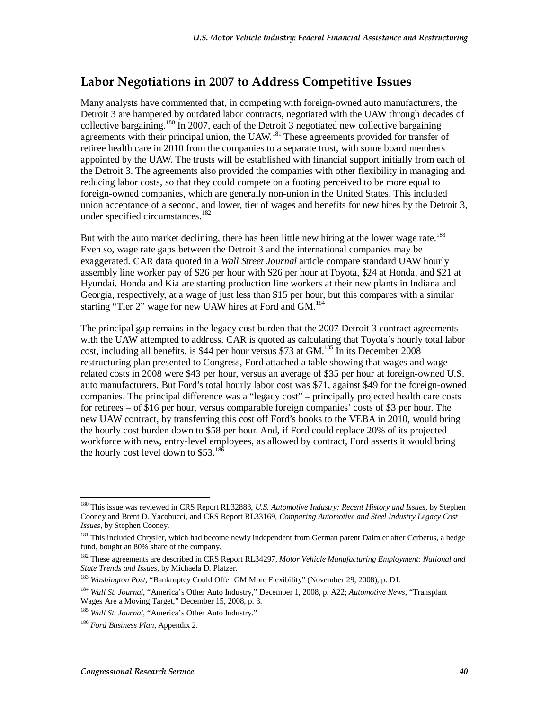# **Labor Negotiations in 2007 to Address Competitive Issues**

Many analysts have commented that, in competing with foreign-owned auto manufacturers, the Detroit 3 are hampered by outdated labor contracts, negotiated with the UAW through decades of collective bargaining.<sup>180</sup> In 2007, each of the Detroit 3 negotiated new collective bargaining agreements with their principal union, the UAW.<sup>181</sup> These agreements provided for transfer of retiree health care in 2010 from the companies to a separate trust, with some board members appointed by the UAW. The trusts will be established with financial support initially from each of the Detroit 3. The agreements also provided the companies with other flexibility in managing and reducing labor costs, so that they could compete on a footing perceived to be more equal to foreign-owned companies, which are generally non-union in the United States. This included union acceptance of a second, and lower, tier of wages and benefits for new hires by the Detroit 3, under specified circumstances. $182$ 

But with the auto market declining, there has been little new hiring at the lower wage rate.<sup>183</sup> Even so, wage rate gaps between the Detroit 3 and the international companies may be exaggerated. CAR data quoted in a *Wall Street Journal* article compare standard UAW hourly assembly line worker pay of \$26 per hour with \$26 per hour at Toyota, \$24 at Honda, and \$21 at Hyundai. Honda and Kia are starting production line workers at their new plants in Indiana and Georgia, respectively, at a wage of just less than \$15 per hour, but this compares with a similar starting "Tier 2" wage for new UAW hires at Ford and GM.<sup>184</sup>

The principal gap remains in the legacy cost burden that the 2007 Detroit 3 contract agreements with the UAW attempted to address. CAR is quoted as calculating that Toyota's hourly total labor cost, including all benefits, is \$44 per hour versus \$73 at GM.<sup>185</sup> In its December 2008 restructuring plan presented to Congress, Ford attached a table showing that wages and wagerelated costs in 2008 were \$43 per hour, versus an average of \$35 per hour at foreign-owned U.S. auto manufacturers. But Ford's total hourly labor cost was \$71, against \$49 for the foreign-owned companies. The principal difference was a "legacy cost" – principally projected health care costs for retirees – of \$16 per hour, versus comparable foreign companies' costs of \$3 per hour. The new UAW contract, by transferring this cost off Ford's books to the VEBA in 2010, would bring the hourly cost burden down to \$58 per hour. And, if Ford could replace 20% of its projected workforce with new, entry-level employees, as allowed by contract, Ford asserts it would bring the hourly cost level down to  $$53.<sup>186</sup>$ 

<sup>&</sup>lt;u>.</u> 180 This issue was reviewed in CRS Report RL32883, *U.S. Automotive Industry: Recent History and Issues*, by Stephen Cooney and Brent D. Yacobucci, and CRS Report RL33169, *Comparing Automotive and Steel Industry Legacy Cost Issues*, by Stephen Cooney.

<sup>&</sup>lt;sup>181</sup> This included Chrysler, which had become newly independent from German parent Daimler after Cerberus, a hedge fund, bought an 80% share of the company.

<sup>182</sup> These agreements are described in CRS Report RL34297, *Motor Vehicle Manufacturing Employment: National and State Trends and Issues*, by Michaela D. Platzer.

<sup>183</sup> *Washington Post*, "Bankruptcy Could Offer GM More Flexibility" (November 29, 2008), p. D1.

<sup>184</sup> *Wall St. Journal*, "America's Other Auto Industry," December 1, 2008, p. A22; *Automotive News*, "Transplant Wages Are a Moving Target," December 15, 2008, p. 3.

<sup>185</sup> *Wall St. Journal*, "America's Other Auto Industry."

<sup>186</sup> *Ford Business Plan*, Appendix 2.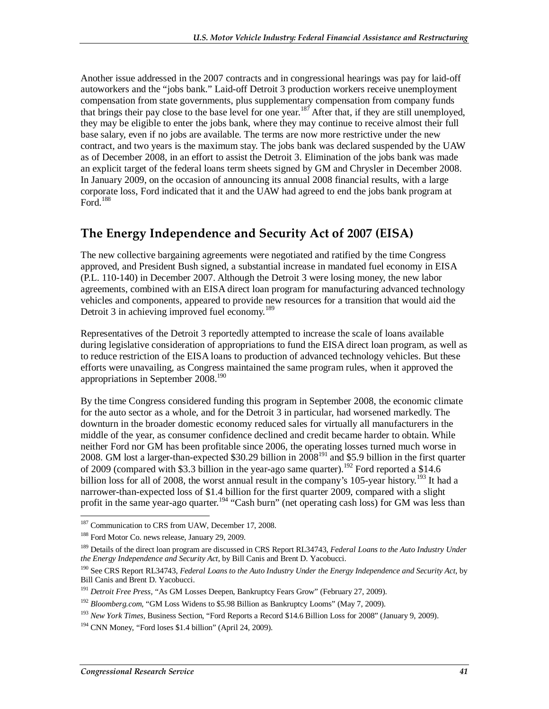Another issue addressed in the 2007 contracts and in congressional hearings was pay for laid-off autoworkers and the "jobs bank." Laid-off Detroit 3 production workers receive unemployment compensation from state governments, plus supplementary compensation from company funds that brings their pay close to the base level for one year.187 After that, if they are still unemployed, they may be eligible to enter the jobs bank, where they may continue to receive almost their full base salary, even if no jobs are available. The terms are now more restrictive under the new contract, and two years is the maximum stay. The jobs bank was declared suspended by the UAW as of December 2008, in an effort to assist the Detroit 3. Elimination of the jobs bank was made an explicit target of the federal loans term sheets signed by GM and Chrysler in December 2008. In January 2009, on the occasion of announcing its annual 2008 financial results, with a large corporate loss, Ford indicated that it and the UAW had agreed to end the jobs bank program at Ford.<sup>188</sup>

## **The Energy Independence and Security Act of 2007 (EISA)**

The new collective bargaining agreements were negotiated and ratified by the time Congress approved, and President Bush signed, a substantial increase in mandated fuel economy in EISA (P.L. 110-140) in December 2007. Although the Detroit 3 were losing money, the new labor agreements, combined with an EISA direct loan program for manufacturing advanced technology vehicles and components, appeared to provide new resources for a transition that would aid the Detroit 3 in achieving improved fuel economy.<sup>189</sup>

Representatives of the Detroit 3 reportedly attempted to increase the scale of loans available during legislative consideration of appropriations to fund the EISA direct loan program, as well as to reduce restriction of the EISA loans to production of advanced technology vehicles. But these efforts were unavailing, as Congress maintained the same program rules, when it approved the appropriations in September  $2008.<sup>190</sup>$ 

By the time Congress considered funding this program in September 2008, the economic climate for the auto sector as a whole, and for the Detroit 3 in particular, had worsened markedly. The downturn in the broader domestic economy reduced sales for virtually all manufacturers in the middle of the year, as consumer confidence declined and credit became harder to obtain. While neither Ford nor GM has been profitable since 2006, the operating losses turned much worse in 2008. GM lost a larger-than-expected \$30.29 billion in  $2008^{191}$  and \$5.9 billion in the first quarter of 2009 (compared with \$3.3 billion in the year-ago same quarter).<sup>192</sup> Ford reported a \$14.6 billion loss for all of 2008, the worst annual result in the company's 105-year history.<sup>193</sup> It had a narrower-than-expected loss of \$1.4 billion for the first quarter 2009, compared with a slight profit in the same year-ago quarter.<sup>194</sup> "Cash burn" (net operating cash loss) for GM was less than

<u>.</u>

<sup>&</sup>lt;sup>187</sup> Communication to CRS from UAW, December 17, 2008.

<sup>&</sup>lt;sup>188</sup> Ford Motor Co. news release, January 29, 2009.

<sup>189</sup> Details of the direct loan program are discussed in CRS Report RL34743, *Federal Loans to the Auto Industry Under the Energy Independence and Security Act*, by Bill Canis and Brent D. Yacobucci.

<sup>190</sup> See CRS Report RL34743, *Federal Loans to the Auto Industry Under the Energy Independence and Security Act*, by Bill Canis and Brent D. Yacobucci.

<sup>&</sup>lt;sup>191</sup> *Detroit Free Press*, "As GM Losses Deepen, Bankruptcy Fears Grow" (February 27, 2009).

<sup>192</sup> *Bloomberg.com,* "GM Loss Widens to \$5.98 Billion as Bankruptcy Looms" (May 7, 2009).

<sup>193</sup> *New York Times,* Business Section, "Ford Reports a Record \$14.6 Billion Loss for 2008" (January 9, 2009).

 $194$  CNN Money, "Ford loses \$1.4 billion" (April 24, 2009).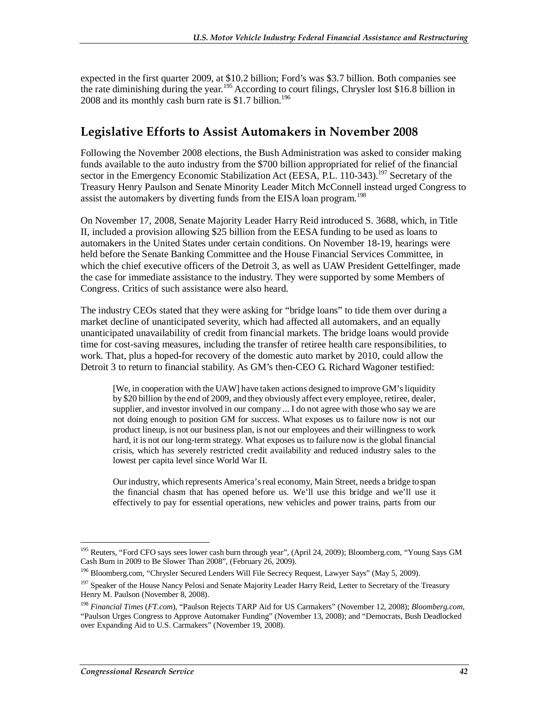expected in the first quarter 2009, at \$10.2 billion; Ford's was \$3.7 billion. Both companies see the rate diminishing during the year.<sup>195</sup> According to court filings, Chrysler lost \$16.8 billion in 2008 and its monthly cash burn rate is \$1.7 billion.<sup>196</sup>

## **Legislative Efforts to Assist Automakers in November 2008**

Following the November 2008 elections, the Bush Administration was asked to consider making funds available to the auto industry from the \$700 billion appropriated for relief of the financial sector in the Emergency Economic Stabilization Act (EESA, P.L. 110-343).<sup>197</sup> Secretary of the Treasury Henry Paulson and Senate Minority Leader Mitch McConnell instead urged Congress to assist the automakers by diverting funds from the EISA loan program.<sup>198</sup>

On November 17, 2008, Senate Majority Leader Harry Reid introduced S. 3688, which, in Title II, included a provision allowing \$25 billion from the EESA funding to be used as loans to automakers in the United States under certain conditions. On November 18-19, hearings were held before the Senate Banking Committee and the House Financial Services Committee, in which the chief executive officers of the Detroit 3, as well as UAW President Gettelfinger, made the case for immediate assistance to the industry. They were supported by some Members of Congress. Critics of such assistance were also heard.

The industry CEOs stated that they were asking for "bridge loans" to tide them over during a market decline of unanticipated severity, which had affected all automakers, and an equally unanticipated unavailability of credit from financial markets. The bridge loans would provide time for cost-saving measures, including the transfer of retiree health care responsibilities, to work. That, plus a hoped-for recovery of the domestic auto market by 2010, could allow the Detroit 3 to return to financial stability. As GM's then-CEO G. Richard Wagoner testified:

[We, in cooperation with the UAW] have taken actions designed to improve GM's liquidity by \$20 billion by the end of 2009, and they obviously affect every employee, retiree, dealer, supplier, and investor involved in our company ... I do not agree with those who say we are not doing enough to position GM for success. What exposes us to failure now is not our product lineup, is not our business plan, is not our employees and their willingness to work hard, it is not our long-term strategy. What exposes us to failure now is the global financial crisis, which has severely restricted credit availability and reduced industry sales to the lowest per capita level since World War II.

Our industry, which represents America's real economy, Main Street, needs a bridge to span the financial chasm that has opened before us. We'll use this bridge and we'll use it effectively to pay for essential operations, new vehicles and power trains, parts from our

<sup>-</sup><sup>195</sup> Reuters, "Ford CFO says sees lower cash burn through year", (April 24, 2009); Bloomberg.com, "Young Says GM Cash Burn in 2009 to Be Slower Than 2008", (February 26, 2009).

<sup>196</sup> Bloomberg.com, "Chrysler Secured Lenders Will File Secrecy Request, Lawyer Says" (May 5, 2009).

<sup>&</sup>lt;sup>197</sup> Speaker of the House Nancy Pelosi and Senate Majority Leader Harry Reid, Letter to Secretary of the Treasury Henry M. Paulson (November 8, 2008).

<sup>198</sup> *Financial Times* (*FT.com*), "Paulson Rejects TARP Aid for US Carmakers" (November 12, 2008); *Bloomberg.com*, "Paulson Urges Congress to Approve Automaker Funding" (November 13, 2008); and "Democrats, Bush Deadlocked over Expanding Aid to U.S. Carmakers" (November 19, 2008).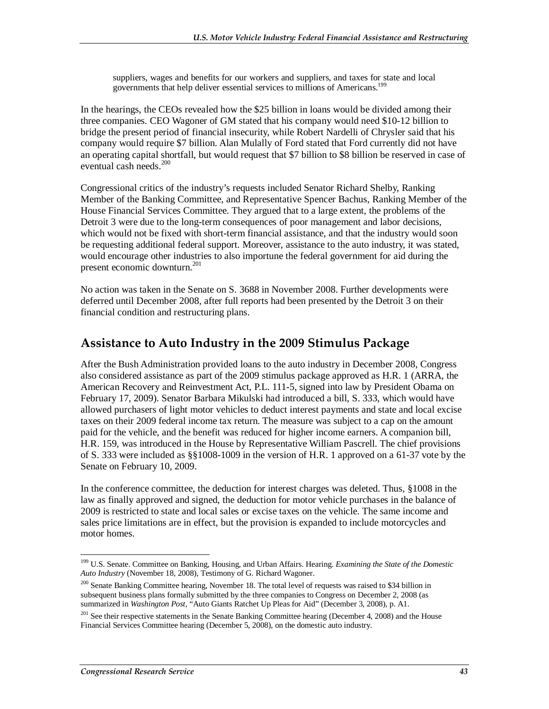suppliers, wages and benefits for our workers and suppliers, and taxes for state and local governments that help deliver essential services to millions of Americans.<sup>199</sup>

In the hearings, the CEOs revealed how the \$25 billion in loans would be divided among their three companies. CEO Wagoner of GM stated that his company would need \$10-12 billion to bridge the present period of financial insecurity, while Robert Nardelli of Chrysler said that his company would require \$7 billion. Alan Mulally of Ford stated that Ford currently did not have an operating capital shortfall, but would request that \$7 billion to \$8 billion be reserved in case of eventual cash needs.<sup>200</sup>

Congressional critics of the industry's requests included Senator Richard Shelby, Ranking Member of the Banking Committee, and Representative Spencer Bachus, Ranking Member of the House Financial Services Committee. They argued that to a large extent, the problems of the Detroit 3 were due to the long-term consequences of poor management and labor decisions, which would not be fixed with short-term financial assistance, and that the industry would soon be requesting additional federal support. Moreover, assistance to the auto industry, it was stated, would encourage other industries to also importune the federal government for aid during the present economic downturn.<sup>201</sup>

No action was taken in the Senate on S. 3688 in November 2008. Further developments were deferred until December 2008, after full reports had been presented by the Detroit 3 on their financial condition and restructuring plans.

## **Assistance to Auto Industry in the 2009 Stimulus Package**

After the Bush Administration provided loans to the auto industry in December 2008, Congress also considered assistance as part of the 2009 stimulus package approved as H.R. 1 (ARRA, the American Recovery and Reinvestment Act, P.L. 111-5, signed into law by President Obama on February 17, 2009). Senator Barbara Mikulski had introduced a bill, S. 333, which would have allowed purchasers of light motor vehicles to deduct interest payments and state and local excise taxes on their 2009 federal income tax return. The measure was subject to a cap on the amount paid for the vehicle, and the benefit was reduced for higher income earners. A companion bill, H.R. 159, was introduced in the House by Representative William Pascrell. The chief provisions of S. 333 were included as §§1008-1009 in the version of H.R. 1 approved on a 61-37 vote by the Senate on February 10, 2009.

In the conference committee, the deduction for interest charges was deleted. Thus, §1008 in the law as finally approved and signed, the deduction for motor vehicle purchases in the balance of 2009 is restricted to state and local sales or excise taxes on the vehicle. The same income and sales price limitations are in effect, but the provision is expanded to include motorcycles and motor homes.

<sup>-</sup>199 U.S. Senate. Committee on Banking, Housing, and Urban Affairs. Hearing. *Examining the State of the Domestic Auto Industry* (November 18, 2008), Testimony of G. Richard Wagoner.

<sup>&</sup>lt;sup>200</sup> Senate Banking Committee hearing, November 18. The total level of requests was raised to \$34 billion in subsequent business plans formally submitted by the three companies to Congress on December 2, 2008 (as summarized in *Washington Post*, "Auto Giants Ratchet Up Pleas for Aid" (December 3, 2008), p. A1.

<sup>&</sup>lt;sup>201</sup> See their respective statements in the Senate Banking Committee hearing (December 4, 2008) and the House Financial Services Committee hearing (December 5, 2008), on the domestic auto industry.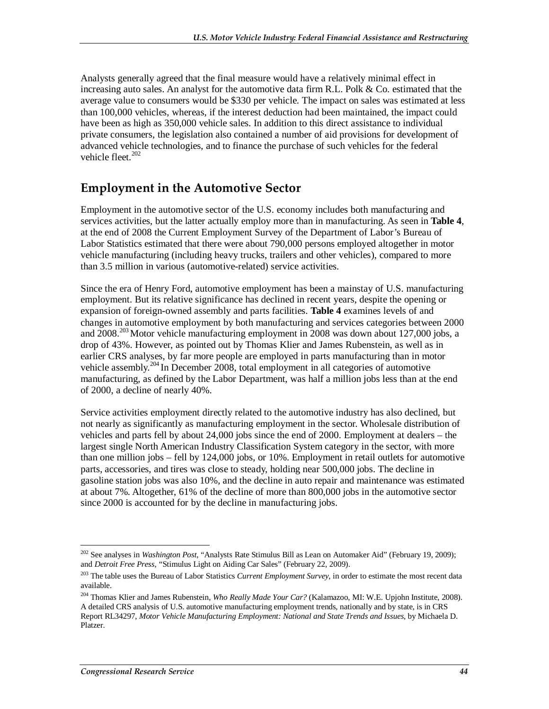Analysts generally agreed that the final measure would have a relatively minimal effect in increasing auto sales. An analyst for the automotive data firm R.L. Polk  $\&$  Co. estimated that the average value to consumers would be \$330 per vehicle. The impact on sales was estimated at less than 100,000 vehicles, whereas, if the interest deduction had been maintained, the impact could have been as high as 350,000 vehicle sales. In addition to this direct assistance to individual private consumers, the legislation also contained a number of aid provisions for development of advanced vehicle technologies, and to finance the purchase of such vehicles for the federal vehicle fleet.<sup>202</sup>

## **Employment in the Automotive Sector**

Employment in the automotive sector of the U.S. economy includes both manufacturing and services activities, but the latter actually employ more than in manufacturing. As seen in **Table 4**, at the end of 2008 the Current Employment Survey of the Department of Labor's Bureau of Labor Statistics estimated that there were about 790,000 persons employed altogether in motor vehicle manufacturing (including heavy trucks, trailers and other vehicles), compared to more than 3.5 million in various (automotive-related) service activities.

Since the era of Henry Ford, automotive employment has been a mainstay of U.S. manufacturing employment. But its relative significance has declined in recent years, despite the opening or expansion of foreign-owned assembly and parts facilities. **Table 4** examines levels of and changes in automotive employment by both manufacturing and services categories between 2000 and 2008.203 Motor vehicle manufacturing employment in 2008 was down about 127,000 jobs, a drop of 43%. However, as pointed out by Thomas Klier and James Rubenstein, as well as in earlier CRS analyses, by far more people are employed in parts manufacturing than in motor vehicle assembly.<sup>204</sup> In December 2008, total employment in all categories of automotive manufacturing, as defined by the Labor Department, was half a million jobs less than at the end of 2000, a decline of nearly 40%.

Service activities employment directly related to the automotive industry has also declined, but not nearly as significantly as manufacturing employment in the sector. Wholesale distribution of vehicles and parts fell by about 24,000 jobs since the end of 2000. Employment at dealers – the largest single North American Industry Classification System category in the sector, with more than one million jobs – fell by 124,000 jobs, or 10%. Employment in retail outlets for automotive parts, accessories, and tires was close to steady, holding near 500,000 jobs. The decline in gasoline station jobs was also 10%, and the decline in auto repair and maintenance was estimated at about 7%. Altogether, 61% of the decline of more than 800,000 jobs in the automotive sector since 2000 is accounted for by the decline in manufacturing jobs.

<sup>&</sup>lt;u>.</u> 202 See analyses in *Washington Post*, "Analysts Rate Stimulus Bill as Lean on Automaker Aid" (February 19, 2009); and *Detroit Free Press*, "Stimulus Light on Aiding Car Sales" (February 22, 2009).

<sup>203</sup> The table uses the Bureau of Labor Statistics *Current Employment Survey*, in order to estimate the most recent data available.

<sup>204</sup> Thomas Klier and James Rubenstein, *Who Really Made Your Car?* (Kalamazoo, MI: W.E. Upjohn Institute, 2008). A detailed CRS analysis of U.S. automotive manufacturing employment trends, nationally and by state, is in CRS Report RL34297, *Motor Vehicle Manufacturing Employment: National and State Trends and Issues*, by Michaela D. Platzer.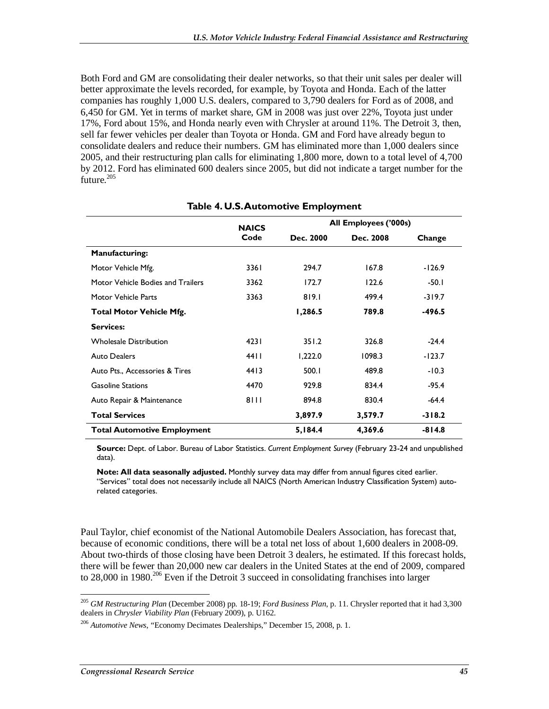Both Ford and GM are consolidating their dealer networks, so that their unit sales per dealer will better approximate the levels recorded, for example, by Toyota and Honda. Each of the latter companies has roughly 1,000 U.S. dealers, compared to 3,790 dealers for Ford as of 2008, and 6,450 for GM. Yet in terms of market share, GM in 2008 was just over 22%, Toyota just under 17%, Ford about 15%, and Honda nearly even with Chrysler at around 11%. The Detroit 3, then, sell far fewer vehicles per dealer than Toyota or Honda. GM and Ford have already begun to consolidate dealers and reduce their numbers. GM has eliminated more than 1,000 dealers since 2005, and their restructuring plan calls for eliminating 1,800 more, down to a total level of 4,700 by 2012. Ford has eliminated 600 dealers since 2005, but did not indicate a target number for the future.<sup>205</sup>

|      | All Employees ('000s) |           |          |  |  |
|------|-----------------------|-----------|----------|--|--|
| Code | Dec. 2000             | Dec. 2008 | Change   |  |  |
|      |                       |           |          |  |  |
| 3361 | 294.7                 | 167.8     | $-126.9$ |  |  |
| 3362 | 172.7                 | 122.6     | $-50.1$  |  |  |
| 3363 | 819.1                 | 499.4     | $-319.7$ |  |  |
|      | 1,286.5               | 789.8     | -496.5   |  |  |
|      |                       |           |          |  |  |
| 4231 | 351.2                 | 326.8     | $-24.4$  |  |  |
| 4411 | 1,222.0               | 1098.3    | $-123.7$ |  |  |
| 4413 | 500.1                 | 489.8     | $-10.3$  |  |  |
| 4470 | 929.8                 | 834.4     | $-95.4$  |  |  |
| 8111 | 894.8                 | 830.4     | $-64.4$  |  |  |
|      | 3,897.9               | 3,579.7   | $-318.2$ |  |  |
|      | 5,184.4               | 4,369.6   | $-814.8$ |  |  |
|      | <b>NAICS</b>          |           |          |  |  |

#### **Table 4. U.S. Automotive Employment**

**Source:** Dept. of Labor. Bureau of Labor Statistics. *Current Employment Survey* (February 23-24 and unpublished data).

**Note: All data seasonally adjusted.** Monthly survey data may differ from annual figures cited earlier. "Services" total does not necessarily include all NAICS (North American Industry Classification System) autorelated categories.

Paul Taylor, chief economist of the National Automobile Dealers Association, has forecast that, because of economic conditions, there will be a total net loss of about 1,600 dealers in 2008-09. About two-thirds of those closing have been Detroit 3 dealers, he estimated. If this forecast holds, there will be fewer than 20,000 new car dealers in the United States at the end of 2009, compared to 28,000 in 1980.<sup>206</sup> Even if the Detroit 3 succeed in consolidating franchises into larger

<sup>-</sup><sup>205</sup> *GM Restructuring Plan* (December 2008) pp. 18-19; *Ford Business Plan*, p. 11. Chrysler reported that it had 3,300 dealers in *Chrysler Viability Plan* (February 2009), p. U162.

<sup>206</sup> *Automotive News*, "Economy Decimates Dealerships," December 15, 2008, p. 1.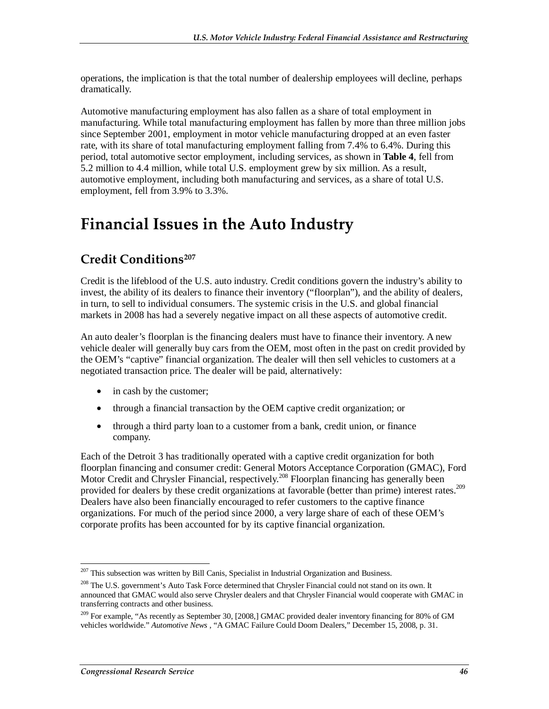operations, the implication is that the total number of dealership employees will decline, perhaps dramatically.

Automotive manufacturing employment has also fallen as a share of total employment in manufacturing. While total manufacturing employment has fallen by more than three million jobs since September 2001, employment in motor vehicle manufacturing dropped at an even faster rate, with its share of total manufacturing employment falling from 7.4% to 6.4%. During this period, total automotive sector employment, including services, as shown in **Table 4**, fell from 5.2 million to 4.4 million, while total U.S. employment grew by six million. As a result, automotive employment, including both manufacturing and services, as a share of total U.S. employment, fell from 3.9% to 3.3%.

# **Financial Issues in the Auto Industry**

# **Credit Conditions207**

Credit is the lifeblood of the U.S. auto industry. Credit conditions govern the industry's ability to invest, the ability of its dealers to finance their inventory ("floorplan"), and the ability of dealers, in turn, to sell to individual consumers. The systemic crisis in the U.S. and global financial markets in 2008 has had a severely negative impact on all these aspects of automotive credit.

An auto dealer's floorplan is the financing dealers must have to finance their inventory. A new vehicle dealer will generally buy cars from the OEM, most often in the past on credit provided by the OEM's "captive" financial organization. The dealer will then sell vehicles to customers at a negotiated transaction price. The dealer will be paid, alternatively:

- in cash by the customer;
- through a financial transaction by the OEM captive credit organization; or
- through a third party loan to a customer from a bank, credit union, or finance company.

Each of the Detroit 3 has traditionally operated with a captive credit organization for both floorplan financing and consumer credit: General Motors Acceptance Corporation (GMAC), Ford Motor Credit and Chrysler Financial, respectively.<sup>208</sup> Floorplan financing has generally been provided for dealers by these credit organizations at favorable (better than prime) interest rates.<sup>209</sup> Dealers have also been financially encouraged to refer customers to the captive finance organizations. For much of the period since 2000, a very large share of each of these OEM's corporate profits has been accounted for by its captive financial organization.

<sup>-</sup><sup>207</sup> This subsection was written by Bill Canis, Specialist in Industrial Organization and Business.

<sup>&</sup>lt;sup>208</sup> The U.S. government's Auto Task Force determined that Chrysler Financial could not stand on its own. It announced that GMAC would also serve Chrysler dealers and that Chrysler Financial would cooperate with GMAC in transferring contracts and other business.

<sup>&</sup>lt;sup>209</sup> For example, "As recently as September 30, [2008,] GMAC provided dealer inventory financing for 80% of GM vehicles worldwide." *Automotive News* , "A GMAC Failure Could Doom Dealers," December 15, 2008, p. 31.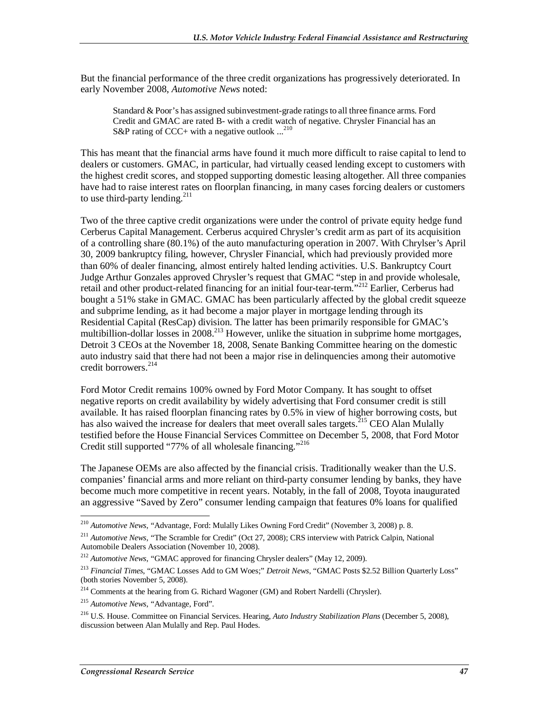But the financial performance of the three credit organizations has progressively deteriorated. In early November 2008, *Automotive News* noted:

Standard & Poor's has assigned subinvestment-grade ratings to all three finance arms. Ford Credit and GMAC are rated B- with a credit watch of negative. Chrysler Financial has an S&P rating of CCC+ with a negative outlook  $\ldots^{210}$ 

This has meant that the financial arms have found it much more difficult to raise capital to lend to dealers or customers. GMAC, in particular, had virtually ceased lending except to customers with the highest credit scores, and stopped supporting domestic leasing altogether. All three companies have had to raise interest rates on floorplan financing, in many cases forcing dealers or customers to use third-party lending. $^{211}$ 

Two of the three captive credit organizations were under the control of private equity hedge fund Cerberus Capital Management. Cerberus acquired Chrysler's credit arm as part of its acquisition of a controlling share (80.1%) of the auto manufacturing operation in 2007. With Chrylser's April 30, 2009 bankruptcy filing, however, Chrysler Financial, which had previously provided more than 60% of dealer financing, almost entirely halted lending activities. U.S. Bankruptcy Court Judge Arthur Gonzales approved Chrysler's request that GMAC "step in and provide wholesale, retail and other product-related financing for an initial four-tear-term."<sup>212</sup> Earlier, Cerberus had bought a 51% stake in GMAC. GMAC has been particularly affected by the global credit squeeze and subprime lending, as it had become a major player in mortgage lending through its Residential Capital (ResCap) division. The latter has been primarily responsible for GMAC's multibillion-dollar losses in  $2008$ <sup>213</sup> However, unlike the situation in subprime home mortgages, Detroit 3 CEOs at the November 18, 2008, Senate Banking Committee hearing on the domestic auto industry said that there had not been a major rise in delinquencies among their automotive credit borrowers.<sup>214</sup>

Ford Motor Credit remains 100% owned by Ford Motor Company. It has sought to offset negative reports on credit availability by widely advertising that Ford consumer credit is still available. It has raised floorplan financing rates by 0.5% in view of higher borrowing costs, but has also waived the increase for dealers that meet overall sales targets.<sup>215</sup> CEO Alan Mulally testified before the House Financial Services Committee on December 5, 2008, that Ford Motor Credit still supported "77% of all wholesale financing."<sup>216</sup>

The Japanese OEMs are also affected by the financial crisis. Traditionally weaker than the U.S. companies' financial arms and more reliant on third-party consumer lending by banks, they have become much more competitive in recent years. Notably, in the fall of 2008, Toyota inaugurated an aggressive "Saved by Zero" consumer lending campaign that features 0% loans for qualified

<u>.</u>

<sup>210</sup> *Automotive News*, "Advantage, Ford: Mulally Likes Owning Ford Credit" (November 3, 2008) p. 8.

<sup>211</sup> *Automotive News*, "The Scramble for Credit" (Oct 27, 2008); CRS interview with Patrick Calpin, National Automobile Dealers Association (November 10, 2008).

<sup>212</sup> *Automotive News*, "GMAC approved for financing Chrysler dealers" (May 12, 2009).

<sup>213</sup> *Financial Times*, "GMAC Losses Add to GM Woes;" *Detroit News*, "GMAC Posts \$2.52 Billion Quarterly Loss" (both stories November 5, 2008).

<sup>&</sup>lt;sup>214</sup> Comments at the hearing from G. Richard Wagoner (GM) and Robert Nardelli (Chrysler).

<sup>215</sup> *Automotive News*, "Advantage, Ford".

<sup>216</sup> U.S. House. Committee on Financial Services. Hearing, *Auto Industry Stabilization Plans* (December 5, 2008), discussion between Alan Mulally and Rep. Paul Hodes.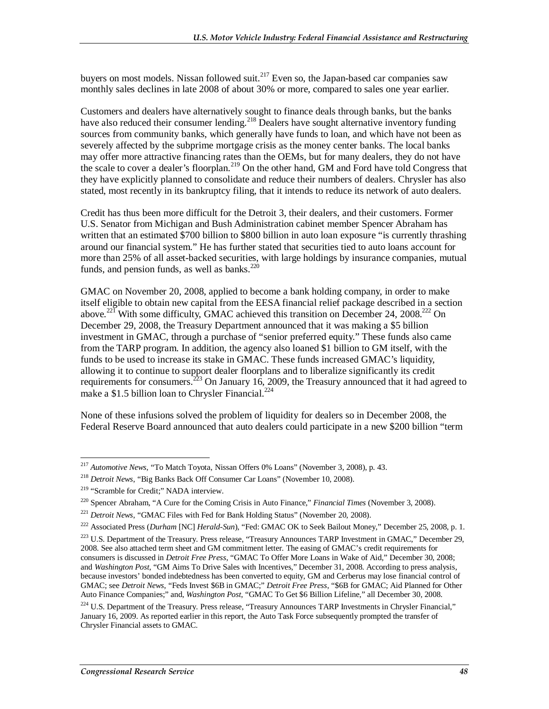buyers on most models. Nissan followed suit.<sup>217</sup> Even so, the Japan-based car companies saw monthly sales declines in late 2008 of about 30% or more, compared to sales one year earlier.

Customers and dealers have alternatively sought to finance deals through banks, but the banks have also reduced their consumer lending.<sup>218</sup> Dealers have sought alternative inventory funding sources from community banks, which generally have funds to loan, and which have not been as severely affected by the subprime mortgage crisis as the money center banks. The local banks may offer more attractive financing rates than the OEMs, but for many dealers, they do not have the scale to cover a dealer's floorplan.<sup>219</sup> On the other hand, GM and Ford have told Congress that they have explicitly planned to consolidate and reduce their numbers of dealers. Chrysler has also stated, most recently in its bankruptcy filing, that it intends to reduce its network of auto dealers.

Credit has thus been more difficult for the Detroit 3, their dealers, and their customers. Former U.S. Senator from Michigan and Bush Administration cabinet member Spencer Abraham has written that an estimated \$700 billion to \$800 billion in auto loan exposure "is currently thrashing around our financial system." He has further stated that securities tied to auto loans account for more than 25% of all asset-backed securities, with large holdings by insurance companies, mutual funds, and pension funds, as well as banks. $220$ 

GMAC on November 20, 2008, applied to become a bank holding company, in order to make itself eligible to obtain new capital from the EESA financial relief package described in a section above.<sup>221</sup> With some difficulty, GMAC achieved this transition on December 24, 2008.<sup>222</sup> On December 29, 2008, the Treasury Department announced that it was making a \$5 billion investment in GMAC, through a purchase of "senior preferred equity." These funds also came from the TARP program. In addition, the agency also loaned \$1 billion to GM itself, with the funds to be used to increase its stake in GMAC. These funds increased GMAC's liquidity, allowing it to continue to support dealer floorplans and to liberalize significantly its credit requirements for consumers.<sup>223</sup> On January 16, 2009, the Treasury announced that it had agreed to make a \$1.5 billion loan to Chrysler Financial.<sup>224</sup>

None of these infusions solved the problem of liquidity for dealers so in December 2008, the Federal Reserve Board announced that auto dealers could participate in a new \$200 billion "term

<sup>-</sup><sup>217</sup> *Automotive News*, "To Match Toyota, Nissan Offers 0% Loans" (November 3, 2008), p. 43.

<sup>218</sup> *Detroit News*, "Big Banks Back Off Consumer Car Loans" (November 10, 2008).

<sup>219 &</sup>quot;Scramble for Credit;" NADA interview.

<sup>220</sup> Spencer Abraham, "A Cure for the Coming Crisis in Auto Finance," *Financial Times* (November 3, 2008).

<sup>221</sup> *Detroit News*, "GMAC Files with Fed for Bank Holding Status" (November 20, 2008).

<sup>222</sup> Associated Press (*Durham* [NC] *Herald-Sun*), "Fed: GMAC OK to Seek Bailout Money," December 25, 2008, p. 1.

<sup>&</sup>lt;sup>223</sup> U.S. Department of the Treasury. Press release, "Treasury Announces TARP Investment in GMAC," December 29, 2008. See also attached term sheet and GM commitment letter. The easing of GMAC's credit requirements for consumers is discussed in *Detroit Free Press*, "GMAC To Offer More Loans in Wake of Aid," December 30, 2008; and *Washington Post*, "GM Aims To Drive Sales with Incentives," December 31, 2008. According to press analysis, because investors' bonded indebtedness has been converted to equity, GM and Cerberus may lose financial control of GMAC; see *Detroit News*, "Feds Invest \$6B in GMAC;" *Detroit Free Press*, "\$6B for GMAC; Aid Planned for Other Auto Finance Companies;" and, *Washington Post*, "GMAC To Get \$6 Billion Lifeline," all December 30, 2008.

<sup>&</sup>lt;sup>224</sup> U.S. Department of the Treasury. Press release, "Treasury Announces TARP Investments in Chrysler Financial," January 16, 2009. As reported earlier in this report, the Auto Task Force subsequently prompted the transfer of Chrysler Financial assets to GMAC.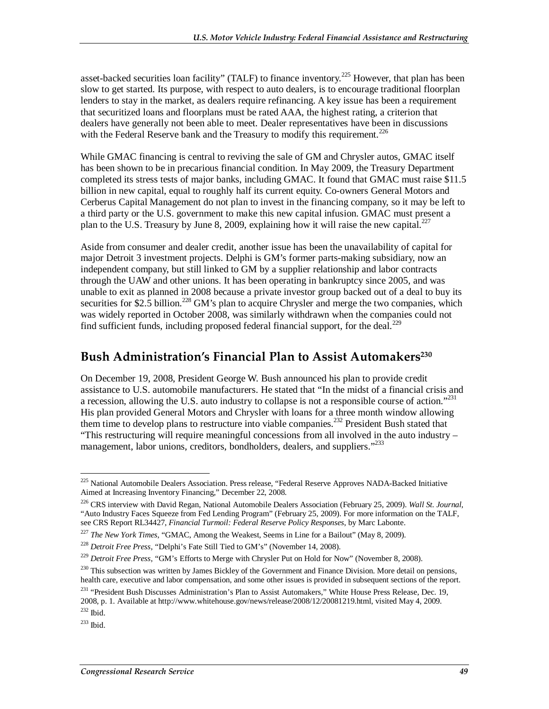asset-backed securities loan facility" (TALF) to finance inventory.<sup>225</sup> However, that plan has been slow to get started. Its purpose, with respect to auto dealers, is to encourage traditional floorplan lenders to stay in the market, as dealers require refinancing. A key issue has been a requirement that securitized loans and floorplans must be rated AAA, the highest rating, a criterion that dealers have generally not been able to meet. Dealer representatives have been in discussions with the Federal Reserve bank and the Treasury to modify this requirement.<sup>226</sup>

While GMAC financing is central to reviving the sale of GM and Chrysler autos, GMAC itself has been shown to be in precarious financial condition. In May 2009, the Treasury Department completed its stress tests of major banks, including GMAC. It found that GMAC must raise \$11.5 billion in new capital, equal to roughly half its current equity. Co-owners General Motors and Cerberus Capital Management do not plan to invest in the financing company, so it may be left to a third party or the U.S. government to make this new capital infusion. GMAC must present a plan to the U.S. Treasury by June 8, 2009, explaining how it will raise the new capital.<sup>227</sup>

Aside from consumer and dealer credit, another issue has been the unavailability of capital for major Detroit 3 investment projects. Delphi is GM's former parts-making subsidiary, now an independent company, but still linked to GM by a supplier relationship and labor contracts through the UAW and other unions. It has been operating in bankruptcy since 2005, and was unable to exit as planned in 2008 because a private investor group backed out of a deal to buy its securities for \$2.5 billion.<sup>228</sup> GM's plan to acquire Chrysler and merge the two companies, which was widely reported in October 2008, was similarly withdrawn when the companies could not find sufficient funds, including proposed federal financial support, for the deal.<sup>229</sup>

## **Bush Administration's Financial Plan to Assist Automakers230**

On December 19, 2008, President George W. Bush announced his plan to provide credit assistance to U.S. automobile manufacturers. He stated that "In the midst of a financial crisis and a recession, allowing the U.S. auto industry to collapse is not a responsible course of action.<sup>"231</sup> His plan provided General Motors and Chrysler with loans for a three month window allowing them time to develop plans to restructure into viable companies.<sup>232</sup> President Bush stated that "This restructuring will require meaningful concessions from all involved in the auto industry – management, labor unions, creditors, bondholders, dealers, and suppliers.<sup>7233</sup>

<sup>&</sup>lt;u>.</u> <sup>225</sup> National Automobile Dealers Association. Press release, "Federal Reserve Approves NADA-Backed Initiative Aimed at Increasing Inventory Financing," December 22, 2008.

<sup>226</sup> CRS interview with David Regan, National Automobile Dealers Association (February 25, 2009). *Wall St. Journal*, "Auto Industry Faces Squeeze from Fed Lending Program" (February 25, 2009). For more information on the TALF, see CRS Report RL34427, *Financial Turmoil: Federal Reserve Policy Responses*, by Marc Labonte.

<sup>227</sup> *The New York Times*, "GMAC, Among the Weakest, Seems in Line for a Bailout" (May 8, 2009).

<sup>228</sup> *Detroit Free Press*, "Delphi's Fate Still Tied to GM's" (November 14, 2008).

<sup>229</sup> *Detroit Free Press*, "GM's Efforts to Merge with Chrysler Put on Hold for Now" (November 8, 2008).

<sup>&</sup>lt;sup>230</sup> This subsection was written by James Bickley of the Government and Finance Division. More detail on pensions, health care, executive and labor compensation, and some other issues is provided in subsequent sections of the report.

<sup>&</sup>lt;sup>231</sup> "President Bush Discusses Administration's Plan to Assist Automakers," White House Press Release, Dec. 19, 2008, p. 1. Available at http://www.whitehouse.gov/news/release/2008/12/20081219.html, visited May 4, 2009. 232 Ibid.

 $233$  Ibid.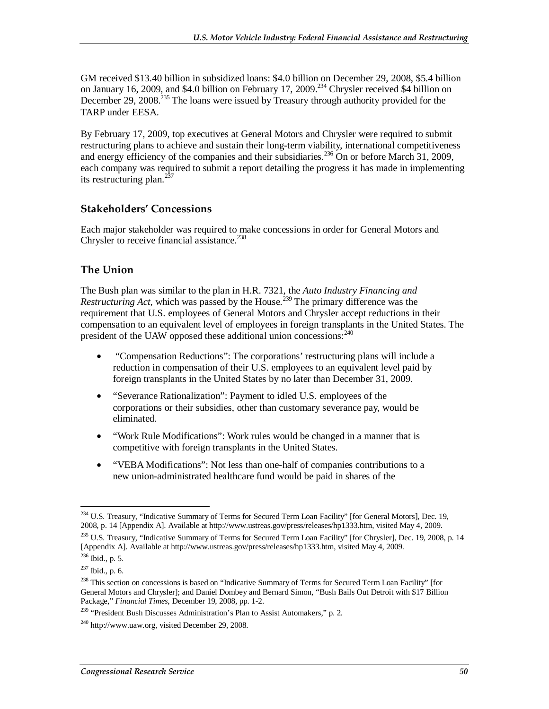GM received \$13.40 billion in subsidized loans: \$4.0 billion on December 29, 2008, \$5.4 billion on January 16, 2009, and \$4.0 billion on February 17, 2009.<sup>234</sup> Chrysler received \$4 billion on December 29, 2008<sup>235</sup> The loans were issued by Treasury through authority provided for the TARP under EESA.

By February 17, 2009, top executives at General Motors and Chrysler were required to submit restructuring plans to achieve and sustain their long-term viability, international competitiveness and energy efficiency of the companies and their subsidiaries.<sup>236</sup> On or before March 31, 2009, each company was required to submit a report detailing the progress it has made in implementing its restructuring plan. $^{237}$ 

#### **Stakeholders' Concessions**

Each major stakeholder was required to make concessions in order for General Motors and Chrysler to receive financial assistance.<sup>238</sup>

#### **The Union**

The Bush plan was similar to the plan in H.R. 7321, the *Auto Industry Financing and Restructuring Act*, which was passed by the House.<sup>239</sup> The primary difference was the requirement that U.S. employees of General Motors and Chrysler accept reductions in their compensation to an equivalent level of employees in foreign transplants in the United States. The president of the UAW opposed these additional union concessions:<sup>240</sup>

- "Compensation Reductions": The corporations' restructuring plans will include a reduction in compensation of their U.S. employees to an equivalent level paid by foreign transplants in the United States by no later than December 31, 2009.
- "Severance Rationalization": Payment to idled U.S. employees of the corporations or their subsidies, other than customary severance pay, would be eliminated.
- "Work Rule Modifications": Work rules would be changed in a manner that is competitive with foreign transplants in the United States.
- "VEBA Modifications": Not less than one-half of companies contributions to a new union-administrated healthcare fund would be paid in shares of the

<sup>-</sup><sup>234</sup> U.S. Treasury, "Indicative Summary of Terms for Secured Term Loan Facility" [for General Motors], Dec. 19, 2008, p. 14 [Appendix A]. Available at http://www.ustreas.gov/press/releases/hp1333.htm, visited May 4, 2009.

<sup>&</sup>lt;sup>235</sup> U.S. Treasury, "Indicative Summary of Terms for Secured Term Loan Facility" [for Chrysler], Dec. 19, 2008, p. 14 [Appendix A]. Available at http://www.ustreas.gov/press/releases/hp1333.htm, visited May 4, 2009.

<sup>236</sup> Ibid., p. 5.

 $237$  Ibid., p. 6.

<sup>&</sup>lt;sup>238</sup> This section on concessions is based on "Indicative Summary of Terms for Secured Term Loan Facility" [for General Motors and Chrysler]; and Daniel Dombey and Bernard Simon, "Bush Bails Out Detroit with \$17 Billion Package," *Financial Times*, December 19, 2008, pp. 1-2.

<sup>&</sup>lt;sup>239</sup> "President Bush Discusses Administration's Plan to Assist Automakers," p. 2.

 $240$  http://www.uaw.org, visited December 29, 2008.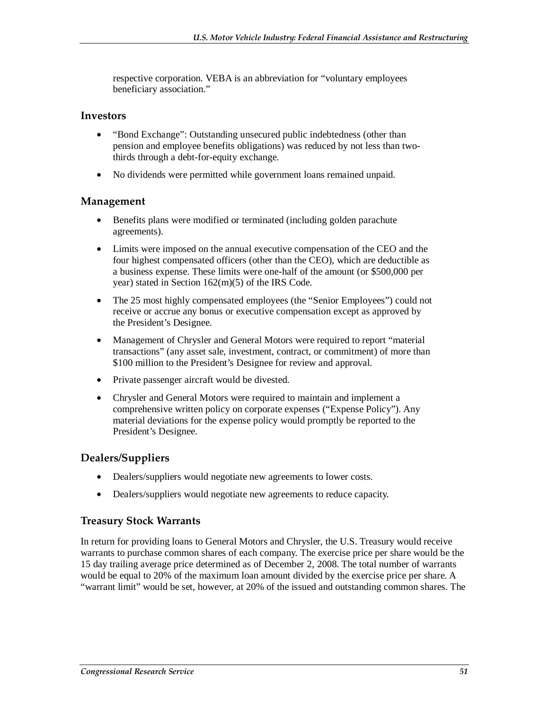respective corporation. VEBA is an abbreviation for "voluntary employees beneficiary association."

#### **Investors**

- "Bond Exchange": Outstanding unsecured public indebtedness (other than pension and employee benefits obligations) was reduced by not less than twothirds through a debt-for-equity exchange.
- No dividends were permitted while government loans remained unpaid.

#### **Management**

- Benefits plans were modified or terminated (including golden parachute agreements).
- Limits were imposed on the annual executive compensation of the CEO and the four highest compensated officers (other than the CEO), which are deductible as a business expense. These limits were one-half of the amount (or \$500,000 per year) stated in Section 162(m)(5) of the IRS Code.
- The 25 most highly compensated employees (the "Senior Employees") could not receive or accrue any bonus or executive compensation except as approved by the President's Designee.
- Management of Chrysler and General Motors were required to report "material" transactions" (any asset sale, investment, contract, or commitment) of more than \$100 million to the President's Designee for review and approval.
- Private passenger aircraft would be divested.
- Chrysler and General Motors were required to maintain and implement a comprehensive written policy on corporate expenses ("Expense Policy"). Any material deviations for the expense policy would promptly be reported to the President's Designee.

#### **Dealers/Suppliers**

- Dealers/suppliers would negotiate new agreements to lower costs.
- Dealers/suppliers would negotiate new agreements to reduce capacity.

#### **Treasury Stock Warrants**

In return for providing loans to General Motors and Chrysler, the U.S. Treasury would receive warrants to purchase common shares of each company. The exercise price per share would be the 15 day trailing average price determined as of December 2, 2008. The total number of warrants would be equal to 20% of the maximum loan amount divided by the exercise price per share. A "warrant limit" would be set, however, at 20% of the issued and outstanding common shares. The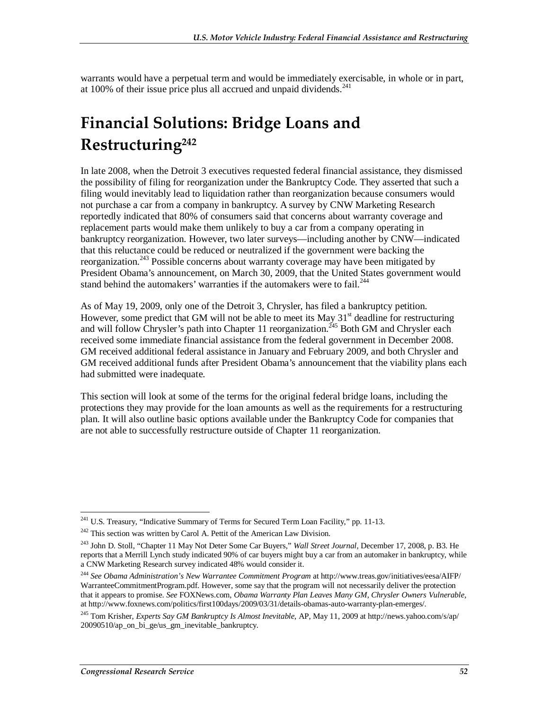warrants would have a perpetual term and would be immediately exercisable, in whole or in part, at 100% of their issue price plus all accrued and unpaid dividends.<sup>241</sup>

# **Financial Solutions: Bridge Loans and Restructuring242**

In late 2008, when the Detroit 3 executives requested federal financial assistance, they dismissed the possibility of filing for reorganization under the Bankruptcy Code. They asserted that such a filing would inevitably lead to liquidation rather than reorganization because consumers would not purchase a car from a company in bankruptcy. A survey by CNW Marketing Research reportedly indicated that 80% of consumers said that concerns about warranty coverage and replacement parts would make them unlikely to buy a car from a company operating in bankruptcy reorganization. However, two later surveys—including another by CNW—indicated that this reluctance could be reduced or neutralized if the government were backing the reorganization.<sup>243</sup> Possible concerns about warranty coverage may have been mitigated by President Obama's announcement, on March 30, 2009, that the United States government would stand behind the automakers' warranties if the automakers were to fail.<sup>244</sup>

As of May 19, 2009, only one of the Detroit 3, Chrysler, has filed a bankruptcy petition. However, some predict that GM will not be able to meet its May  $31<sup>st</sup>$  deadline for restructuring and will follow Chrysler's path into Chapter 11 reorganization.<sup>245</sup> Both GM and Chrysler each received some immediate financial assistance from the federal government in December 2008. GM received additional federal assistance in January and February 2009, and both Chrysler and GM received additional funds after President Obama's announcement that the viability plans each had submitted were inadequate.

This section will look at some of the terms for the original federal bridge loans, including the protections they may provide for the loan amounts as well as the requirements for a restructuring plan. It will also outline basic options available under the Bankruptcy Code for companies that are not able to successfully restructure outside of Chapter 11 reorganization.

<sup>-</sup><sup>241</sup> U.S. Treasury, "Indicative Summary of Terms for Secured Term Loan Facility," pp. 11-13.

<sup>&</sup>lt;sup>242</sup> This section was written by Carol A. Pettit of the American Law Division.

<sup>243</sup> John D. Stoll, "Chapter 11 May Not Deter Some Car Buyers," *Wall Street Journal*, December 17, 2008, p. B3. He reports that a Merrill Lynch study indicated 90% of car buyers might buy a car from an automaker in bankruptcy, while a CNW Marketing Research survey indicated 48% would consider it.

<sup>244</sup> *See Obama Administration's New Warrantee Commitment Program* at http://www.treas.gov/initiatives/eesa/AIFP/ WarranteeCommitmentProgram.pdf. However, some say that the program will not necessarily deliver the protection that it appears to promise. *See* FOXNews.com, *Obama Warranty Plan Leaves Many GM, Chrysler Owners Vulnerable*, at http://www.foxnews.com/politics/first100days/2009/03/31/details-obamas-auto-warranty-plan-emerges/.

<sup>245</sup> Tom Krisher, *Experts Say GM Bankruptcy Is Almost Inevitable*, AP, May 11, 2009 at http://news.yahoo.com/s/ap/ 20090510/ap\_on\_bi\_ge/us\_gm\_inevitable\_bankruptcy.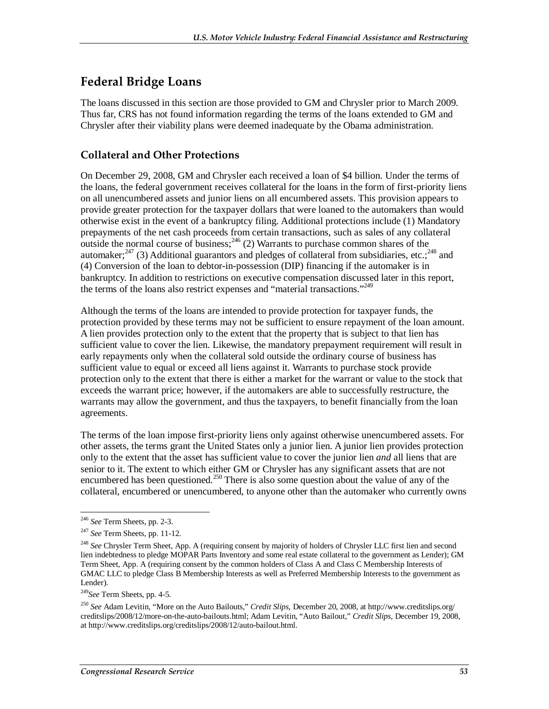# **Federal Bridge Loans**

The loans discussed in this section are those provided to GM and Chrysler prior to March 2009. Thus far, CRS has not found information regarding the terms of the loans extended to GM and Chrysler after their viability plans were deemed inadequate by the Obama administration.

### **Collateral and Other Protections**

On December 29, 2008, GM and Chrysler each received a loan of \$4 billion. Under the terms of the loans, the federal government receives collateral for the loans in the form of first-priority liens on all unencumbered assets and junior liens on all encumbered assets. This provision appears to provide greater protection for the taxpayer dollars that were loaned to the automakers than would otherwise exist in the event of a bankruptcy filing. Additional protections include (1) Mandatory prepayments of the net cash proceeds from certain transactions, such as sales of any collateral outside the normal course of business;  $246$  (2) Warrants to purchase common shares of the automaker;<sup>247</sup> (3) Additional guarantors and pledges of collateral from subsidiaries, etc.;<sup>248</sup> and (4) Conversion of the loan to debtor-in-possession (DIP) financing if the automaker is in bankruptcy. In addition to restrictions on executive compensation discussed later in this report, the terms of the loans also restrict expenses and "material transactions."249

Although the terms of the loans are intended to provide protection for taxpayer funds, the protection provided by these terms may not be sufficient to ensure repayment of the loan amount. A lien provides protection only to the extent that the property that is subject to that lien has sufficient value to cover the lien. Likewise, the mandatory prepayment requirement will result in early repayments only when the collateral sold outside the ordinary course of business has sufficient value to equal or exceed all liens against it. Warrants to purchase stock provide protection only to the extent that there is either a market for the warrant or value to the stock that exceeds the warrant price; however, if the automakers are able to successfully restructure, the warrants may allow the government, and thus the taxpayers, to benefit financially from the loan agreements.

The terms of the loan impose first-priority liens only against otherwise unencumbered assets. For other assets, the terms grant the United States only a junior lien. A junior lien provides protection only to the extent that the asset has sufficient value to cover the junior lien *and* all liens that are senior to it. The extent to which either GM or Chrysler has any significant assets that are not encumbered has been questioned.<sup>250</sup> There is also some question about the value of any of the collateral, encumbered or unencumbered, to anyone other than the automaker who currently owns

<sup>-</sup><sup>246</sup> *See* Term Sheets, pp. 2-3.

<sup>247</sup> *See* Term Sheets, pp. 11-12.

<sup>248</sup> *See* Chrysler Term Sheet, App. A (requiring consent by majority of holders of Chrysler LLC first lien and second lien indebtedness to pledge MOPAR Parts Inventory and some real estate collateral to the government as Lender); GM Term Sheet, App. A (requiring consent by the common holders of Class A and Class C Membership Interests of GMAC LLC to pledge Class B Membership Interests as well as Preferred Membership Interests to the government as Lender).

<sup>249</sup>*See* Term Sheets, pp. 4-5.

<sup>250</sup> *See* Adam Levitin, "More on the Auto Bailouts," *Credit Slips*, December 20, 2008, at http://www.creditslips.org/ creditslips/2008/12/more-on-the-auto-bailouts.html; Adam Levitin, "Auto Bailout," *Credit Slips*, December 19, 2008, at http://www.creditslips.org/creditslips/2008/12/auto-bailout.html.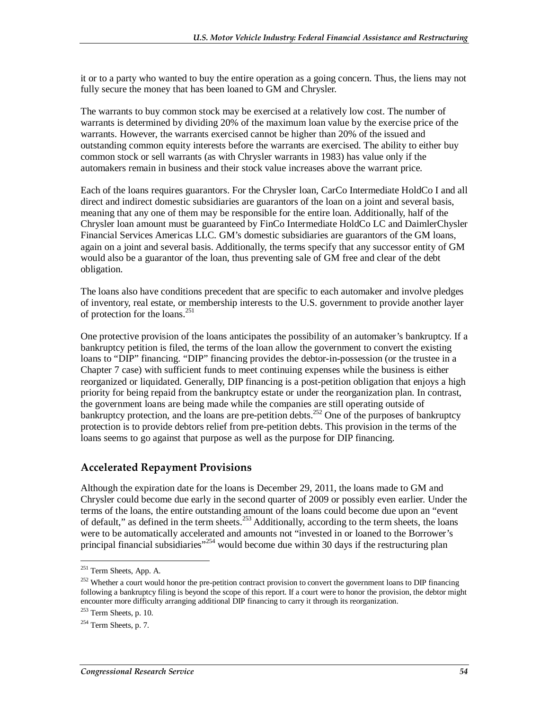it or to a party who wanted to buy the entire operation as a going concern. Thus, the liens may not fully secure the money that has been loaned to GM and Chrysler.

The warrants to buy common stock may be exercised at a relatively low cost. The number of warrants is determined by dividing 20% of the maximum loan value by the exercise price of the warrants. However, the warrants exercised cannot be higher than 20% of the issued and outstanding common equity interests before the warrants are exercised. The ability to either buy common stock or sell warrants (as with Chrysler warrants in 1983) has value only if the automakers remain in business and their stock value increases above the warrant price.

Each of the loans requires guarantors. For the Chrysler loan, CarCo Intermediate HoldCo I and all direct and indirect domestic subsidiaries are guarantors of the loan on a joint and several basis, meaning that any one of them may be responsible for the entire loan. Additionally, half of the Chrysler loan amount must be guaranteed by FinCo Intermediate HoldCo LC and DaimlerChysler Financial Services Americas LLC. GM's domestic subsidiaries are guarantors of the GM loans, again on a joint and several basis. Additionally, the terms specify that any successor entity of GM would also be a guarantor of the loan, thus preventing sale of GM free and clear of the debt obligation.

The loans also have conditions precedent that are specific to each automaker and involve pledges of inventory, real estate, or membership interests to the U.S. government to provide another layer of protection for the loans.<sup>251</sup>

One protective provision of the loans anticipates the possibility of an automaker's bankruptcy. If a bankruptcy petition is filed, the terms of the loan allow the government to convert the existing loans to "DIP" financing. "DIP" financing provides the debtor-in-possession (or the trustee in a Chapter 7 case) with sufficient funds to meet continuing expenses while the business is either reorganized or liquidated. Generally, DIP financing is a post-petition obligation that enjoys a high priority for being repaid from the bankruptcy estate or under the reorganization plan. In contrast, the government loans are being made while the companies are still operating outside of bankruptcy protection, and the loans are pre-petition debts.<sup>252</sup> One of the purposes of bankruptcy protection is to provide debtors relief from pre-petition debts. This provision in the terms of the loans seems to go against that purpose as well as the purpose for DIP financing.

#### **Accelerated Repayment Provisions**

Although the expiration date for the loans is December 29, 2011, the loans made to GM and Chrysler could become due early in the second quarter of 2009 or possibly even earlier. Under the terms of the loans, the entire outstanding amount of the loans could become due upon an "event of default," as defined in the term sheets.<sup>253</sup> Additionally, according to the term sheets, the loans were to be automatically accelerated and amounts not "invested in or loaned to the Borrower's principal financial subsidiaries"<sup>254</sup> would become due within 30 days if the restructuring plan

<sup>-</sup><sup>251</sup> Term Sheets, App. A.

 $252$  Whether a court would honor the pre-petition contract provision to convert the government loans to DIP financing following a bankruptcy filing is beyond the scope of this report. If a court were to honor the provision, the debtor might encounter more difficulty arranging additional DIP financing to carry it through its reorganization.

 $253$  Term Sheets, p. 10.

 $254$  Term Sheets, p. 7.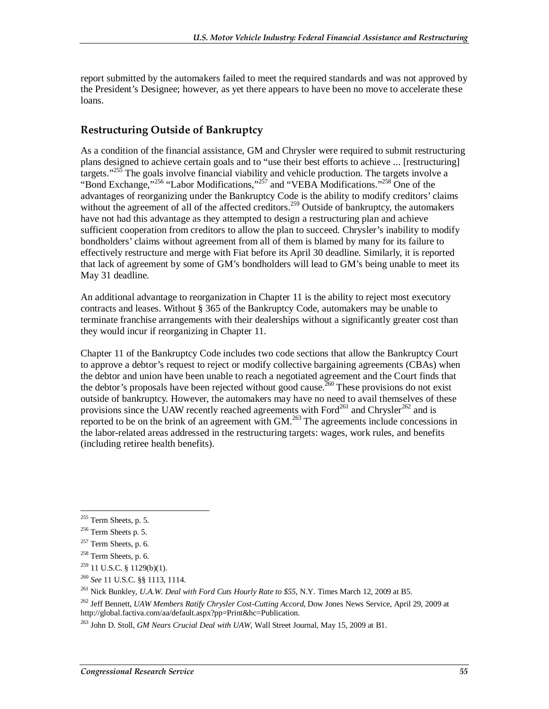report submitted by the automakers failed to meet the required standards and was not approved by the President's Designee; however, as yet there appears to have been no move to accelerate these loans.

### **Restructuring Outside of Bankruptcy**

As a condition of the financial assistance, GM and Chrysler were required to submit restructuring plans designed to achieve certain goals and to "use their best efforts to achieve ... [restructuring] targets."<sup>255</sup> The goals involve financial viability and vehicle production. The targets involve a "Bond Exchange,"<sup>256</sup> "Labor Modifications,"<sup>257</sup> and "VEBA Modifications."<sup>258</sup> One of the advantages of reorganizing under the Bankruptcy Code is the ability to modify creditors' claims without the agreement of all of the affected creditors.<sup>259</sup> Outside of bankruptcy, the automakers have not had this advantage as they attempted to design a restructuring plan and achieve sufficient cooperation from creditors to allow the plan to succeed. Chrysler's inability to modify bondholders' claims without agreement from all of them is blamed by many for its failure to effectively restructure and merge with Fiat before its April 30 deadline. Similarly, it is reported that lack of agreement by some of GM's bondholders will lead to GM's being unable to meet its May 31 deadline.

An additional advantage to reorganization in Chapter 11 is the ability to reject most executory contracts and leases. Without § 365 of the Bankruptcy Code, automakers may be unable to terminate franchise arrangements with their dealerships without a significantly greater cost than they would incur if reorganizing in Chapter 11.

Chapter 11 of the Bankruptcy Code includes two code sections that allow the Bankruptcy Court to approve a debtor's request to reject or modify collective bargaining agreements (CBAs) when the debtor and union have been unable to reach a negotiated agreement and the Court finds that the debtor's proposals have been rejected without good cause.<sup>260</sup> These provisions do not exist outside of bankruptcy. However, the automakers may have no need to avail themselves of these provisions since the UAW recently reached agreements with Ford<sup>261</sup> and Chrysler<sup>262</sup> and is reported to be on the brink of an agreement with GM.<sup>263</sup> The agreements include concessions in the labor-related areas addressed in the restructuring targets: wages, work rules, and benefits (including retiree health benefits).

<sup>&</sup>lt;u>.</u>  $255$  Term Sheets, p. 5.

 $256$  Term Sheets p. 5.

 $257$  Term Sheets, p. 6.

 $258$  Term Sheets, p. 6.

 $259$  11 U.S.C. § 1129(b)(1).

<sup>260</sup> *See* 11 U.S.C. §§ 1113, 1114.

<sup>261</sup> Nick Bunkley, *U.A.W. Deal with Ford Cuts Hourly Rate to \$55*, N.Y. Times March 12, 2009 at B5.

<sup>262</sup> Jeff Bennett, *UAW Members Ratify Chrysler Cost-Cutting Accord*, Dow Jones News Service, April 29, 2009 at http://global.factiva.com/aa/default.aspx?pp=Print&hc=Publication.

<sup>263</sup> John D. Stoll, *GM Nears Crucial Deal with UAW*, Wall Street Journal, May 15, 2009 at B1.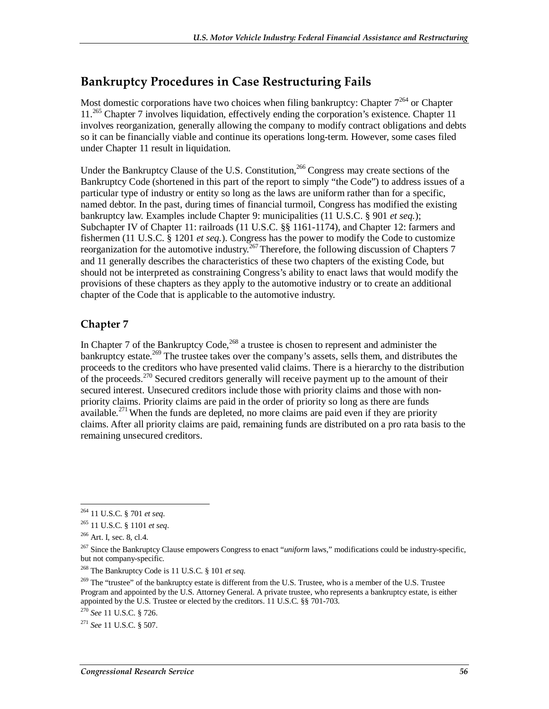## **Bankruptcy Procedures in Case Restructuring Fails**

Most domestic corporations have two choices when filing bankruptcy: Chapter  $7^{264}$  or Chapter 11.<sup>265</sup> Chapter 7 involves liquidation, effectively ending the corporation's existence. Chapter 11 involves reorganization, generally allowing the company to modify contract obligations and debts so it can be financially viable and continue its operations long-term. However, some cases filed under Chapter 11 result in liquidation.

Under the Bankruptcy Clause of the U.S. Constitution,<sup>266</sup> Congress may create sections of the Bankruptcy Code (shortened in this part of the report to simply "the Code") to address issues of a particular type of industry or entity so long as the laws are uniform rather than for a specific, named debtor. In the past, during times of financial turmoil, Congress has modified the existing bankruptcy law. Examples include Chapter 9: municipalities (11 U.S.C. § 901 *et seq.*); Subchapter IV of Chapter 11: railroads (11 U.S.C. §§ 1161-1174), and Chapter 12: farmers and fishermen (11 U.S.C. § 1201 *et seq.*). Congress has the power to modify the Code to customize reorganization for the automotive industry.<sup>267</sup> Therefore, the following discussion of Chapters 7 and 11 generally describes the characteristics of these two chapters of the existing Code, but should not be interpreted as constraining Congress's ability to enact laws that would modify the provisions of these chapters as they apply to the automotive industry or to create an additional chapter of the Code that is applicable to the automotive industry.

## **Chapter 7**

In Chapter 7 of the Bankruptcy Code,<sup>268</sup> a trustee is chosen to represent and administer the bankruptcy estate.<sup>269</sup> The trustee takes over the company's assets, sells them, and distributes the proceeds to the creditors who have presented valid claims. There is a hierarchy to the distribution of the proceeds.<sup>270</sup> Secured creditors generally will receive payment up to the amount of their secured interest. Unsecured creditors include those with priority claims and those with nonpriority claims. Priority claims are paid in the order of priority so long as there are funds available.<sup>271</sup> When the funds are depleted, no more claims are paid even if they are priority claims. After all priority claims are paid, remaining funds are distributed on a pro rata basis to the remaining unsecured creditors.

<sup>-</sup>264 11 U.S.C. § 701 *et seq*.

<sup>265 11</sup> U.S.C. § 1101 *et seq*.

 $266$  Art. I, sec. 8, cl.4.

<sup>267</sup> Since the Bankruptcy Clause empowers Congress to enact "*uniform* laws," modifications could be industry-specific, but not company-specific.

<sup>268</sup> The Bankruptcy Code is 11 U.S.C. § 101 *et seq.*

 $^{269}$  The "trustee" of the bankruptcy estate is different from the U.S. Trustee, who is a member of the U.S. Trustee Program and appointed by the U.S. Attorney General. A private trustee, who represents a bankruptcy estate, is either appointed by the U.S. Trustee or elected by the creditors. 11 U.S.C. §§ 701-703.

<sup>270</sup> *See* 11 U.S.C. § 726.

<sup>271</sup> *See* 11 U.S.C. § 507.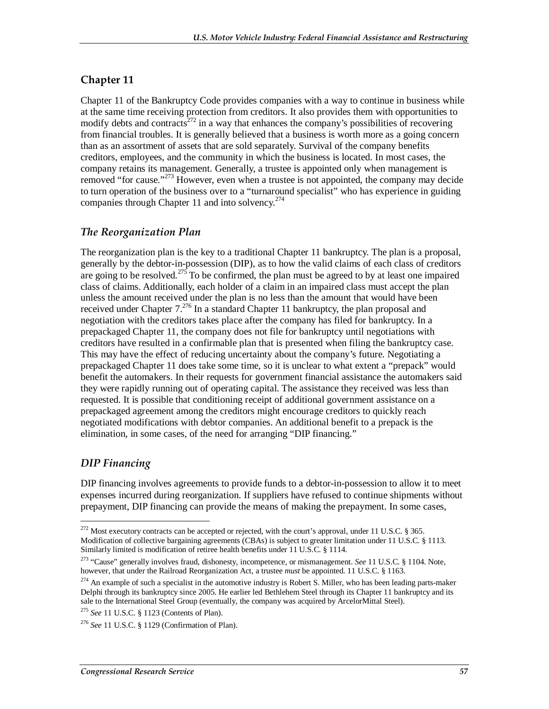## **Chapter 11**

Chapter 11 of the Bankruptcy Code provides companies with a way to continue in business while at the same time receiving protection from creditors. It also provides them with opportunities to modify debts and contracts<sup>272</sup> in a way that enhances the company's possibilities of recovering from financial troubles. It is generally believed that a business is worth more as a going concern than as an assortment of assets that are sold separately. Survival of the company benefits creditors, employees, and the community in which the business is located. In most cases, the company retains its management. Generally, a trustee is appointed only when management is removed "for cause."<sup>273</sup> However, even when a trustee is not appointed, the company may decide to turn operation of the business over to a "turnaround specialist" who has experience in guiding companies through Chapter 11 and into solvency.<sup>274</sup>

## *The Reorganization Plan*

The reorganization plan is the key to a traditional Chapter 11 bankruptcy. The plan is a proposal, generally by the debtor-in-possession (DIP), as to how the valid claims of each class of creditors are going to be resolved.<sup>275</sup> To be confirmed, the plan must be agreed to by at least one impaired class of claims. Additionally, each holder of a claim in an impaired class must accept the plan unless the amount received under the plan is no less than the amount that would have been received under Chapter  $7.^{276}$  In a standard Chapter 11 bankruptcy, the plan proposal and negotiation with the creditors takes place after the company has filed for bankruptcy. In a prepackaged Chapter 11, the company does not file for bankruptcy until negotiations with creditors have resulted in a confirmable plan that is presented when filing the bankruptcy case. This may have the effect of reducing uncertainty about the company's future. Negotiating a prepackaged Chapter 11 does take some time, so it is unclear to what extent a "prepack" would benefit the automakers. In their requests for government financial assistance the automakers said they were rapidly running out of operating capital. The assistance they received was less than requested. It is possible that conditioning receipt of additional government assistance on a prepackaged agreement among the creditors might encourage creditors to quickly reach negotiated modifications with debtor companies. An additional benefit to a prepack is the elimination, in some cases, of the need for arranging "DIP financing."

## *DIP Financing*

DIP financing involves agreements to provide funds to a debtor-in-possession to allow it to meet expenses incurred during reorganization. If suppliers have refused to continue shipments without prepayment, DIP financing can provide the means of making the prepayment. In some cases,

<sup>&</sup>lt;u>.</u>  $272$  Most executory contracts can be accepted or rejected, with the court's approval, under 11 U.S.C. § 365. Modification of collective bargaining agreements (CBAs) is subject to greater limitation under 11 U.S.C. § 1113. Similarly limited is modification of retiree health benefits under 11 U.S.C. § 1114.

<sup>273 &</sup>quot;Cause" generally involves fraud, dishonesty, incompetence, or mismanagement. *See* 11 U.S.C. § 1104. Note, however, that under the Railroad Reorganization Act, a trustee *must* be appointed. 11 U.S.C. § 1163.

 $274$  An example of such a specialist in the automotive industry is Robert S. Miller, who has been leading parts-maker Delphi through its bankruptcy since 2005. He earlier led Bethlehem Steel through its Chapter 11 bankruptcy and its sale to the International Steel Group (eventually, the company was acquired by ArcelorMittal Steel).

<sup>275</sup> *See* 11 U.S.C. § 1123 (Contents of Plan).

<sup>276</sup> *See* 11 U.S.C. § 1129 (Confirmation of Plan).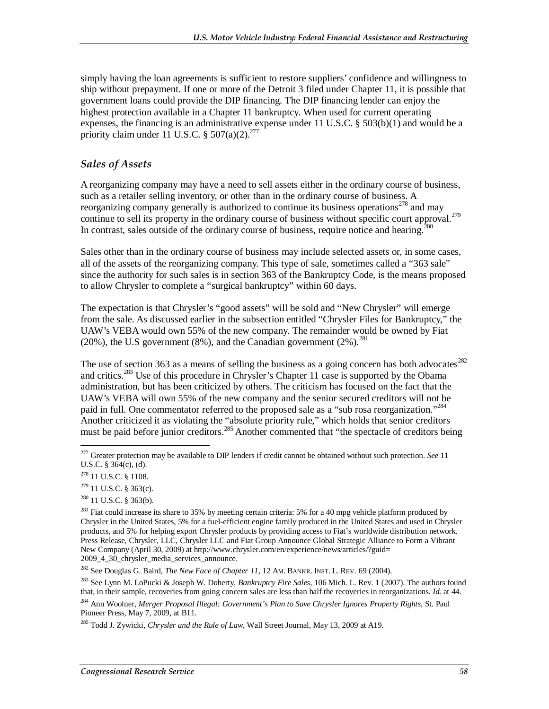simply having the loan agreements is sufficient to restore suppliers' confidence and willingness to ship without prepayment. If one or more of the Detroit 3 filed under Chapter 11, it is possible that government loans could provide the DIP financing. The DIP financing lender can enjoy the highest protection available in a Chapter 11 bankruptcy. When used for current operating expenses, the financing is an administrative expense under 11 U.S.C. § 503(b)(1) and would be a priority claim under 11 U.S.C.  $\frac{1}{2}$  507(a)(2).<sup>277</sup>

#### *Sales of Assets*

A reorganizing company may have a need to sell assets either in the ordinary course of business, such as a retailer selling inventory, or other than in the ordinary course of business. A reorganizing company generally is authorized to continue its business operations<sup>278</sup> and may continue to sell its property in the ordinary course of business without specific court approval.<sup>279</sup> In contrast, sales outside of the ordinary course of business, require notice and hearing.<sup>2</sup>

Sales other than in the ordinary course of business may include selected assets or, in some cases, all of the assets of the reorganizing company. This type of sale, sometimes called a "363 sale" since the authority for such sales is in section 363 of the Bankruptcy Code, is the means proposed to allow Chrysler to complete a "surgical bankruptcy" within 60 days.

The expectation is that Chrysler's "good assets" will be sold and "New Chrysler" will emerge from the sale. As discussed earlier in the subsection entitled "Chrysler Files for Bankruptcy," the UAW's VEBA would own 55% of the new company. The remainder would be owned by Fiat  $(20\%)$ , the U.S government (8%), and the Canadian government (2%).<sup>281</sup>

The use of section 363 as a means of selling the business as a going concern has both advocates<sup>282</sup> and critics.<sup>283</sup> Use of this procedure in Chrysler's Chapter 11 case is supported by the Obama administration, but has been criticized by others. The criticism has focused on the fact that the UAW's VEBA will own 55% of the new company and the senior secured creditors will not be paid in full. One commentator referred to the proposed sale as a "sub rosa reorganization."<sup>284</sup> Another criticized it as violating the "absolute priority rule," which holds that senior creditors must be paid before junior creditors.<sup>285</sup> Another commented that "the spectacle of creditors being

-

<sup>277</sup> Greater protection may be available to DIP lenders if credit cannot be obtained without such protection. *See* 11 U.S.C. § 364(c), (d).

<sup>278 11</sup> U.S.C. § 1108.

 $279$  11 U.S.C. § 363(c).

 $^{280}$  11 U.S.C. § 363(b).

 $^{281}$  Fiat could increase its share to 35% by meeting certain criteria: 5% for a 40 mpg vehicle platform produced by Chrysler in the United States, 5% for a fuel-efficient engine family produced in the United States and used in Chrysler products, and 5% for helping export Chrysler products by providing access to Fiat's worldwide distribution network. Press Release, Chrysler, LLC, Chrysler LLC and Fiat Group Announce Global Strategic Alliance to Form a Vibrant New Company (April 30, 2009) at http://www.chrysler.com/en/experience/news/articles/?guid= 2009\_4\_30\_chrysler\_media\_services\_announce.

<sup>282</sup> See Douglas G. Baird, *The New Face of Chapter 11*, 12 AM. BANKR. INST. L. REV. 69 (2004).

<sup>283</sup> See Lynn M. LoPucki & Joseph W. Doherty, *Bankruptcy Fire Sales*, 106 Mich. L. Rev. 1 (2007). The authors found that, in their sample, recoveries from going concern sales are less than half the recoveries in reorganizations. *Id.* at 44.

<sup>&</sup>lt;sup>284</sup> Ann Woolner, *Merger Proposal Illegal: Government's Plan to Save Chrysler Ignores Property Rights*, St. Paul Pioneer Press, May 7, 2009, at B11.

<sup>285</sup> Todd J. Zywicki, *Chrysler and the Rule of Law*, Wall Street Journal, May 13, 2009 at A19.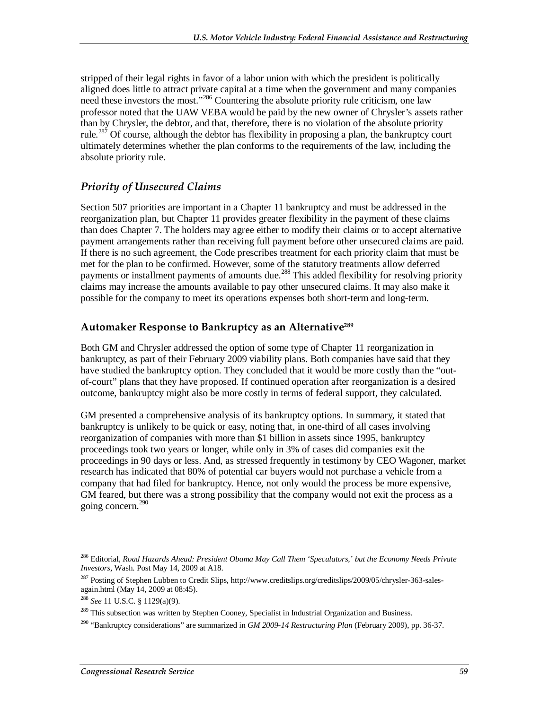stripped of their legal rights in favor of a labor union with which the president is politically aligned does little to attract private capital at a time when the government and many companies need these investors the most."286 Countering the absolute priority rule criticism, one law professor noted that the UAW VEBA would be paid by the new owner of Chrysler's assets rather than by Chrysler, the debtor, and that, therefore, there is no violation of the absolute priority rule.<sup>287</sup> Of course, although the debtor has flexibility in proposing a plan, the bankruptcy court ultimately determines whether the plan conforms to the requirements of the law, including the absolute priority rule.

## *Priority of Unsecured Claims*

Section 507 priorities are important in a Chapter 11 bankruptcy and must be addressed in the reorganization plan, but Chapter 11 provides greater flexibility in the payment of these claims than does Chapter 7. The holders may agree either to modify their claims or to accept alternative payment arrangements rather than receiving full payment before other unsecured claims are paid. If there is no such agreement, the Code prescribes treatment for each priority claim that must be met for the plan to be confirmed. However, some of the statutory treatments allow deferred payments or installment payments of amounts due.<sup>288</sup> This added flexibility for resolving priority claims may increase the amounts available to pay other unsecured claims. It may also make it possible for the company to meet its operations expenses both short-term and long-term.

### **Automaker Response to Bankruptcy as an Alternative289**

Both GM and Chrysler addressed the option of some type of Chapter 11 reorganization in bankruptcy, as part of their February 2009 viability plans. Both companies have said that they have studied the bankruptcy option. They concluded that it would be more costly than the "outof-court" plans that they have proposed. If continued operation after reorganization is a desired outcome, bankruptcy might also be more costly in terms of federal support, they calculated.

GM presented a comprehensive analysis of its bankruptcy options. In summary, it stated that bankruptcy is unlikely to be quick or easy, noting that, in one-third of all cases involving reorganization of companies with more than \$1 billion in assets since 1995, bankruptcy proceedings took two years or longer, while only in 3% of cases did companies exit the proceedings in 90 days or less. And, as stressed frequently in testimony by CEO Wagoner, market research has indicated that 80% of potential car buyers would not purchase a vehicle from a company that had filed for bankruptcy. Hence, not only would the process be more expensive, GM feared, but there was a strong possibility that the company would not exit the process as a going concern. $^{290}$ 

<sup>-</sup>286 Editorial, *Road Hazards Ahead: President Obama May Call Them 'Speculators,' but the Economy Needs Private Investors*, Wash. Post May 14, 2009 at A18.

<sup>&</sup>lt;sup>287</sup> Posting of Stephen Lubben to Credit Slips, http://www.creditslips.org/creditslips/2009/05/chrysler-363-salesagain.html (May 14, 2009 at 08:45).

<sup>288</sup> *See* 11 U.S.C. § 1129(a)(9).

<sup>&</sup>lt;sup>289</sup> This subsection was written by Stephen Cooney, Specialist in Industrial Organization and Business.

<sup>290 &</sup>quot;Bankruptcy considerations" are summarized in *GM 2009-14 Restructuring Plan* (February 2009), pp. 36-37.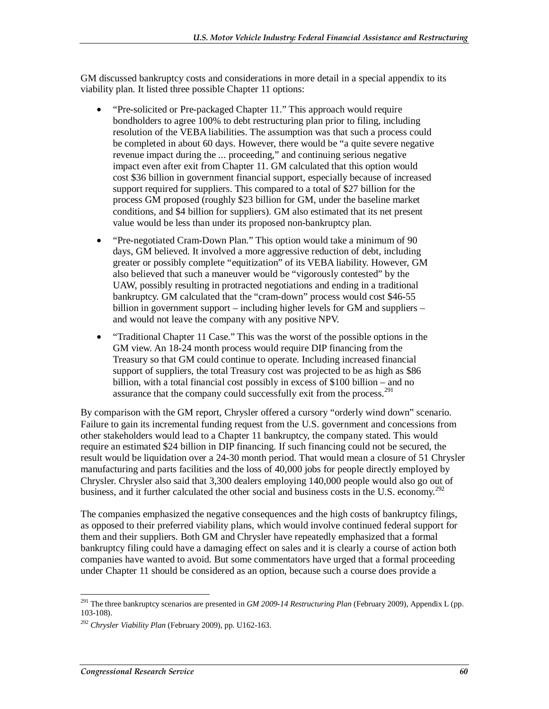GM discussed bankruptcy costs and considerations in more detail in a special appendix to its viability plan. It listed three possible Chapter 11 options:

- "Pre-solicited or Pre-packaged Chapter 11." This approach would require bondholders to agree 100% to debt restructuring plan prior to filing, including resolution of the VEBA liabilities. The assumption was that such a process could be completed in about 60 days. However, there would be "a quite severe negative revenue impact during the ... proceeding," and continuing serious negative impact even after exit from Chapter 11. GM calculated that this option would cost \$36 billion in government financial support, especially because of increased support required for suppliers. This compared to a total of \$27 billion for the process GM proposed (roughly \$23 billion for GM, under the baseline market conditions, and \$4 billion for suppliers). GM also estimated that its net present value would be less than under its proposed non-bankruptcy plan.
- "Pre-negotiated Cram-Down Plan." This option would take a minimum of 90 days, GM believed. It involved a more aggressive reduction of debt, including greater or possibly complete "equitization" of its VEBA liability. However, GM also believed that such a maneuver would be "vigorously contested" by the UAW, possibly resulting in protracted negotiations and ending in a traditional bankruptcy. GM calculated that the "cram-down" process would cost \$46-55 billion in government support – including higher levels for GM and suppliers – and would not leave the company with any positive NPV.
- "Traditional Chapter 11 Case." This was the worst of the possible options in the GM view. An 18-24 month process would require DIP financing from the Treasury so that GM could continue to operate. Including increased financial support of suppliers, the total Treasury cost was projected to be as high as \$86 billion, with a total financial cost possibly in excess of \$100 billion – and no assurance that the company could successfully exit from the process.<sup>291</sup>

By comparison with the GM report, Chrysler offered a cursory "orderly wind down" scenario. Failure to gain its incremental funding request from the U.S. government and concessions from other stakeholders would lead to a Chapter 11 bankruptcy, the company stated. This would require an estimated \$24 billion in DIP financing. If such financing could not be secured, the result would be liquidation over a 24-30 month period. That would mean a closure of 51 Chrysler manufacturing and parts facilities and the loss of 40,000 jobs for people directly employed by Chrysler. Chrysler also said that 3,300 dealers employing 140,000 people would also go out of business, and it further calculated the other social and business costs in the U.S. economy.<sup>292</sup>

The companies emphasized the negative consequences and the high costs of bankruptcy filings, as opposed to their preferred viability plans, which would involve continued federal support for them and their suppliers. Both GM and Chrysler have repeatedly emphasized that a formal bankruptcy filing could have a damaging effect on sales and it is clearly a course of action both companies have wanted to avoid. But some commentators have urged that a formal proceeding under Chapter 11 should be considered as an option, because such a course does provide a

-

<sup>291</sup> The three bankruptcy scenarios are presented in *GM 2009-14 Restructuring Plan* (February 2009), Appendix L (pp. 103-108).

<sup>292</sup> *Chrysler Viability Plan* (February 2009), pp. U162-163.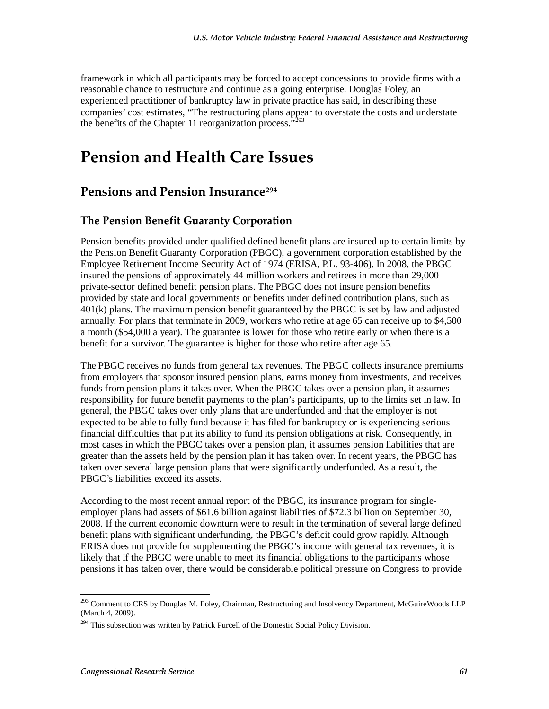framework in which all participants may be forced to accept concessions to provide firms with a reasonable chance to restructure and continue as a going enterprise. Douglas Foley, an experienced practitioner of bankruptcy law in private practice has said, in describing these companies' cost estimates, "The restructuring plans appear to overstate the costs and understate the benefits of the Chapter 11 reorganization process."

# **Pension and Health Care Issues**

## **Pensions and Pension Insurance294**

#### **The Pension Benefit Guaranty Corporation**

Pension benefits provided under qualified defined benefit plans are insured up to certain limits by the Pension Benefit Guaranty Corporation (PBGC), a government corporation established by the Employee Retirement Income Security Act of 1974 (ERISA, P.L. 93-406). In 2008, the PBGC insured the pensions of approximately 44 million workers and retirees in more than 29,000 private-sector defined benefit pension plans. The PBGC does not insure pension benefits provided by state and local governments or benefits under defined contribution plans, such as 401(k) plans. The maximum pension benefit guaranteed by the PBGC is set by law and adjusted annually. For plans that terminate in 2009, workers who retire at age 65 can receive up to \$4,500 a month (\$54,000 a year). The guarantee is lower for those who retire early or when there is a benefit for a survivor. The guarantee is higher for those who retire after age 65.

The PBGC receives no funds from general tax revenues. The PBGC collects insurance premiums from employers that sponsor insured pension plans, earns money from investments, and receives funds from pension plans it takes over. When the PBGC takes over a pension plan, it assumes responsibility for future benefit payments to the plan's participants, up to the limits set in law. In general, the PBGC takes over only plans that are underfunded and that the employer is not expected to be able to fully fund because it has filed for bankruptcy or is experiencing serious financial difficulties that put its ability to fund its pension obligations at risk. Consequently, in most cases in which the PBGC takes over a pension plan, it assumes pension liabilities that are greater than the assets held by the pension plan it has taken over. In recent years, the PBGC has taken over several large pension plans that were significantly underfunded. As a result, the PBGC's liabilities exceed its assets.

According to the most recent annual report of the PBGC, its insurance program for singleemployer plans had assets of \$61.6 billion against liabilities of \$72.3 billion on September 30, 2008. If the current economic downturn were to result in the termination of several large defined benefit plans with significant underfunding, the PBGC's deficit could grow rapidly. Although ERISA does not provide for supplementing the PBGC's income with general tax revenues, it is likely that if the PBGC were unable to meet its financial obligations to the participants whose pensions it has taken over, there would be considerable political pressure on Congress to provide

<sup>-</sup><sup>293</sup> Comment to CRS by Douglas M. Foley, Chairman, Restructuring and Insolvency Department, McGuireWoods LLP (March 4, 2009).

 $294$  This subsection was written by Patrick Purcell of the Domestic Social Policy Division.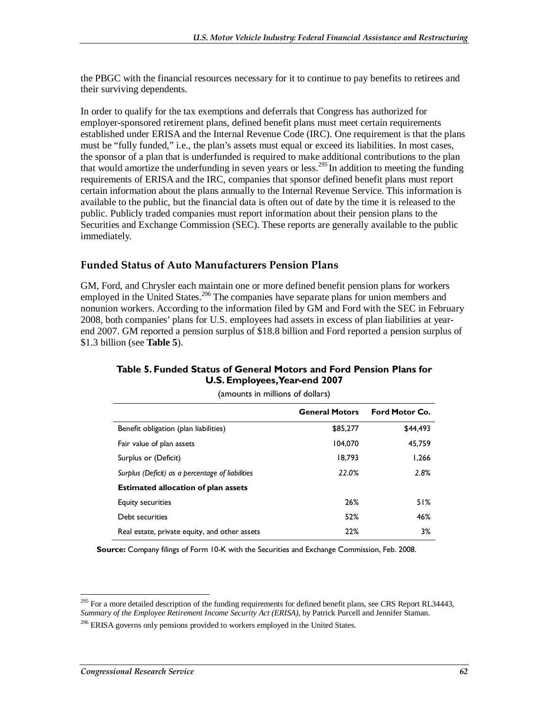the PBGC with the financial resources necessary for it to continue to pay benefits to retirees and their surviving dependents.

In order to qualify for the tax exemptions and deferrals that Congress has authorized for employer-sponsored retirement plans, defined benefit plans must meet certain requirements established under ERISA and the Internal Revenue Code (IRC). One requirement is that the plans must be "fully funded," i.e., the plan's assets must equal or exceed its liabilities. In most cases, the sponsor of a plan that is underfunded is required to make additional contributions to the plan that would amortize the underfunding in seven years or less.<sup>295</sup> In addition to meeting the funding requirements of ERISA and the IRC, companies that sponsor defined benefit plans must report certain information about the plans annually to the Internal Revenue Service. This information is available to the public, but the financial data is often out of date by the time it is released to the public. Publicly traded companies must report information about their pension plans to the Securities and Exchange Commission (SEC). These reports are generally available to the public immediately.

#### **Funded Status of Auto Manufacturers Pension Plans**

GM, Ford, and Chrysler each maintain one or more defined benefit pension plans for workers employed in the United States.<sup>296</sup> The companies have separate plans for union members and nonunion workers. According to the information filed by GM and Ford with the SEC in February 2008, both companies' plans for U.S. employees had assets in excess of plan liabilities at yearend 2007. GM reported a pension surplus of \$18.8 billion and Ford reported a pension surplus of \$1.3 billion (see **Table 5**).

#### **Table 5. Funded Status of General Motors and Ford Pension Plans for U.S. Employees, Year-end 2007**

|                                                  | <b>General Motors</b> | Ford Motor Co. |
|--------------------------------------------------|-----------------------|----------------|
| Benefit obligation (plan liabilities)            | \$85,277              | \$44,493       |
| Fair value of plan assets                        | 104.070               | 45.759         |
| Surplus or (Deficit)                             | 18.793                | 1.266          |
| Surplus (Deficit) as a percentage of liabilities | 22.0%                 | 2.8%           |
| <b>Estimated allocation of plan assets</b>       |                       |                |
| <b>Equity securities</b>                         | 26%                   | 51%            |
| Debt securities                                  | 52%                   | 46%            |
| Real estate, private equity, and other assets    | 22%                   | 3%             |

(amounts in millions of dollars)

**Source:** Company filings of Form 10-K with the Securities and Exchange Commission, Feb. 2008.

<sup>-</sup><sup>295</sup> For a more detailed description of the funding requirements for defined benefit plans, see CRS Report RL34443, *Summary of the Employee Retirement Income Security Act (ERISA)*, by Patrick Purcell and Jennifer Staman.

<sup>&</sup>lt;sup>296</sup> ERISA governs only pensions provided to workers employed in the United States.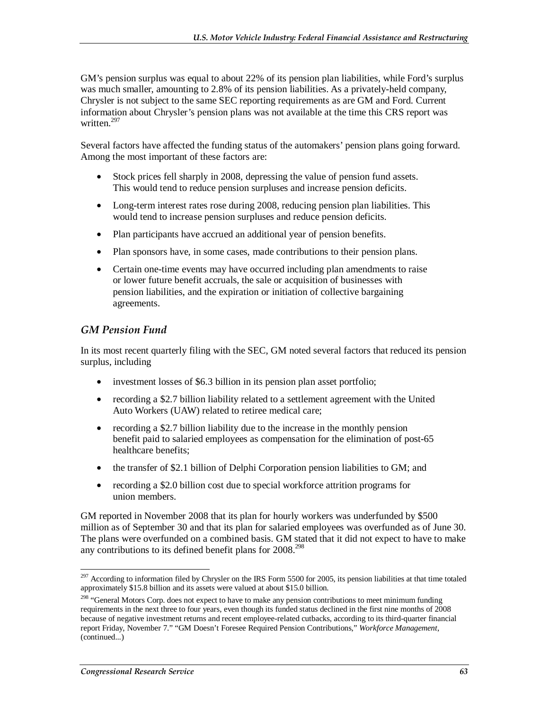GM's pension surplus was equal to about 22% of its pension plan liabilities, while Ford's surplus was much smaller, amounting to 2.8% of its pension liabilities. As a privately-held company, Chrysler is not subject to the same SEC reporting requirements as are GM and Ford. Current information about Chrysler's pension plans was not available at the time this CRS report was written.<sup>297</sup>

Several factors have affected the funding status of the automakers' pension plans going forward. Among the most important of these factors are:

- Stock prices fell sharply in 2008, depressing the value of pension fund assets. This would tend to reduce pension surpluses and increase pension deficits.
- Long-term interest rates rose during 2008, reducing pension plan liabilities. This would tend to increase pension surpluses and reduce pension deficits.
- Plan participants have accrued an additional year of pension benefits.
- Plan sponsors have, in some cases, made contributions to their pension plans.
- Certain one-time events may have occurred including plan amendments to raise or lower future benefit accruals, the sale or acquisition of businesses with pension liabilities, and the expiration or initiation of collective bargaining agreements.

#### *GM Pension Fund*

In its most recent quarterly filing with the SEC, GM noted several factors that reduced its pension surplus, including

- investment losses of \$6.3 billion in its pension plan asset portfolio;
- recording a \$2.7 billion liability related to a settlement agreement with the United Auto Workers (UAW) related to retiree medical care;
- recording a \$2.7 billion liability due to the increase in the monthly pension benefit paid to salaried employees as compensation for the elimination of post-65 healthcare benefits;
- the transfer of \$2.1 billion of Delphi Corporation pension liabilities to GM; and
- recording a \$2.0 billion cost due to special workforce attrition programs for union members.

GM reported in November 2008 that its plan for hourly workers was underfunded by \$500 million as of September 30 and that its plan for salaried employees was overfunded as of June 30. The plans were overfunded on a combined basis. GM stated that it did not expect to have to make any contributions to its defined benefit plans for 2008.<sup>298</sup>

<sup>-</sup> $297$  According to information filed by Chrysler on the IRS Form 5500 for 2005, its pension liabilities at that time totaled approximately \$15.8 billion and its assets were valued at about \$15.0 billion.

<sup>&</sup>lt;sup>298</sup> "General Motors Corp. does not expect to have to make any pension contributions to meet minimum funding requirements in the next three to four years, even though its funded status declined in the first nine months of 2008 because of negative investment returns and recent employee-related cutbacks, according to its third-quarter financial report Friday, November 7." "GM Doesn't Foresee Required Pension Contributions," *Workforce Management*, (continued...)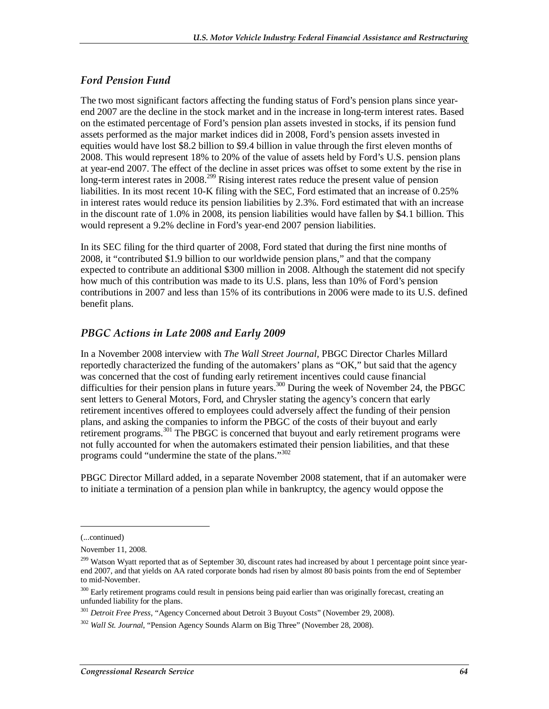### *Ford Pension Fund*

The two most significant factors affecting the funding status of Ford's pension plans since yearend 2007 are the decline in the stock market and in the increase in long-term interest rates. Based on the estimated percentage of Ford's pension plan assets invested in stocks, if its pension fund assets performed as the major market indices did in 2008, Ford's pension assets invested in equities would have lost \$8.2 billion to \$9.4 billion in value through the first eleven months of 2008. This would represent 18% to 20% of the value of assets held by Ford's U.S. pension plans at year-end 2007. The effect of the decline in asset prices was offset to some extent by the rise in long-term interest rates in  $2008$ <sup>299</sup> Rising interest rates reduce the present value of pension liabilities. In its most recent 10-K filing with the SEC, Ford estimated that an increase of 0.25% in interest rates would reduce its pension liabilities by 2.3%. Ford estimated that with an increase in the discount rate of 1.0% in 2008, its pension liabilities would have fallen by \$4.1 billion. This would represent a 9.2% decline in Ford's year-end 2007 pension liabilities.

In its SEC filing for the third quarter of 2008, Ford stated that during the first nine months of 2008, it "contributed \$1.9 billion to our worldwide pension plans," and that the company expected to contribute an additional \$300 million in 2008. Although the statement did not specify how much of this contribution was made to its U.S. plans, less than 10% of Ford's pension contributions in 2007 and less than 15% of its contributions in 2006 were made to its U.S. defined benefit plans.

### *PBGC Actions in Late 2008 and Early 2009*

In a November 2008 interview with *The Wall Street Journal,* PBGC Director Charles Millard reportedly characterized the funding of the automakers' plans as "OK," but said that the agency was concerned that the cost of funding early retirement incentives could cause financial difficulties for their pension plans in future years.<sup>300</sup> During the week of November 24, the PBGC sent letters to General Motors, Ford, and Chrysler stating the agency's concern that early retirement incentives offered to employees could adversely affect the funding of their pension plans, and asking the companies to inform the PBGC of the costs of their buyout and early retirement programs.<sup>301</sup> The PBGC is concerned that buyout and early retirement programs were not fully accounted for when the automakers estimated their pension liabilities, and that these programs could "undermine the state of the plans."<sup>302</sup>

PBGC Director Millard added, in a separate November 2008 statement, that if an automaker were to initiate a termination of a pension plan while in bankruptcy, the agency would oppose the

1

<sup>(...</sup>continued)

November 11, 2008.

<sup>&</sup>lt;sup>299</sup> Watson Wyatt reported that as of September 30, discount rates had increased by about 1 percentage point since yearend 2007, and that yields on AA rated corporate bonds had risen by almost 80 basis points from the end of September to mid-November.

<sup>&</sup>lt;sup>300</sup> Early retirement programs could result in pensions being paid earlier than was originally forecast, creating an unfunded liability for the plans.

<sup>301</sup> *Detroit Free Press*, "Agency Concerned about Detroit 3 Buyout Costs" (November 29, 2008).

<sup>302</sup> *Wall St. Journal*, "Pension Agency Sounds Alarm on Big Three" (November 28, 2008).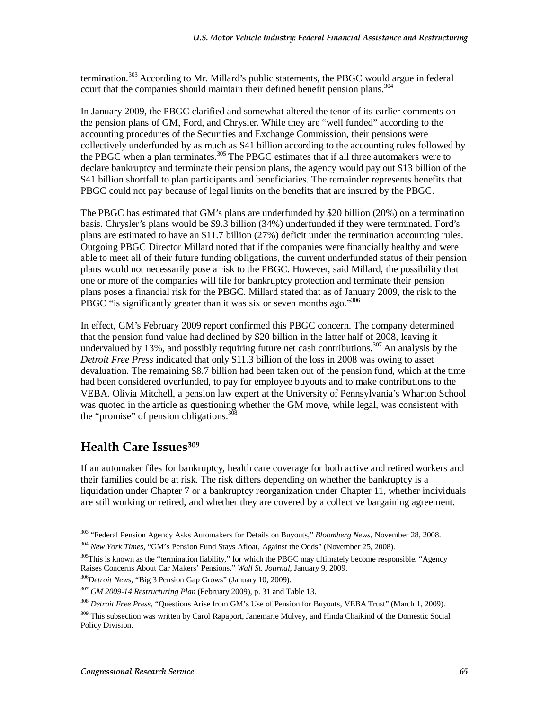termination.<sup>303</sup> According to Mr. Millard's public statements, the PBGC would argue in federal court that the companies should maintain their defined benefit pension plans.<sup>304</sup>

In January 2009, the PBGC clarified and somewhat altered the tenor of its earlier comments on the pension plans of GM, Ford, and Chrysler. While they are "well funded" according to the accounting procedures of the Securities and Exchange Commission, their pensions were collectively underfunded by as much as \$41 billion according to the accounting rules followed by the PBGC when a plan terminates.<sup>305</sup> The PBGC estimates that if all three automakers were to declare bankruptcy and terminate their pension plans, the agency would pay out \$13 billion of the \$41 billion shortfall to plan participants and beneficiaries. The remainder represents benefits that PBGC could not pay because of legal limits on the benefits that are insured by the PBGC.

The PBGC has estimated that GM's plans are underfunded by \$20 billion (20%) on a termination basis. Chrysler's plans would be \$9.3 billion (34%) underfunded if they were terminated. Ford's plans are estimated to have an \$11.7 billion (27%) deficit under the termination accounting rules. Outgoing PBGC Director Millard noted that if the companies were financially healthy and were able to meet all of their future funding obligations, the current underfunded status of their pension plans would not necessarily pose a risk to the PBGC. However, said Millard, the possibility that one or more of the companies will file for bankruptcy protection and terminate their pension plans poses a financial risk for the PBGC. Millard stated that as of January 2009, the risk to the PBGC "is significantly greater than it was six or seven months ago."<sup>306</sup>

In effect, GM's February 2009 report confirmed this PBGC concern. The company determined that the pension fund value had declined by \$20 billion in the latter half of 2008, leaving it undervalued by 13%, and possibly requiring future net cash contributions.<sup>307</sup> An analysis by the *Detroit Free Press* indicated that only \$11.3 billion of the loss in 2008 was owing to asset devaluation. The remaining \$8.7 billion had been taken out of the pension fund, which at the time had been considered overfunded, to pay for employee buyouts and to make contributions to the VEBA. Olivia Mitchell, a pension law expert at the University of Pennsylvania's Wharton School was quoted in the article as questioning whether the GM move, while legal, was consistent with the "promise" of pension obligations.<sup>308</sup>

# **Health Care Issues309**

If an automaker files for bankruptcy, health care coverage for both active and retired workers and their families could be at risk. The risk differs depending on whether the bankruptcy is a liquidation under Chapter 7 or a bankruptcy reorganization under Chapter 11, whether individuals are still working or retired, and whether they are covered by a collective bargaining agreement.

<sup>-</sup>303 "Federal Pension Agency Asks Automakers for Details on Buyouts," *Bloomberg News*, November 28, 2008.

<sup>304</sup> *New York Times*, "GM's Pension Fund Stays Afloat, Against the Odds" (November 25, 2008).

<sup>&</sup>lt;sup>305</sup>This is known as the "termination liability," for which the PBGC may ultimately become responsible. "Agency" Raises Concerns About Car Makers' Pensions," *Wall St. Journal*, January 9, 2009.

<sup>306</sup>*Detroit News*, "Big 3 Pension Gap Grows" (January 10, 2009).

<sup>307</sup> *GM 2009-14 Restructuring Plan* (February 2009), p. 31 and Table 13.

<sup>308</sup> *Detroit Free Press*, "Questions Arise from GM's Use of Pension for Buyouts, VEBA Trust" (March 1, 2009).

<sup>&</sup>lt;sup>309</sup> This subsection was written by Carol Rapaport, Janemarie Mulvey, and Hinda Chaikind of the Domestic Social Policy Division.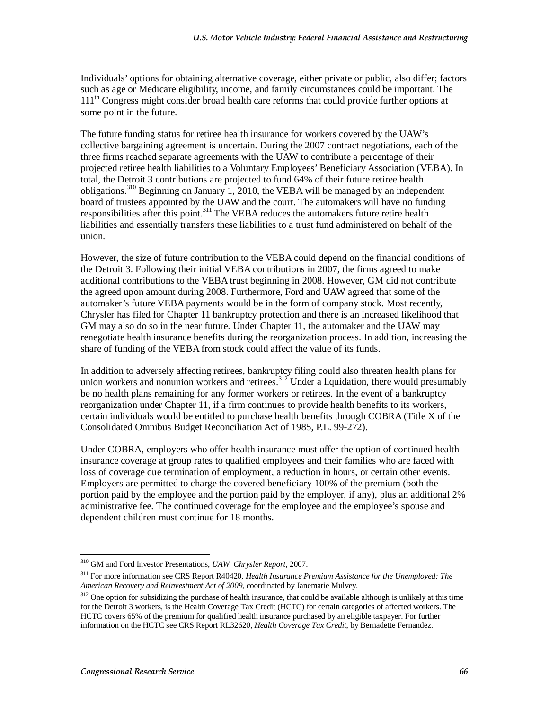Individuals' options for obtaining alternative coverage, either private or public, also differ; factors such as age or Medicare eligibility, income, and family circumstances could be important. The 111<sup>th</sup> Congress might consider broad health care reforms that could provide further options at some point in the future.

The future funding status for retiree health insurance for workers covered by the UAW's collective bargaining agreement is uncertain. During the 2007 contract negotiations, each of the three firms reached separate agreements with the UAW to contribute a percentage of their projected retiree health liabilities to a Voluntary Employees' Beneficiary Association (VEBA). In total, the Detroit 3 contributions are projected to fund 64% of their future retiree health obligations.<sup>310</sup> Beginning on January 1, 2010, the VEBA will be managed by an independent board of trustees appointed by the UAW and the court. The automakers will have no funding responsibilities after this point.311 The VEBA reduces the automakers future retire health liabilities and essentially transfers these liabilities to a trust fund administered on behalf of the union.

However, the size of future contribution to the VEBA could depend on the financial conditions of the Detroit 3. Following their initial VEBA contributions in 2007, the firms agreed to make additional contributions to the VEBA trust beginning in 2008. However, GM did not contribute the agreed upon amount during 2008. Furthermore, Ford and UAW agreed that some of the automaker's future VEBA payments would be in the form of company stock. Most recently, Chrysler has filed for Chapter 11 bankruptcy protection and there is an increased likelihood that GM may also do so in the near future. Under Chapter 11, the automaker and the UAW may renegotiate health insurance benefits during the reorganization process. In addition, increasing the share of funding of the VEBA from stock could affect the value of its funds.

In addition to adversely affecting retirees, bankruptcy filing could also threaten health plans for union workers and nonunion workers and retirees.<sup>312</sup> Under a liquidation, there would presumably be no health plans remaining for any former workers or retirees. In the event of a bankruptcy reorganization under Chapter 11, if a firm continues to provide health benefits to its workers, certain individuals would be entitled to purchase health benefits through COBRA (Title X of the Consolidated Omnibus Budget Reconciliation Act of 1985, P.L. 99-272).

Under COBRA, employers who offer health insurance must offer the option of continued health insurance coverage at group rates to qualified employees and their families who are faced with loss of coverage due termination of employment, a reduction in hours, or certain other events. Employers are permitted to charge the covered beneficiary 100% of the premium (both the portion paid by the employee and the portion paid by the employer, if any), plus an additional 2% administrative fee. The continued coverage for the employee and the employee's spouse and dependent children must continue for 18 months.

 $\overline{a}$ 310 GM and Ford Investor Presentations, *UAW. Chrysler Report*, 2007.

<sup>311</sup> For more information see CRS Report R40420, *Health Insurance Premium Assistance for the Unemployed: The American Recovery and Reinvestment Act of 2009*, coordinated by Janemarie Mulvey.

<sup>&</sup>lt;sup>312</sup> One option for subsidizing the purchase of health insurance, that could be available although is unlikely at this time for the Detroit 3 workers, is the Health Coverage Tax Credit (HCTC) for certain categories of affected workers. The HCTC covers 65% of the premium for qualified health insurance purchased by an eligible taxpayer. For further information on the HCTC see CRS Report RL32620, *Health Coverage Tax Credit*, by Bernadette Fernandez.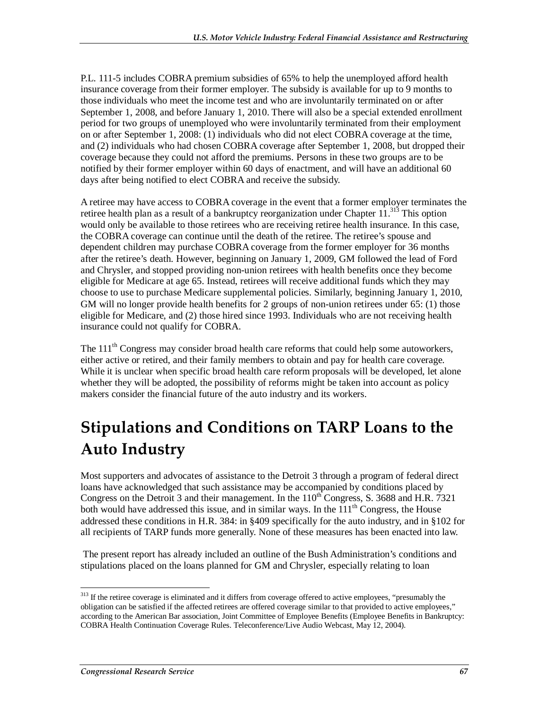P.L. 111-5 includes COBRA premium subsidies of 65% to help the unemployed afford health insurance coverage from their former employer. The subsidy is available for up to 9 months to those individuals who meet the income test and who are involuntarily terminated on or after September 1, 2008, and before January 1, 2010. There will also be a special extended enrollment period for two groups of unemployed who were involuntarily terminated from their employment on or after September 1, 2008: (1) individuals who did not elect COBRA coverage at the time, and (2) individuals who had chosen COBRA coverage after September 1, 2008, but dropped their coverage because they could not afford the premiums. Persons in these two groups are to be notified by their former employer within 60 days of enactment, and will have an additional 60 days after being notified to elect COBRA and receive the subsidy.

A retiree may have access to COBRA coverage in the event that a former employer terminates the retiree health plan as a result of a bankruptcy reorganization under Chapter  $11^{313}$ . This option would only be available to those retirees who are receiving retiree health insurance. In this case, the COBRA coverage can continue until the death of the retiree. The retiree's spouse and dependent children may purchase COBRA coverage from the former employer for 36 months after the retiree's death. However, beginning on January 1, 2009, GM followed the lead of Ford and Chrysler, and stopped providing non-union retirees with health benefits once they become eligible for Medicare at age 65. Instead, retirees will receive additional funds which they may choose to use to purchase Medicare supplemental policies. Similarly, beginning January 1, 2010, GM will no longer provide health benefits for 2 groups of non-union retirees under 65: (1) those eligible for Medicare, and (2) those hired since 1993. Individuals who are not receiving health insurance could not qualify for COBRA.

The 111<sup>th</sup> Congress may consider broad health care reforms that could help some autoworkers, either active or retired, and their family members to obtain and pay for health care coverage. While it is unclear when specific broad health care reform proposals will be developed, let alone whether they will be adopted, the possibility of reforms might be taken into account as policy makers consider the financial future of the auto industry and its workers.

# **Stipulations and Conditions on TARP Loans to the Auto Industry**

Most supporters and advocates of assistance to the Detroit 3 through a program of federal direct loans have acknowledged that such assistance may be accompanied by conditions placed by Congress on the Detroit 3 and their management. In the  $110^{th}$  Congress, S. 3688 and H.R. 7321 both would have addressed this issue, and in similar ways. In the  $111<sup>th</sup>$  Congress, the House addressed these conditions in H.R. 384: in §409 specifically for the auto industry, and in §102 for all recipients of TARP funds more generally. None of these measures has been enacted into law.

 The present report has already included an outline of the Bush Administration's conditions and stipulations placed on the loans planned for GM and Chrysler, especially relating to loan

<sup>-</sup><sup>313</sup> If the retiree coverage is eliminated and it differs from coverage offered to active employees, "presumably the obligation can be satisfied if the affected retirees are offered coverage similar to that provided to active employees," according to the American Bar association, Joint Committee of Employee Benefits (Employee Benefits in Bankruptcy: COBRA Health Continuation Coverage Rules. Teleconference/Live Audio Webcast, May 12, 2004).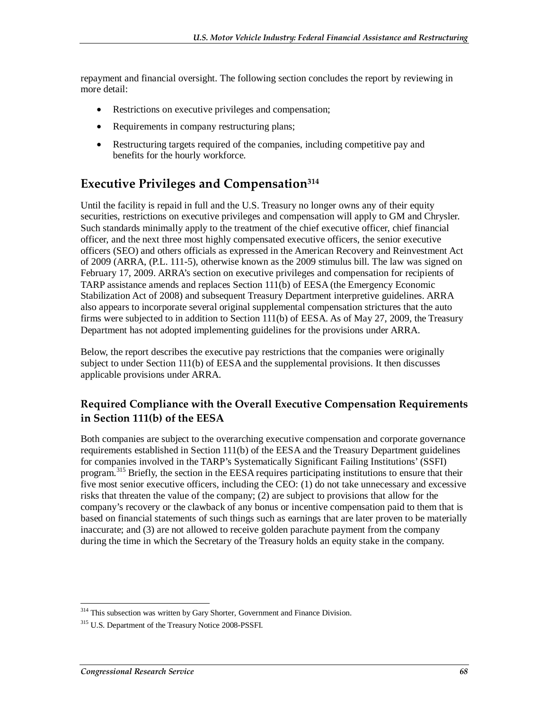repayment and financial oversight. The following section concludes the report by reviewing in more detail:

- Restrictions on executive privileges and compensation;
- Requirements in company restructuring plans;
- Restructuring targets required of the companies, including competitive pay and benefits for the hourly workforce.

## **Executive Privileges and Compensation314**

Until the facility is repaid in full and the U.S. Treasury no longer owns any of their equity securities, restrictions on executive privileges and compensation will apply to GM and Chrysler. Such standards minimally apply to the treatment of the chief executive officer, chief financial officer, and the next three most highly compensated executive officers, the senior executive officers (SEO) and others officials as expressed in the American Recovery and Reinvestment Act of 2009 (ARRA, (P.L. 111-5), otherwise known as the 2009 stimulus bill. The law was signed on February 17, 2009. ARRA's section on executive privileges and compensation for recipients of TARP assistance amends and replaces Section 111(b) of EESA (the Emergency Economic Stabilization Act of 2008) and subsequent Treasury Department interpretive guidelines. ARRA also appears to incorporate several original supplemental compensation strictures that the auto firms were subjected to in addition to Section 111(b) of EESA. As of May 27, 2009, the Treasury Department has not adopted implementing guidelines for the provisions under ARRA.

Below, the report describes the executive pay restrictions that the companies were originally subject to under Section 111(b) of EESA and the supplemental provisions. It then discusses applicable provisions under ARRA.

## **Required Compliance with the Overall Executive Compensation Requirements in Section 111(b) of the EESA**

Both companies are subject to the overarching executive compensation and corporate governance requirements established in Section 111(b) of the EESA and the Treasury Department guidelines for companies involved in the TARP's Systematically Significant Failing Institutions' (SSFI) program.315 Briefly, the section in the EESA requires participating institutions to ensure that their five most senior executive officers, including the CEO: (1) do not take unnecessary and excessive risks that threaten the value of the company; (2) are subject to provisions that allow for the company's recovery or the clawback of any bonus or incentive compensation paid to them that is based on financial statements of such things such as earnings that are later proven to be materially inaccurate; and (3) are not allowed to receive golden parachute payment from the company during the time in which the Secretary of the Treasury holds an equity stake in the company.

 $\overline{a}$ <sup>314</sup> This subsection was written by Gary Shorter, Government and Finance Division.

<sup>&</sup>lt;sup>315</sup> U.S. Department of the Treasury Notice 2008-PSSFI.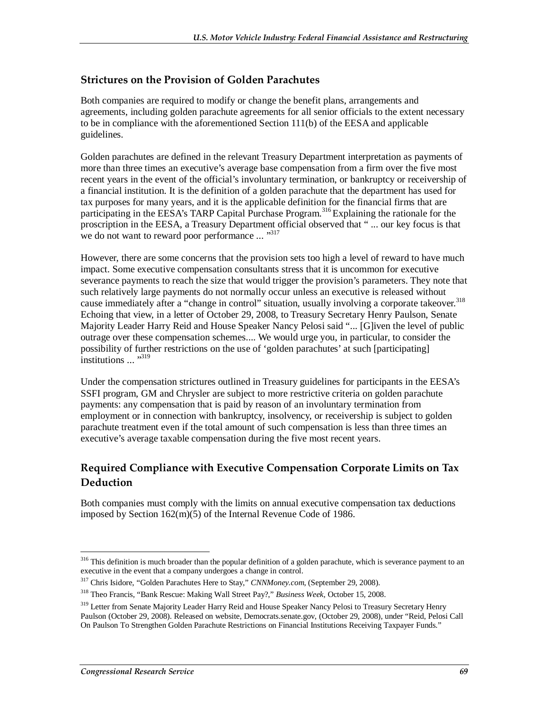#### **Strictures on the Provision of Golden Parachutes**

Both companies are required to modify or change the benefit plans, arrangements and agreements, including golden parachute agreements for all senior officials to the extent necessary to be in compliance with the aforementioned Section 111(b) of the EESA and applicable guidelines.

Golden parachutes are defined in the relevant Treasury Department interpretation as payments of more than three times an executive's average base compensation from a firm over the five most recent years in the event of the official's involuntary termination, or bankruptcy or receivership of a financial institution. It is the definition of a golden parachute that the department has used for tax purposes for many years, and it is the applicable definition for the financial firms that are participating in the EESA's TARP Capital Purchase Program.<sup>316</sup> Explaining the rationale for the proscription in the EESA, a Treasury Department official observed that " ... our key focus is that we do not want to reward poor performance ... "317"

However, there are some concerns that the provision sets too high a level of reward to have much impact. Some executive compensation consultants stress that it is uncommon for executive severance payments to reach the size that would trigger the provision's parameters. They note that such relatively large payments do not normally occur unless an executive is released without cause immediately after a "change in control" situation, usually involving a corporate takeover.<sup>318</sup> Echoing that view, in a letter of October 29, 2008, to Treasury Secretary Henry Paulson, Senate Majority Leader Harry Reid and House Speaker Nancy Pelosi said "... [G]iven the level of public outrage over these compensation schemes.... We would urge you, in particular, to consider the possibility of further restrictions on the use of 'golden parachutes' at such [participating]  $\frac{1}{1}$  institutions  $\ldots$ <sup>1319</sup>

Under the compensation strictures outlined in Treasury guidelines for participants in the EESA's SSFI program, GM and Chrysler are subject to more restrictive criteria on golden parachute payments: any compensation that is paid by reason of an involuntary termination from employment or in connection with bankruptcy, insolvency, or receivership is subject to golden parachute treatment even if the total amount of such compensation is less than three times an executive's average taxable compensation during the five most recent years.

## **Required Compliance with Executive Compensation Corporate Limits on Tax Deduction**

Both companies must comply with the limits on annual executive compensation tax deductions imposed by Section 162(m)(5) of the Internal Revenue Code of 1986.

<u>.</u>

<sup>&</sup>lt;sup>316</sup> This definition is much broader than the popular definition of a golden parachute, which is severance payment to an executive in the event that a company undergoes a change in control.

<sup>317</sup> Chris Isidore, "Golden Parachutes Here to Stay," *CNNMoney.com*, (September 29, 2008).

<sup>318</sup> Theo Francis, "Bank Rescue: Making Wall Street Pay?," *Business Week*, October 15, 2008.

<sup>&</sup>lt;sup>319</sup> Letter from Senate Majority Leader Harry Reid and House Speaker Nancy Pelosi to Treasury Secretary Henry Paulson (October 29, 2008). Released on website, Democrats.senate.gov, (October 29, 2008), under "Reid, Pelosi Call On Paulson To Strengthen Golden Parachute Restrictions on Financial Institutions Receiving Taxpayer Funds."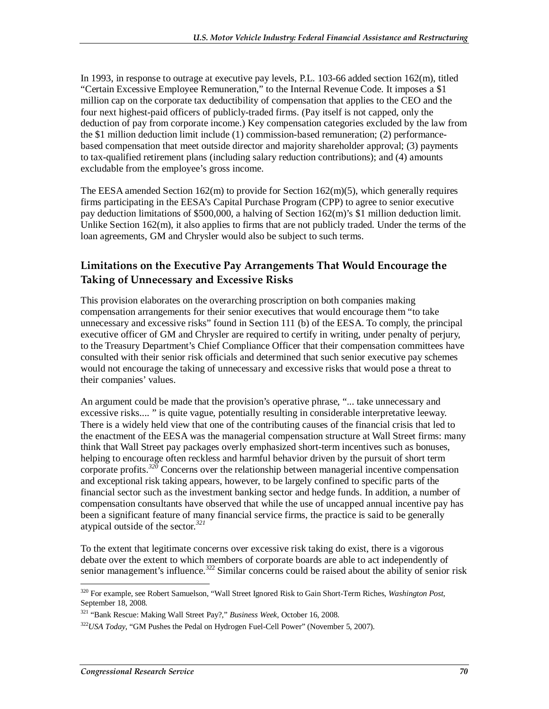In 1993, in response to outrage at executive pay levels, P.L. 103-66 added section 162(m), titled "Certain Excessive Employee Remuneration," to the Internal Revenue Code. It imposes a \$1 million cap on the corporate tax deductibility of compensation that applies to the CEO and the four next highest-paid officers of publicly-traded firms. (Pay itself is not capped, only the deduction of pay from corporate income.) Key compensation categories excluded by the law from the \$1 million deduction limit include (1) commission-based remuneration; (2) performancebased compensation that meet outside director and majority shareholder approval; (3) payments to tax-qualified retirement plans (including salary reduction contributions); and (4) amounts excludable from the employee's gross income.

The EESA amended Section  $162(m)$  to provide for Section  $162(m)(5)$ , which generally requires firms participating in the EESA's Capital Purchase Program (CPP) to agree to senior executive pay deduction limitations of \$500,000, a halving of Section 162(m)'s \$1 million deduction limit. Unlike Section 162(m), it also applies to firms that are not publicly traded. Under the terms of the loan agreements, GM and Chrysler would also be subject to such terms.

### **Limitations on the Executive Pay Arrangements That Would Encourage the Taking of Unnecessary and Excessive Risks**

This provision elaborates on the overarching proscription on both companies making compensation arrangements for their senior executives that would encourage them "to take unnecessary and excessive risks" found in Section 111 (b) of the EESA. To comply, the principal executive officer of GM and Chrysler are required to certify in writing, under penalty of perjury, to the Treasury Department's Chief Compliance Officer that their compensation committees have consulted with their senior risk officials and determined that such senior executive pay schemes would not encourage the taking of unnecessary and excessive risks that would pose a threat to their companies' values.

An argument could be made that the provision's operative phrase, "... take unnecessary and excessive risks.... " is quite vague, potentially resulting in considerable interpretative leeway. There is a widely held view that one of the contributing causes of the financial crisis that led to the enactment of the EESA was the managerial compensation structure at Wall Street firms: many think that Wall Street pay packages overly emphasized short-term incentives such as bonuses, helping to encourage often reckless and harmful behavior driven by the pursuit of short term corporate profits.*<sup>320</sup>* Concerns over the relationship between managerial incentive compensation and exceptional risk taking appears, however, to be largely confined to specific parts of the financial sector such as the investment banking sector and hedge funds. In addition, a number of compensation consultants have observed that while the use of uncapped annual incentive pay has been a significant feature of many financial service firms, the practice is said to be generally atypical outside of the sector.*<sup>321</sup>*

To the extent that legitimate concerns over excessive risk taking do exist, there is a vigorous debate over the extent to which members of corporate boards are able to act independently of senior management's influence.<sup>322</sup> Similar concerns could be raised about the ability of senior risk

<sup>&</sup>lt;u>.</u> 320 For example, see Robert Samuelson, "Wall Street Ignored Risk to Gain Short-Term Riches, *Washington Post*, September 18, 2008.

<sup>321 &</sup>quot;Bank Rescue: Making Wall Street Pay?," *Business Week*, October 16, 2008.

<sup>322</sup>*USA Today*, "GM Pushes the Pedal on Hydrogen Fuel-Cell Power" (November 5, 2007).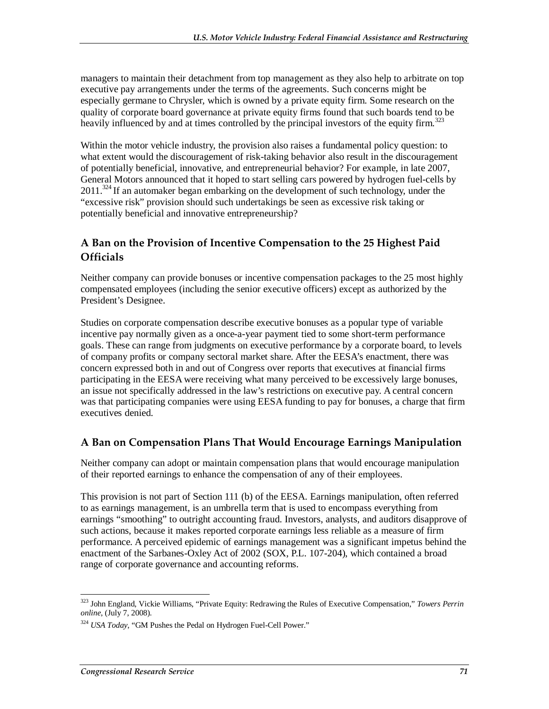managers to maintain their detachment from top management as they also help to arbitrate on top executive pay arrangements under the terms of the agreements. Such concerns might be especially germane to Chrysler, which is owned by a private equity firm. Some research on the quality of corporate board governance at private equity firms found that such boards tend to be heavily influenced by and at times controlled by the principal investors of the equity firm.<sup>323</sup>

Within the motor vehicle industry, the provision also raises a fundamental policy question: to what extent would the discouragement of risk-taking behavior also result in the discouragement of potentially beneficial, innovative, and entrepreneurial behavior? For example, in late 2007, General Motors announced that it hoped to start selling cars powered by hydrogen fuel-cells by  $2011$ <sup>324</sup> If an automaker began embarking on the development of such technology, under the "excessive risk" provision should such undertakings be seen as excessive risk taking or potentially beneficial and innovative entrepreneurship?

### **A Ban on the Provision of Incentive Compensation to the 25 Highest Paid Officials**

Neither company can provide bonuses or incentive compensation packages to the 25 most highly compensated employees (including the senior executive officers) except as authorized by the President's Designee.

Studies on corporate compensation describe executive bonuses as a popular type of variable incentive pay normally given as a once-a-year payment tied to some short-term performance goals. These can range from judgments on executive performance by a corporate board, to levels of company profits or company sectoral market share. After the EESA's enactment, there was concern expressed both in and out of Congress over reports that executives at financial firms participating in the EESA were receiving what many perceived to be excessively large bonuses, an issue not specifically addressed in the law's restrictions on executive pay. A central concern was that participating companies were using EESA funding to pay for bonuses, a charge that firm executives denied.

## **A Ban on Compensation Plans That Would Encourage Earnings Manipulation**

Neither company can adopt or maintain compensation plans that would encourage manipulation of their reported earnings to enhance the compensation of any of their employees.

This provision is not part of Section 111 (b) of the EESA. Earnings manipulation, often referred to as earnings management, is an umbrella term that is used to encompass everything from earnings "smoothing" to outright accounting fraud. Investors, analysts, and auditors disapprove of such actions, because it makes reported corporate earnings less reliable as a measure of firm performance. A perceived epidemic of earnings management was a significant impetus behind the enactment of the Sarbanes-Oxley Act of 2002 (SOX, P.L. 107-204), which contained a broad range of corporate governance and accounting reforms.

<sup>-</sup>323 John England, Vickie Williams, "Private Equity: Redrawing the Rules of Executive Compensation," *Towers Perrin online*, (July 7, 2008).

<sup>324</sup> *USA Today*, "GM Pushes the Pedal on Hydrogen Fuel-Cell Power."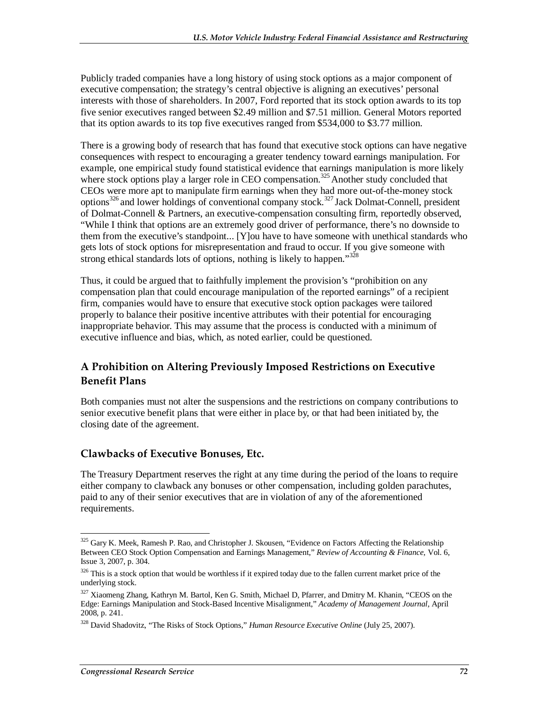Publicly traded companies have a long history of using stock options as a major component of executive compensation; the strategy's central objective is aligning an executives' personal interests with those of shareholders. In 2007, Ford reported that its stock option awards to its top five senior executives ranged between \$2.49 million and \$7.51 million. General Motors reported that its option awards to its top five executives ranged from \$534,000 to \$3.77 million.

There is a growing body of research that has found that executive stock options can have negative consequences with respect to encouraging a greater tendency toward earnings manipulation. For example, one empirical study found statistical evidence that earnings manipulation is more likely where stock options play a larger role in CEO compensation.<sup>325</sup> Another study concluded that CEOs were more apt to manipulate firm earnings when they had more out-of-the-money stock options<sup>326</sup> and lower holdings of conventional company stock.<sup>327</sup> Jack Dolmat-Connell, president of Dolmat-Connell & Partners, an executive-compensation consulting firm, reportedly observed, "While I think that options are an extremely good driver of performance, there's no downside to them from the executive's standpoint... [Y]ou have to have someone with unethical standards who gets lots of stock options for misrepresentation and fraud to occur. If you give someone with strong ethical standards lots of options, nothing is likely to happen."<sup>328</sup>

Thus, it could be argued that to faithfully implement the provision's "prohibition on any compensation plan that could encourage manipulation of the reported earnings" of a recipient firm, companies would have to ensure that executive stock option packages were tailored properly to balance their positive incentive attributes with their potential for encouraging inappropriate behavior. This may assume that the process is conducted with a minimum of executive influence and bias, which, as noted earlier, could be questioned.

### **A Prohibition on Altering Previously Imposed Restrictions on Executive Benefit Plans**

Both companies must not alter the suspensions and the restrictions on company contributions to senior executive benefit plans that were either in place by, or that had been initiated by, the closing date of the agreement.

#### **Clawbacks of Executive Bonuses, Etc.**

The Treasury Department reserves the right at any time during the period of the loans to require either company to clawback any bonuses or other compensation, including golden parachutes, paid to any of their senior executives that are in violation of any of the aforementioned requirements.

<sup>-</sup><sup>325</sup> Gary K. Meek, Ramesh P. Rao, and Christopher J. Skousen, "Evidence on Factors Affecting the Relationship Between CEO Stock Option Compensation and Earnings Management," *Review of Accounting & Finance*, Vol. 6, Issue 3, 2007, p. 304.

<sup>&</sup>lt;sup>326</sup> This is a stock option that would be worthless if it expired today due to the fallen current market price of the underlying stock.

<sup>&</sup>lt;sup>327</sup> Xiaomeng Zhang, Kathryn M. Bartol, Ken G. Smith, Michael D, Pfarrer, and Dmitry M. Khanin, "CEOS on the Edge: Earnings Manipulation and Stock-Based Incentive Misalignment," *Academy of Management Journal*, April 2008, p. 241.

<sup>328</sup> David Shadovitz, "The Risks of Stock Options," *Human Resource Executive Online* (July 25, 2007).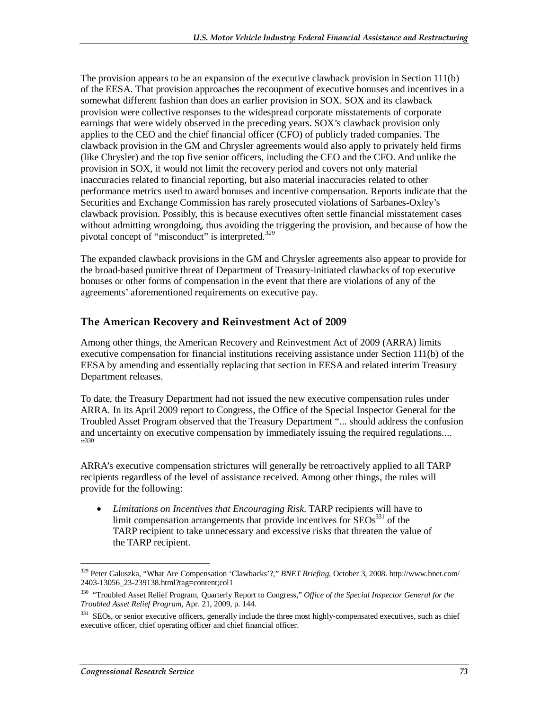The provision appears to be an expansion of the executive clawback provision in Section 111(b) of the EESA. That provision approaches the recoupment of executive bonuses and incentives in a somewhat different fashion than does an earlier provision in SOX. SOX and its clawback provision were collective responses to the widespread corporate misstatements of corporate earnings that were widely observed in the preceding years. SOX's clawback provision only applies to the CEO and the chief financial officer (CFO) of publicly traded companies. The clawback provision in the GM and Chrysler agreements would also apply to privately held firms (like Chrysler) and the top five senior officers, including the CEO and the CFO. And unlike the provision in SOX, it would not limit the recovery period and covers not only material inaccuracies related to financial reporting, but also material inaccuracies related to other performance metrics used to award bonuses and incentive compensation. Reports indicate that the Securities and Exchange Commission has rarely prosecuted violations of Sarbanes-Oxley's clawback provision. Possibly, this is because executives often settle financial misstatement cases without admitting wrongdoing, thus avoiding the triggering the provision, and because of how the pivotal concept of "misconduct" is interpreted.*<sup>329</sup>*

The expanded clawback provisions in the GM and Chrysler agreements also appear to provide for the broad-based punitive threat of Department of Treasury-initiated clawbacks of top executive bonuses or other forms of compensation in the event that there are violations of any of the agreements' aforementioned requirements on executive pay.

#### **The American Recovery and Reinvestment Act of 2009**

Among other things, the American Recovery and Reinvestment Act of 2009 (ARRA) limits executive compensation for financial institutions receiving assistance under Section 111(b) of the EESA by amending and essentially replacing that section in EESA and related interim Treasury Department releases.

To date, the Treasury Department had not issued the new executive compensation rules under ARRA. In its April 2009 report to Congress, the Office of the Special Inspector General for the Troubled Asset Program observed that the Treasury Department "... should address the confusion and uncertainty on executive compensation by immediately issuing the required regulations.... "330

ARRA's executive compensation strictures will generally be retroactively applied to all TARP recipients regardless of the level of assistance received. Among other things, the rules will provide for the following:

• *Limitations on Incentives that Encouraging Risk*. TARP recipients will have to limit compensation arrangements that provide incentives for  $\text{SEOs}^{331}$  of the TARP recipient to take unnecessary and excessive risks that threaten the value of the TARP recipient.

<sup>-</sup>329 Peter Galuszka, "What Are Compensation 'Clawbacks'?," *BNET Briefing*, October 3, 2008. http://www.bnet.com/ 2403-13056\_23-239138.html?tag=content;col1

<sup>330 &</sup>quot;Troubled Asset Relief Program, Quarterly Report to Congress," *Office of the Special Inspector General for the Troubled Asset Relief Program*, Apr. 21, 2009, p. 144.

<sup>&</sup>lt;sup>331</sup> SEOs, or senior executive officers, generally include the three most highly-compensated executives, such as chief executive officer, chief operating officer and chief financial officer.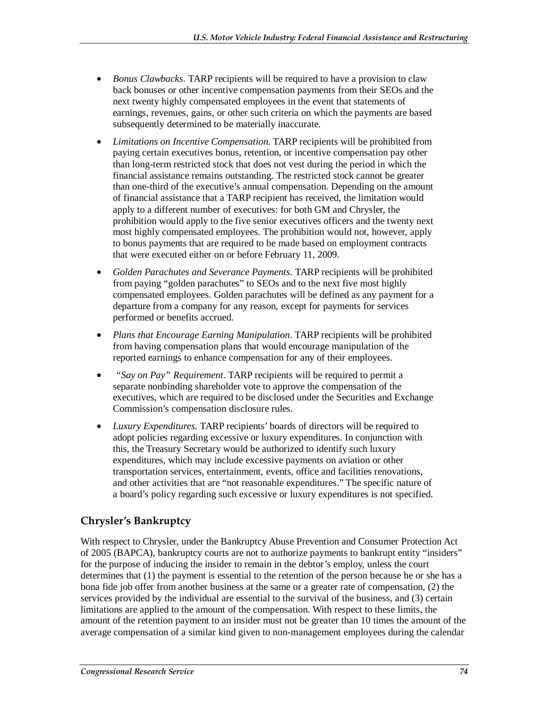- *Bonus Clawbacks*. TARP recipients will be required to have a provision to claw back bonuses or other incentive compensation payments from their SEOs and the next twenty highly compensated employees in the event that statements of earnings, revenues, gains, or other such criteria on which the payments are based subsequently determined to be materially inaccurate.
- *Limitations on Incentive Compensation*. TARP recipients will be prohibited from paying certain executives bonus, retention, or incentive compensation pay other than long-term restricted stock that does not vest during the period in which the financial assistance remains outstanding. The restricted stock cannot be greater than one-third of the executive's annual compensation. Depending on the amount of financial assistance that a TARP recipient has received, the limitation would apply to a different number of executives: for both GM and Chrysler, the prohibition would apply to the five senior executives officers and the twenty next most highly compensated employees. The prohibition would not, however, apply to bonus payments that are required to be made based on employment contracts that were executed either on or before February 11, 2009.
- *Golden Parachutes and Severance Payments*. TARP recipients will be prohibited from paying "golden parachutes" to SEOs and to the next five most highly compensated employees. Golden parachutes will be defined as any payment for a departure from a company for any reason, except for payments for services performed or benefits accrued.
- *Plans that Encourage Earning Manipulation*. TARP recipients will be prohibited from having compensation plans that would encourage manipulation of the reported earnings to enhance compensation for any of their employees.
- • *"Say on Pay" Requirement*. TARP recipients will be required to permit a separate nonbinding shareholder vote to approve the compensation of the executives, which are required to be disclosed under the Securities and Exchange Commission's compensation disclosure rules.
- *Luxury Expenditures.* TARP recipients' boards of directors will be required to adopt policies regarding excessive or luxury expenditures. In conjunction with this, the Treasury Secretary would be authorized to identify such luxury expenditures, which may include excessive payments on aviation or other transportation services, entertainment, events, office and facilities renovations, and other activities that are "not reasonable expenditures." The specific nature of a board's policy regarding such excessive or luxury expenditures is not specified.

## **Chrysler's Bankruptcy**

With respect to Chrysler, under the Bankruptcy Abuse Prevention and Consumer Protection Act of 2005 (BAPCA), bankruptcy courts are not to authorize payments to bankrupt entity "insiders" for the purpose of inducing the insider to remain in the debtor's employ, unless the court determines that (1) the payment is essential to the retention of the person because he or she has a bona fide job offer from another business at the same or a greater rate of compensation, (2) the services provided by the individual are essential to the survival of the business, and (3) certain limitations are applied to the amount of the compensation. With respect to these limits, the amount of the retention payment to an insider must not be greater than 10 times the amount of the average compensation of a similar kind given to non-management employees during the calendar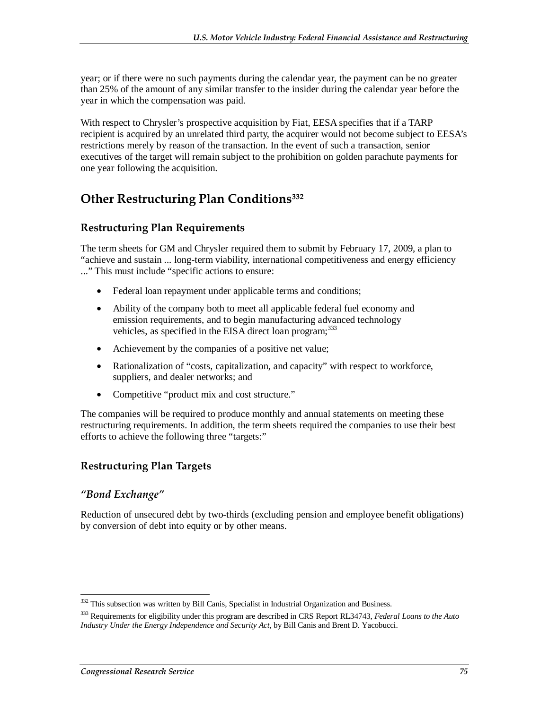year; or if there were no such payments during the calendar year, the payment can be no greater than 25% of the amount of any similar transfer to the insider during the calendar year before the year in which the compensation was paid.

With respect to Chrysler's prospective acquisition by Fiat, EESA specifies that if a TARP recipient is acquired by an unrelated third party, the acquirer would not become subject to EESA's restrictions merely by reason of the transaction. In the event of such a transaction, senior executives of the target will remain subject to the prohibition on golden parachute payments for one year following the acquisition.

# **Other Restructuring Plan Conditions**<sup>332</sup>

#### **Restructuring Plan Requirements**

The term sheets for GM and Chrysler required them to submit by February 17, 2009, a plan to "achieve and sustain ... long-term viability, international competitiveness and energy efficiency ..." This must include "specific actions to ensure:

- Federal loan repayment under applicable terms and conditions;
- Ability of the company both to meet all applicable federal fuel economy and emission requirements, and to begin manufacturing advanced technology vehicles, as specified in the EISA direct loan program;<sup>333</sup>
- Achievement by the companies of a positive net value;
- Rationalization of "costs, capitalization, and capacity" with respect to workforce, suppliers, and dealer networks; and
- Competitive "product mix and cost structure."

The companies will be required to produce monthly and annual statements on meeting these restructuring requirements. In addition, the term sheets required the companies to use their best efforts to achieve the following three "targets:"

## **Restructuring Plan Targets**

#### *"Bond Exchange"*

Reduction of unsecured debt by two-thirds (excluding pension and employee benefit obligations) by conversion of debt into equity or by other means.

<sup>-</sup><sup>332</sup> This subsection was written by Bill Canis, Specialist in Industrial Organization and Business.

<sup>333</sup> Requirements for eligibility under this program are described in CRS Report RL34743, *Federal Loans to the Auto Industry Under the Energy Independence and Security Act*, by Bill Canis and Brent D. Yacobucci.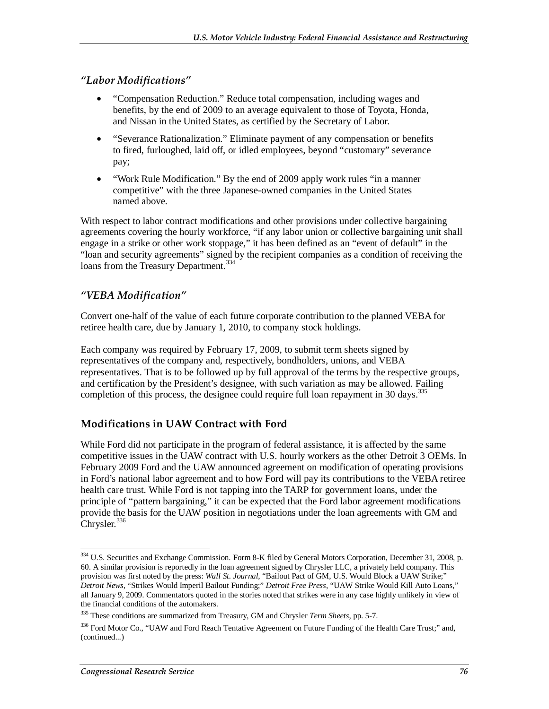#### *"Labor Modifications"*

- "Compensation Reduction." Reduce total compensation, including wages and benefits, by the end of 2009 to an average equivalent to those of Toyota, Honda, and Nissan in the United States, as certified by the Secretary of Labor.
- "Severance Rationalization." Eliminate payment of any compensation or benefits to fired, furloughed, laid off, or idled employees, beyond "customary" severance pay;
- "Work Rule Modification." By the end of 2009 apply work rules "in a manner" competitive" with the three Japanese-owned companies in the United States named above.

With respect to labor contract modifications and other provisions under collective bargaining agreements covering the hourly workforce, "if any labor union or collective bargaining unit shall engage in a strike or other work stoppage," it has been defined as an "event of default" in the "loan and security agreements" signed by the recipient companies as a condition of receiving the loans from the Treasury Department.<sup>334</sup>

### *"VEBA Modification"*

Convert one-half of the value of each future corporate contribution to the planned VEBA for retiree health care, due by January 1, 2010, to company stock holdings.

Each company was required by February 17, 2009, to submit term sheets signed by representatives of the company and, respectively, bondholders, unions, and VEBA representatives. That is to be followed up by full approval of the terms by the respective groups, and certification by the President's designee, with such variation as may be allowed. Failing completion of this process, the designee could require full loan repayment in 30 days.<sup>335</sup>

## **Modifications in UAW Contract with Ford**

While Ford did not participate in the program of federal assistance, it is affected by the same competitive issues in the UAW contract with U.S. hourly workers as the other Detroit 3 OEMs. In February 2009 Ford and the UAW announced agreement on modification of operating provisions in Ford's national labor agreement and to how Ford will pay its contributions to the VEBA retiree health care trust. While Ford is not tapping into the TARP for government loans, under the principle of "pattern bargaining," it can be expected that the Ford labor agreement modifications provide the basis for the UAW position in negotiations under the loan agreements with GM and Chrysler.<sup>336</sup>

<sup>-</sup>334 U.S. Securities and Exchange Commission. Form 8-K filed by General Motors Corporation, December 31, 2008, p. 60. A similar provision is reportedly in the loan agreement signed by Chrysler LLC, a privately held company. This provision was first noted by the press: *Wall St. Journal*, "Bailout Pact of GM, U.S. Would Block a UAW Strike;" *Detroit News*, "Strikes Would Imperil Bailout Funding;" *Detroit Free Press*, "UAW Strike Would Kill Auto Loans," all January 9, 2009. Commentators quoted in the stories noted that strikes were in any case highly unlikely in view of the financial conditions of the automakers.

<sup>335</sup> These conditions are summarized from Treasury, GM and Chrysler *Term Sheets*, pp. 5-7.

<sup>&</sup>lt;sup>336</sup> Ford Motor Co., "UAW and Ford Reach Tentative Agreement on Future Funding of the Health Care Trust;" and, (continued...)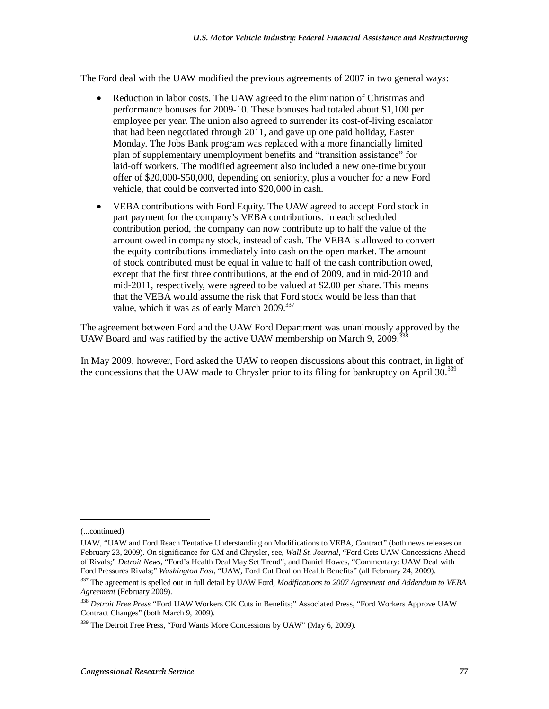The Ford deal with the UAW modified the previous agreements of 2007 in two general ways:

- Reduction in labor costs. The UAW agreed to the elimination of Christmas and performance bonuses for 2009-10. These bonuses had totaled about \$1,100 per employee per year. The union also agreed to surrender its cost-of-living escalator that had been negotiated through 2011, and gave up one paid holiday, Easter Monday. The Jobs Bank program was replaced with a more financially limited plan of supplementary unemployment benefits and "transition assistance" for laid-off workers. The modified agreement also included a new one-time buyout offer of \$20,000-\$50,000, depending on seniority, plus a voucher for a new Ford vehicle, that could be converted into \$20,000 in cash.
- VEBA contributions with Ford Equity. The UAW agreed to accept Ford stock in part payment for the company's VEBA contributions. In each scheduled contribution period, the company can now contribute up to half the value of the amount owed in company stock, instead of cash. The VEBA is allowed to convert the equity contributions immediately into cash on the open market. The amount of stock contributed must be equal in value to half of the cash contribution owed, except that the first three contributions, at the end of 2009, and in mid-2010 and mid-2011, respectively, were agreed to be valued at \$2.00 per share. This means that the VEBA would assume the risk that Ford stock would be less than that value, which it was as of early March 2009.<sup>337</sup>

The agreement between Ford and the UAW Ford Department was unanimously approved by the UAW Board and was ratified by the active UAW membership on March 9, 2009.<sup>338</sup>

In May 2009, however, Ford asked the UAW to reopen discussions about this contract, in light of the concessions that the UAW made to Chrysler prior to its filing for bankruptcy on April 30.<sup>339</sup>

1

<sup>(...</sup>continued)

UAW, "UAW and Ford Reach Tentative Understanding on Modifications to VEBA, Contract" (both news releases on February 23, 2009). On significance for GM and Chrysler, see, *Wall St. Journal*, "Ford Gets UAW Concessions Ahead of Rivals;" *Detroit News*, "Ford's Health Deal May Set Trend", and Daniel Howes, "Commentary: UAW Deal with Ford Pressures Rivals;" *Washington Post*, "UAW, Ford Cut Deal on Health Benefits" (all February 24, 2009).

<sup>337</sup> The agreement is spelled out in full detail by UAW Ford, *Modifications to 2007 Agreement and Addendum to VEBA Agreement* (February 2009).

<sup>338</sup> *Detroit Free Press* "Ford UAW Workers OK Cuts in Benefits;" Associated Press, "Ford Workers Approve UAW Contract Changes" (both March 9, 2009).

<sup>&</sup>lt;sup>339</sup> The Detroit Free Press, "Ford Wants More Concessions by UAW" (May 6, 2009).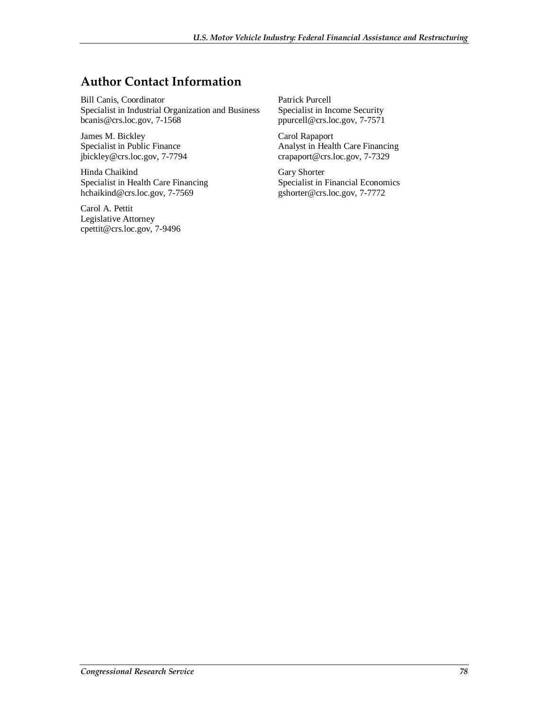# **Author Contact Information**

Bill Canis, Coordinator Specialist in Industrial Organization and Business bcanis@crs.loc.gov, 7-1568

James M. Bickley Specialist in Public Finance jbickley@crs.loc.gov, 7-7794

Hinda Chaikind Specialist in Health Care Financing hchaikind@crs.loc.gov, 7-7569

Carol A. Pettit Legislative Attorney cpettit@crs.loc.gov, 7-9496 Patrick Purcell Specialist in Income Security ppurcell@crs.loc.gov, 7-7571

Carol Rapaport Analyst in Health Care Financing crapaport@crs.loc.gov, 7-7329

Gary Shorter Specialist in Financial Economics gshorter@crs.loc.gov, 7-7772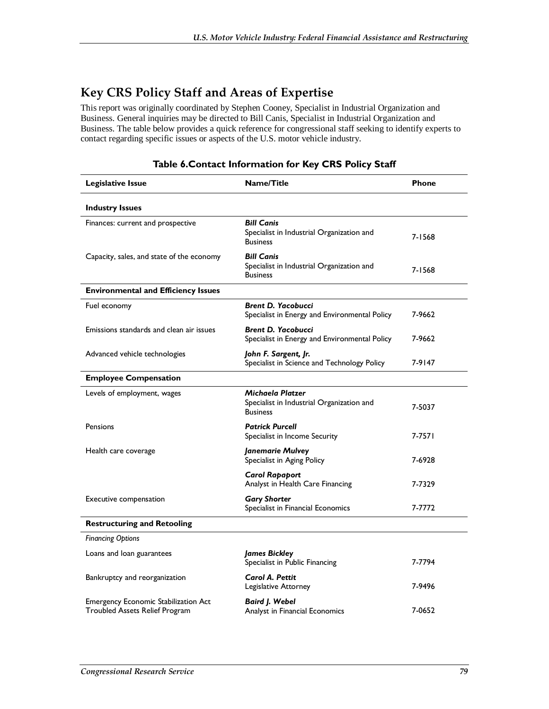# **Key CRS Policy Staff and Areas of Expertise**

This report was originally coordinated by Stephen Cooney, Specialist in Industrial Organization and Business. General inquiries may be directed to Bill Canis, Specialist in Industrial Organization and Business. The table below provides a quick reference for congressional staff seeking to identify experts to contact regarding specific issues or aspects of the U.S. motor vehicle industry.

| <b>Legislative Issue</b>                                                      | <b>Name/Title</b>                                                                       | Phone  |
|-------------------------------------------------------------------------------|-----------------------------------------------------------------------------------------|--------|
| <b>Industry Issues</b>                                                        |                                                                                         |        |
| Finances: current and prospective                                             | <b>Bill Canis</b><br>Specialist in Industrial Organization and<br><b>Business</b>       | 7-1568 |
| Capacity, sales, and state of the economy                                     | <b>Bill Canis</b><br>Specialist in Industrial Organization and<br><b>Business</b>       | 7-1568 |
| <b>Environmental and Efficiency Issues</b>                                    |                                                                                         |        |
| Fuel economy                                                                  | <b>Brent D. Yacobucci</b><br>Specialist in Energy and Environmental Policy              | 7-9662 |
| Emissions standards and clean air issues                                      | <b>Brent D. Yacobucci</b><br>Specialist in Energy and Environmental Policy              | 7-9662 |
| Advanced vehicle technologies                                                 | John F. Sargent, Jr.<br>Specialist in Science and Technology Policy                     | 7-9147 |
| <b>Employee Compensation</b>                                                  |                                                                                         |        |
| Levels of employment, wages                                                   | <b>Michaela Platzer</b><br>Specialist in Industrial Organization and<br><b>Business</b> | 7-5037 |
| Pensions                                                                      | <b>Patrick Purcell</b><br>Specialist in Income Security                                 | 7-7571 |
| Health care coverage                                                          | Janemarie Mulvey<br>Specialist in Aging Policy                                          | 7-6928 |
|                                                                               | <b>Carol Rapaport</b><br>Analyst in Health Care Financing                               | 7-7329 |
| Executive compensation                                                        | <b>Gary Shorter</b><br>Specialist in Financial Economics                                | 7-7772 |
| <b>Restructuring and Retooling</b>                                            |                                                                                         |        |
| <b>Financing Options</b>                                                      |                                                                                         |        |
| Loans and loan guarantees                                                     | James Bickley<br>Specialist in Public Financing                                         | 7-7794 |
| Bankruptcy and reorganization                                                 | Carol A. Pettit<br>Legislative Attorney                                                 | 7-9496 |
| Emergency Economic Stabilization Act<br><b>Troubled Assets Relief Program</b> | <b>Baird J. Webel</b><br>Analyst in Financial Economics                                 | 7-0652 |

#### **Table 6.Contact Information for Key CRS Policy Staff**